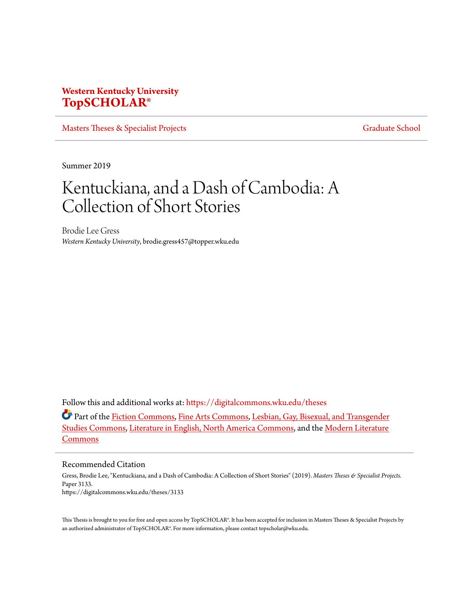# **Western Kentucky University [TopSCHOLAR®](https://digitalcommons.wku.edu?utm_source=digitalcommons.wku.edu%2Ftheses%2F3133&utm_medium=PDF&utm_campaign=PDFCoverPages)**

[Masters Theses & Specialist Projects](https://digitalcommons.wku.edu/theses?utm_source=digitalcommons.wku.edu%2Ftheses%2F3133&utm_medium=PDF&utm_campaign=PDFCoverPages) [Graduate School](https://digitalcommons.wku.edu/Graduate?utm_source=digitalcommons.wku.edu%2Ftheses%2F3133&utm_medium=PDF&utm_campaign=PDFCoverPages) Graduate School

Summer 2019

# Kentuckiana, and a Dash of Cambodia: A Collection of Short Stories

Brodie Lee Gress *Western Kentucky University*, brodie.gress457@topper.wku.edu

Follow this and additional works at: [https://digitalcommons.wku.edu/theses](https://digitalcommons.wku.edu/theses?utm_source=digitalcommons.wku.edu%2Ftheses%2F3133&utm_medium=PDF&utm_campaign=PDFCoverPages)

Part of the [Fiction Commons](http://network.bepress.com/hgg/discipline/1151?utm_source=digitalcommons.wku.edu%2Ftheses%2F3133&utm_medium=PDF&utm_campaign=PDFCoverPages), [Fine Arts Commons](http://network.bepress.com/hgg/discipline/1141?utm_source=digitalcommons.wku.edu%2Ftheses%2F3133&utm_medium=PDF&utm_campaign=PDFCoverPages), [Lesbian, Gay, Bisexual, and Transgender](http://network.bepress.com/hgg/discipline/560?utm_source=digitalcommons.wku.edu%2Ftheses%2F3133&utm_medium=PDF&utm_campaign=PDFCoverPages) [Studies Commons](http://network.bepress.com/hgg/discipline/560?utm_source=digitalcommons.wku.edu%2Ftheses%2F3133&utm_medium=PDF&utm_campaign=PDFCoverPages), [Literature in English, North America Commons,](http://network.bepress.com/hgg/discipline/458?utm_source=digitalcommons.wku.edu%2Ftheses%2F3133&utm_medium=PDF&utm_campaign=PDFCoverPages) and the [Modern Literature](http://network.bepress.com/hgg/discipline/1050?utm_source=digitalcommons.wku.edu%2Ftheses%2F3133&utm_medium=PDF&utm_campaign=PDFCoverPages) [Commons](http://network.bepress.com/hgg/discipline/1050?utm_source=digitalcommons.wku.edu%2Ftheses%2F3133&utm_medium=PDF&utm_campaign=PDFCoverPages)

#### Recommended Citation

Gress, Brodie Lee, "Kentuckiana, and a Dash of Cambodia: A Collection of Short Stories" (2019). *Masters Theses & Specialist Projects.* Paper 3133. https://digitalcommons.wku.edu/theses/3133

This Thesis is brought to you for free and open access by TopSCHOLAR®. It has been accepted for inclusion in Masters Theses & Specialist Projects by an authorized administrator of TopSCHOLAR®. For more information, please contact topscholar@wku.edu.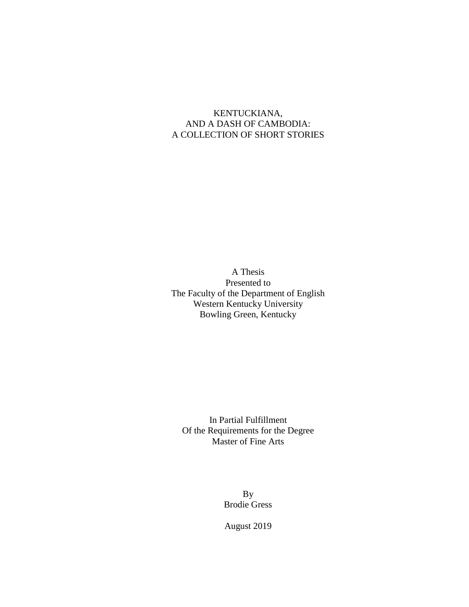## KENTUCKIANA, AND A DASH OF CAMBODIA: A COLLECTION OF SHORT STORIES

A Thesis Presented to The Faculty of the Department of English Western Kentucky University Bowling Green, Kentucky

In Partial Fulfillment Of the Requirements for the Degree Master of Fine Arts

> By Brodie Gress

August 2019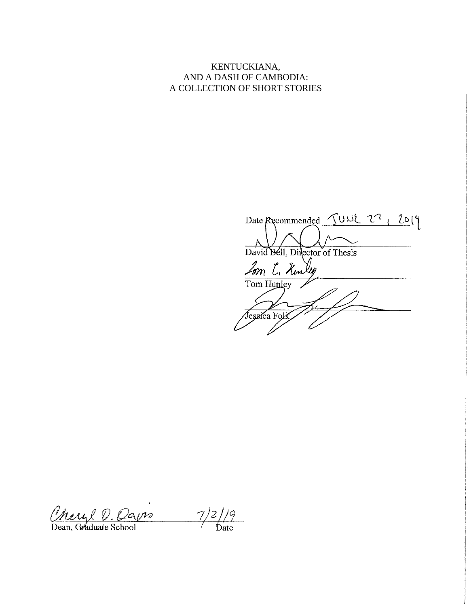KENTUCKIANA, AND A DASH OF CAMBODIA: A COLLECTION OF SHORT STORIES

Date Recommended JUNE 27, 2019 David Bell, Director of Thesis Lom C. Hunley Tom Hunley Jessica Folk

Cheryl D. Oavro

 $\frac{7}{2}/9$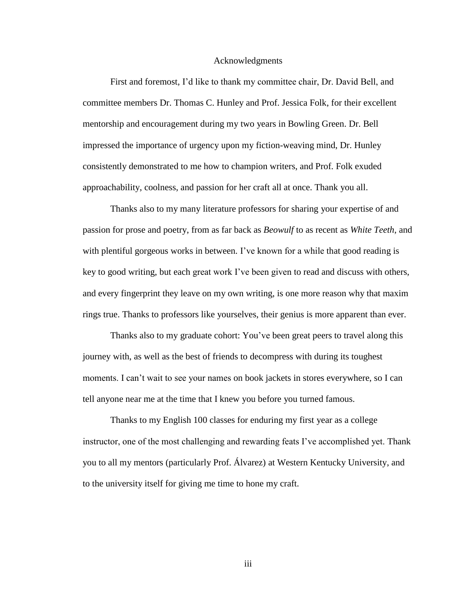#### Acknowledgments

First and foremost, I'd like to thank my committee chair, Dr. David Bell, and committee members Dr. Thomas C. Hunley and Prof. Jessica Folk, for their excellent mentorship and encouragement during my two years in Bowling Green. Dr. Bell impressed the importance of urgency upon my fiction-weaving mind, Dr. Hunley consistently demonstrated to me how to champion writers, and Prof. Folk exuded approachability, coolness, and passion for her craft all at once. Thank you all.

Thanks also to my many literature professors for sharing your expertise of and passion for prose and poetry, from as far back as *Beowulf* to as recent as *White Teeth*, and with plentiful gorgeous works in between. I've known for a while that good reading is key to good writing, but each great work I've been given to read and discuss with others, and every fingerprint they leave on my own writing, is one more reason why that maxim rings true. Thanks to professors like yourselves, their genius is more apparent than ever.

Thanks also to my graduate cohort: You've been great peers to travel along this journey with, as well as the best of friends to decompress with during its toughest moments. I can't wait to see your names on book jackets in stores everywhere, so I can tell anyone near me at the time that I knew you before you turned famous.

Thanks to my English 100 classes for enduring my first year as a college instructor, one of the most challenging and rewarding feats I've accomplished yet. Thank you to all my mentors (particularly Prof. Álvarez) at Western Kentucky University, and to the university itself for giving me time to hone my craft.

iii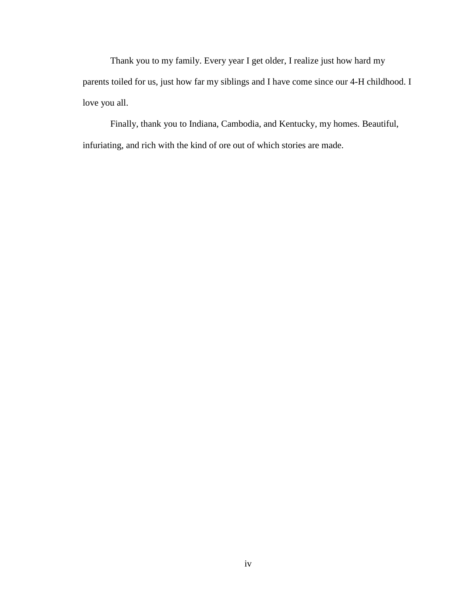Thank you to my family. Every year I get older, I realize just how hard my parents toiled for us, just how far my siblings and I have come since our 4-H childhood. I love you all.

Finally, thank you to Indiana, Cambodia, and Kentucky, my homes. Beautiful, infuriating, and rich with the kind of ore out of which stories are made.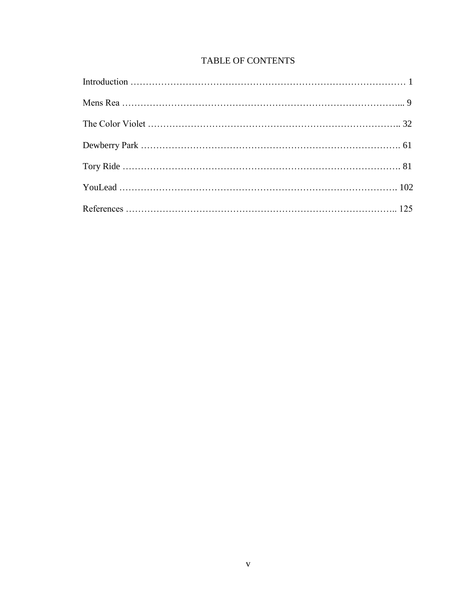## TABLE OF CONTENTS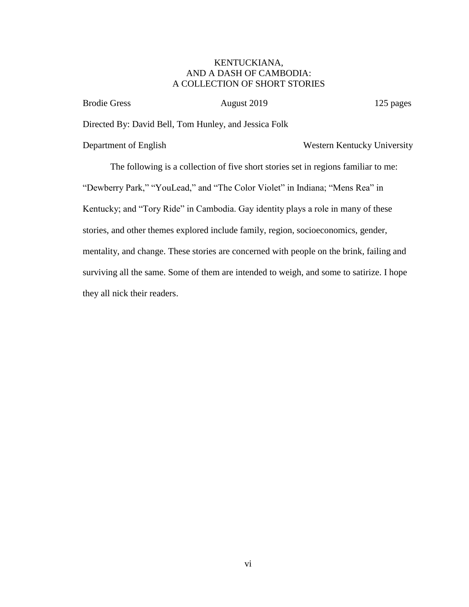### KENTUCKIANA, AND A DASH OF CAMBODIA: A COLLECTION OF SHORT STORIES

Brodie Gress August 2019 125 pages

Directed By: David Bell, Tom Hunley, and Jessica Folk

Department of English Western Kentucky University

The following is a collection of five short stories set in regions familiar to me: "Dewberry Park," "YouLead," and "The Color Violet" in Indiana; "Mens Rea" in Kentucky; and "Tory Ride" in Cambodia. Gay identity plays a role in many of these stories, and other themes explored include family, region, socioeconomics, gender, mentality, and change. These stories are concerned with people on the brink, failing and surviving all the same. Some of them are intended to weigh, and some to satirize. I hope they all nick their readers.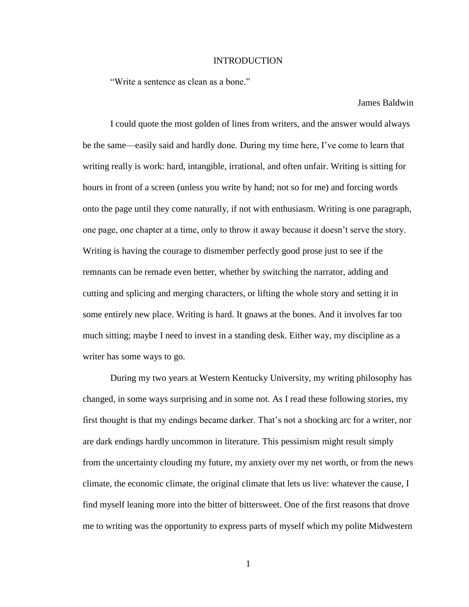#### INTRODUCTION

"Write a sentence as clean as a bone."

James Baldwin

I could quote the most golden of lines from writers, and the answer would always be the same—easily said and hardly done. During my time here, I've come to learn that writing really is work: hard, intangible, irrational, and often unfair. Writing is sitting for hours in front of a screen (unless you write by hand; not so for me) and forcing words onto the page until they come naturally, if not with enthusiasm. Writing is one paragraph, one page, one chapter at a time, only to throw it away because it doesn't serve the story. Writing is having the courage to dismember perfectly good prose just to see if the remnants can be remade even better, whether by switching the narrator, adding and cutting and splicing and merging characters, or lifting the whole story and setting it in some entirely new place. Writing is hard. It gnaws at the bones. And it involves far too much sitting; maybe I need to invest in a standing desk. Either way, my discipline as a writer has some ways to go.

During my two years at Western Kentucky University, my writing philosophy has changed, in some ways surprising and in some not. As I read these following stories, my first thought is that my endings became darker. That's not a shocking arc for a writer, nor are dark endings hardly uncommon in literature. This pessimism might result simply from the uncertainty clouding my future, my anxiety over my net worth, or from the news climate, the economic climate, the original climate that lets us live: whatever the cause, I find myself leaning more into the bitter of bittersweet. One of the first reasons that drove me to writing was the opportunity to express parts of myself which my polite Midwestern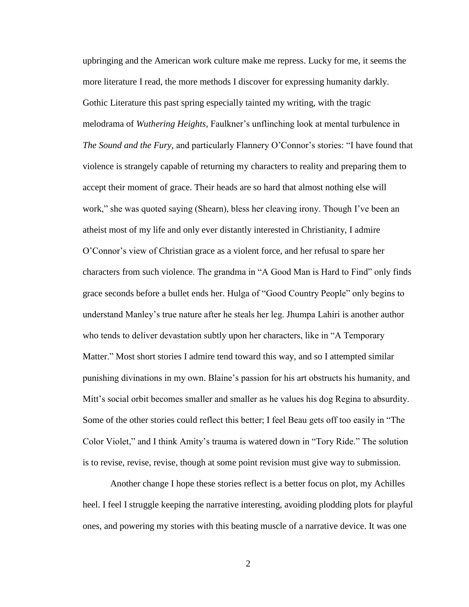upbringing and the American work culture make me repress. Lucky for me, it seems the more literature I read, the more methods I discover for expressing humanity darkly. Gothic Literature this past spring especially tainted my writing, with the tragic melodrama of *Wuthering Heights,* Faulkner's unflinching look at mental turbulence in *The Sound and the Fury,* and particularly Flannery O'Connor's stories: "I have found that violence is strangely capable of returning my characters to reality and preparing them to accept their moment of grace. Their heads are so hard that almost nothing else will work," she was quoted saying (Shearn), bless her cleaving irony. Though I've been an atheist most of my life and only ever distantly interested in Christianity, I admire O'Connor's view of Christian grace as a violent force, and her refusal to spare her characters from such violence. The grandma in "A Good Man is Hard to Find" only finds grace seconds before a bullet ends her. Hulga of "Good Country People" only begins to understand Manley's true nature after he steals her leg. Jhumpa Lahiri is another author who tends to deliver devastation subtly upon her characters, like in "A Temporary Matter." Most short stories I admire tend toward this way, and so I attempted similar punishing divinations in my own. Blaine's passion for his art obstructs his humanity, and Mitt's social orbit becomes smaller and smaller as he values his dog Regina to absurdity. Some of the other stories could reflect this better; I feel Beau gets off too easily in "The Color Violet," and I think Amity's trauma is watered down in "Tory Ride." The solution is to revise, revise, revise, though at some point revision must give way to submission.

Another change I hope these stories reflect is a better focus on plot, my Achilles heel. I feel I struggle keeping the narrative interesting, avoiding plodding plots for playful ones, and powering my stories with this beating muscle of a narrative device. It was one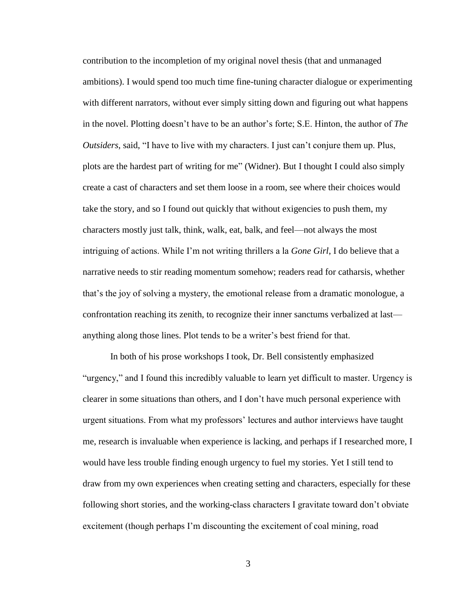contribution to the incompletion of my original novel thesis (that and unmanaged ambitions). I would spend too much time fine-tuning character dialogue or experimenting with different narrators, without ever simply sitting down and figuring out what happens in the novel. Plotting doesn't have to be an author's forte; S.E. Hinton, the author of *The Outsiders*, said, "I have to live with my characters. I just can't conjure them up. Plus, plots are the hardest part of writing for me" (Widner). But I thought I could also simply create a cast of characters and set them loose in a room, see where their choices would take the story, and so I found out quickly that without exigencies to push them, my characters mostly just talk, think, walk, eat, balk, and feel—not always the most intriguing of actions. While I'm not writing thrillers a la *Gone Girl*, I do believe that a narrative needs to stir reading momentum somehow; readers read for catharsis, whether that's the joy of solving a mystery, the emotional release from a dramatic monologue, a confrontation reaching its zenith, to recognize their inner sanctums verbalized at last anything along those lines. Plot tends to be a writer's best friend for that.

In both of his prose workshops I took, Dr. Bell consistently emphasized "urgency," and I found this incredibly valuable to learn yet difficult to master. Urgency is clearer in some situations than others, and I don't have much personal experience with urgent situations. From what my professors' lectures and author interviews have taught me, research is invaluable when experience is lacking, and perhaps if I researched more, I would have less trouble finding enough urgency to fuel my stories. Yet I still tend to draw from my own experiences when creating setting and characters, especially for these following short stories, and the working-class characters I gravitate toward don't obviate excitement (though perhaps I'm discounting the excitement of coal mining, road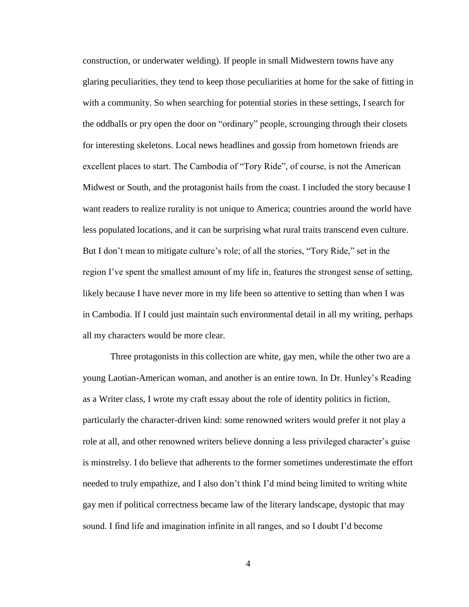construction, or underwater welding). If people in small Midwestern towns have any glaring peculiarities, they tend to keep those peculiarities at home for the sake of fitting in with a community. So when searching for potential stories in these settings, I search for the oddballs or pry open the door on "ordinary" people, scrounging through their closets for interesting skeletons. Local news headlines and gossip from hometown friends are excellent places to start. The Cambodia of "Tory Ride", of course, is not the American Midwest or South, and the protagonist hails from the coast. I included the story because I want readers to realize rurality is not unique to America; countries around the world have less populated locations, and it can be surprising what rural traits transcend even culture. But I don't mean to mitigate culture's role; of all the stories, "Tory Ride," set in the region I've spent the smallest amount of my life in, features the strongest sense of setting, likely because I have never more in my life been so attentive to setting than when I was in Cambodia. If I could just maintain such environmental detail in all my writing, perhaps all my characters would be more clear.

Three protagonists in this collection are white, gay men, while the other two are a young Laotian-American woman, and another is an entire town. In Dr. Hunley's Reading as a Writer class, I wrote my craft essay about the role of identity politics in fiction, particularly the character-driven kind: some renowned writers would prefer it not play a role at all, and other renowned writers believe donning a less privileged character's guise is minstrelsy. I do believe that adherents to the former sometimes underestimate the effort needed to truly empathize, and I also don't think I'd mind being limited to writing white gay men if political correctness became law of the literary landscape, dystopic that may sound. I find life and imagination infinite in all ranges, and so I doubt I'd become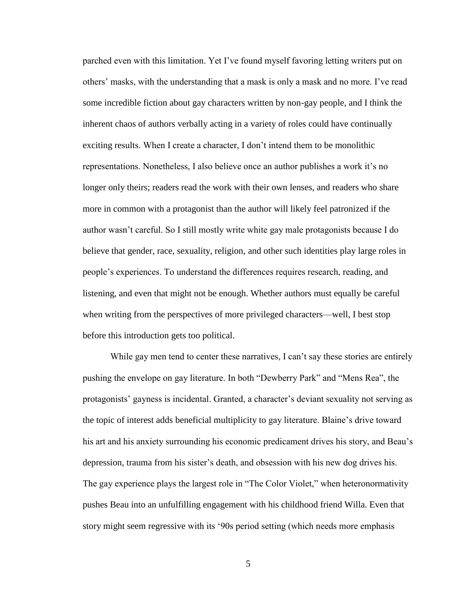parched even with this limitation. Yet I've found myself favoring letting writers put on others' masks, with the understanding that a mask is only a mask and no more. I've read some incredible fiction about gay characters written by non-gay people, and I think the inherent chaos of authors verbally acting in a variety of roles could have continually exciting results. When I create a character, I don't intend them to be monolithic representations. Nonetheless, I also believe once an author publishes a work it's no longer only theirs; readers read the work with their own lenses, and readers who share more in common with a protagonist than the author will likely feel patronized if the author wasn't careful. So I still mostly write white gay male protagonists because I do believe that gender, race, sexuality, religion, and other such identities play large roles in people's experiences. To understand the differences requires research, reading, and listening, and even that might not be enough. Whether authors must equally be careful when writing from the perspectives of more privileged characters—well, I best stop before this introduction gets too political.

While gay men tend to center these narratives, I can't say these stories are entirely pushing the envelope on gay literature. In both "Dewberry Park" and "Mens Rea", the protagonists' gayness is incidental. Granted, a character's deviant sexuality not serving as the topic of interest adds beneficial multiplicity to gay literature. Blaine's drive toward his art and his anxiety surrounding his economic predicament drives his story, and Beau's depression, trauma from his sister's death, and obsession with his new dog drives his. The gay experience plays the largest role in "The Color Violet," when heteronormativity pushes Beau into an unfulfilling engagement with his childhood friend Willa. Even that story might seem regressive with its '90s period setting (which needs more emphasis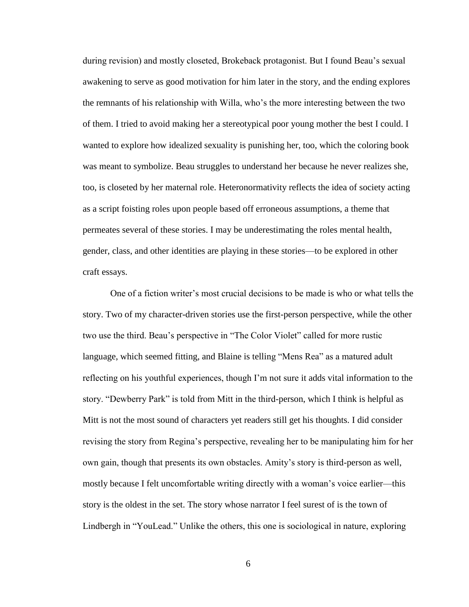during revision) and mostly closeted, Brokeback protagonist. But I found Beau's sexual awakening to serve as good motivation for him later in the story, and the ending explores the remnants of his relationship with Willa, who's the more interesting between the two of them. I tried to avoid making her a stereotypical poor young mother the best I could. I wanted to explore how idealized sexuality is punishing her, too, which the coloring book was meant to symbolize. Beau struggles to understand her because he never realizes she, too, is closeted by her maternal role. Heteronormativity reflects the idea of society acting as a script foisting roles upon people based off erroneous assumptions, a theme that permeates several of these stories. I may be underestimating the roles mental health, gender, class, and other identities are playing in these stories—to be explored in other craft essays.

One of a fiction writer's most crucial decisions to be made is who or what tells the story. Two of my character-driven stories use the first-person perspective, while the other two use the third. Beau's perspective in "The Color Violet" called for more rustic language, which seemed fitting, and Blaine is telling "Mens Rea" as a matured adult reflecting on his youthful experiences, though I'm not sure it adds vital information to the story. "Dewberry Park" is told from Mitt in the third-person, which I think is helpful as Mitt is not the most sound of characters yet readers still get his thoughts. I did consider revising the story from Regina's perspective, revealing her to be manipulating him for her own gain, though that presents its own obstacles. Amity's story is third-person as well, mostly because I felt uncomfortable writing directly with a woman's voice earlier—this story is the oldest in the set. The story whose narrator I feel surest of is the town of Lindbergh in "YouLead." Unlike the others, this one is sociological in nature, exploring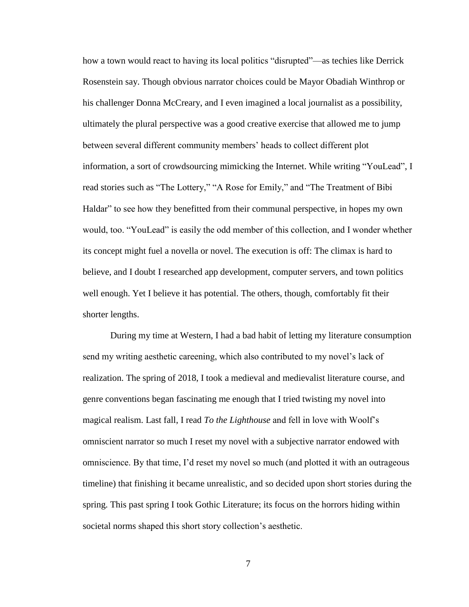how a town would react to having its local politics "disrupted"—as techies like Derrick Rosenstein say. Though obvious narrator choices could be Mayor Obadiah Winthrop or his challenger Donna McCreary, and I even imagined a local journalist as a possibility, ultimately the plural perspective was a good creative exercise that allowed me to jump between several different community members' heads to collect different plot information, a sort of crowdsourcing mimicking the Internet. While writing "YouLead", I read stories such as "The Lottery," "A Rose for Emily," and "The Treatment of Bibi Haldar" to see how they benefitted from their communal perspective, in hopes my own would, too. "YouLead" is easily the odd member of this collection, and I wonder whether its concept might fuel a novella or novel. The execution is off: The climax is hard to believe, and I doubt I researched app development, computer servers, and town politics well enough. Yet I believe it has potential. The others, though, comfortably fit their shorter lengths.

During my time at Western, I had a bad habit of letting my literature consumption send my writing aesthetic careening, which also contributed to my novel's lack of realization. The spring of 2018, I took a medieval and medievalist literature course, and genre conventions began fascinating me enough that I tried twisting my novel into magical realism. Last fall, I read *To the Lighthouse* and fell in love with Woolf's omniscient narrator so much I reset my novel with a subjective narrator endowed with omniscience. By that time, I'd reset my novel so much (and plotted it with an outrageous timeline) that finishing it became unrealistic, and so decided upon short stories during the spring. This past spring I took Gothic Literature; its focus on the horrors hiding within societal norms shaped this short story collection's aesthetic.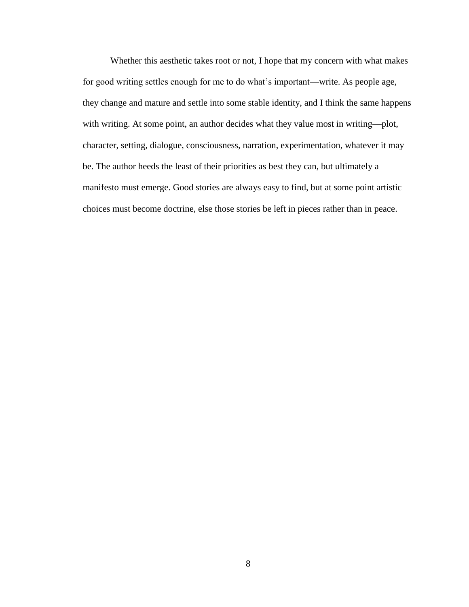Whether this aesthetic takes root or not, I hope that my concern with what makes for good writing settles enough for me to do what's important—write. As people age, they change and mature and settle into some stable identity, and I think the same happens with writing. At some point, an author decides what they value most in writing—plot, character, setting, dialogue, consciousness, narration, experimentation, whatever it may be. The author heeds the least of their priorities as best they can, but ultimately a manifesto must emerge. Good stories are always easy to find, but at some point artistic choices must become doctrine, else those stories be left in pieces rather than in peace.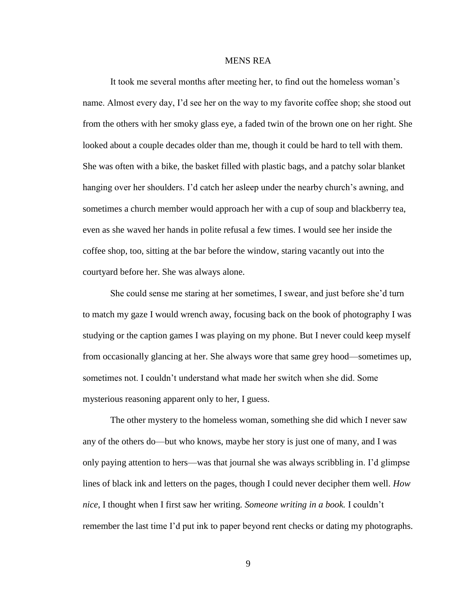#### MENS REA

It took me several months after meeting her, to find out the homeless woman's name. Almost every day, I'd see her on the way to my favorite coffee shop; she stood out from the others with her smoky glass eye, a faded twin of the brown one on her right. She looked about a couple decades older than me, though it could be hard to tell with them. She was often with a bike, the basket filled with plastic bags, and a patchy solar blanket hanging over her shoulders. I'd catch her asleep under the nearby church's awning, and sometimes a church member would approach her with a cup of soup and blackberry tea, even as she waved her hands in polite refusal a few times. I would see her inside the coffee shop, too, sitting at the bar before the window, staring vacantly out into the courtyard before her. She was always alone.

She could sense me staring at her sometimes, I swear, and just before she'd turn to match my gaze I would wrench away, focusing back on the book of photography I was studying or the caption games I was playing on my phone. But I never could keep myself from occasionally glancing at her. She always wore that same grey hood—sometimes up, sometimes not. I couldn't understand what made her switch when she did. Some mysterious reasoning apparent only to her, I guess.

The other mystery to the homeless woman, something she did which I never saw any of the others do—but who knows, maybe her story is just one of many, and I was only paying attention to hers—was that journal she was always scribbling in. I'd glimpse lines of black ink and letters on the pages, though I could never decipher them well. *How nice*, I thought when I first saw her writing. *Someone writing in a book.* I couldn't remember the last time I'd put ink to paper beyond rent checks or dating my photographs.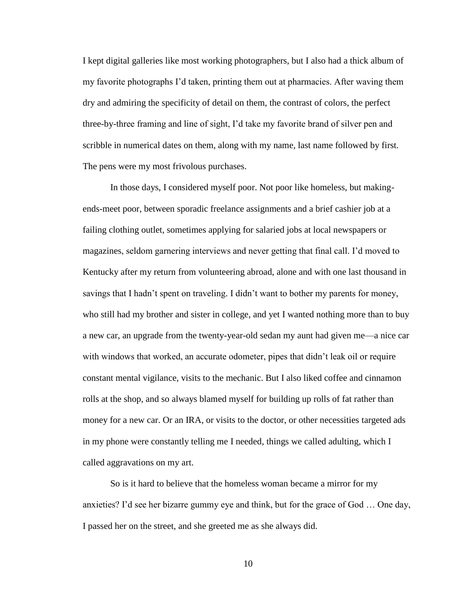I kept digital galleries like most working photographers, but I also had a thick album of my favorite photographs I'd taken, printing them out at pharmacies. After waving them dry and admiring the specificity of detail on them, the contrast of colors, the perfect three-by-three framing and line of sight, I'd take my favorite brand of silver pen and scribble in numerical dates on them, along with my name, last name followed by first. The pens were my most frivolous purchases.

In those days, I considered myself poor. Not poor like homeless, but makingends-meet poor, between sporadic freelance assignments and a brief cashier job at a failing clothing outlet, sometimes applying for salaried jobs at local newspapers or magazines, seldom garnering interviews and never getting that final call. I'd moved to Kentucky after my return from volunteering abroad, alone and with one last thousand in savings that I hadn't spent on traveling. I didn't want to bother my parents for money, who still had my brother and sister in college, and yet I wanted nothing more than to buy a new car, an upgrade from the twenty-year-old sedan my aunt had given me—a nice car with windows that worked, an accurate odometer, pipes that didn't leak oil or require constant mental vigilance, visits to the mechanic. But I also liked coffee and cinnamon rolls at the shop, and so always blamed myself for building up rolls of fat rather than money for a new car. Or an IRA, or visits to the doctor, or other necessities targeted ads in my phone were constantly telling me I needed, things we called adulting, which I called aggravations on my art.

So is it hard to believe that the homeless woman became a mirror for my anxieties? I'd see her bizarre gummy eye and think, but for the grace of God … One day, I passed her on the street, and she greeted me as she always did.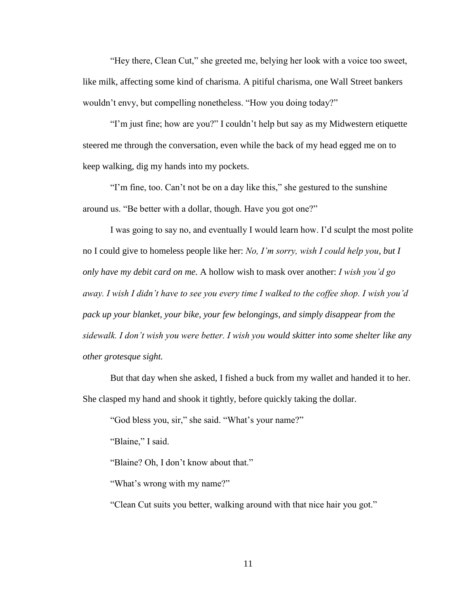"Hey there, Clean Cut," she greeted me, belying her look with a voice too sweet, like milk, affecting some kind of charisma. A pitiful charisma, one Wall Street bankers wouldn't envy, but compelling nonetheless. "How you doing today?"

"I'm just fine; how are you?" I couldn't help but say as my Midwestern etiquette steered me through the conversation, even while the back of my head egged me on to keep walking, dig my hands into my pockets.

"I'm fine, too. Can't not be on a day like this," she gestured to the sunshine around us. "Be better with a dollar, though. Have you got one?"

I was going to say no, and eventually I would learn how. I'd sculpt the most polite no I could give to homeless people like her: *No, I'm sorry, wish I could help you, but I only have my debit card on me.* A hollow wish to mask over another: *I wish you'd go away. I wish I didn't have to see you every time I walked to the coffee shop. I wish you'd pack up your blanket, your bike, your few belongings, and simply disappear from the sidewalk. I don't wish you were better. I wish you would skitter into some shelter like any other grotesque sight.*

But that day when she asked, I fished a buck from my wallet and handed it to her. She clasped my hand and shook it tightly, before quickly taking the dollar.

"God bless you, sir," she said. "What's your name?"

"Blaine," I said.

"Blaine? Oh, I don't know about that."

"What's wrong with my name?"

"Clean Cut suits you better, walking around with that nice hair you got."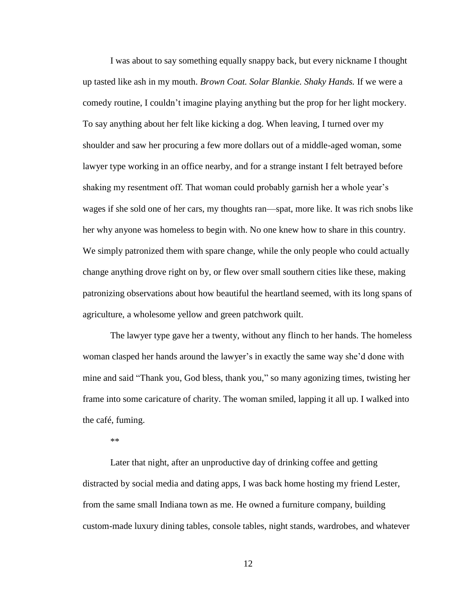I was about to say something equally snappy back, but every nickname I thought up tasted like ash in my mouth. *Brown Coat. Solar Blankie. Shaky Hands.* If we were a comedy routine, I couldn't imagine playing anything but the prop for her light mockery. To say anything about her felt like kicking a dog. When leaving, I turned over my shoulder and saw her procuring a few more dollars out of a middle-aged woman, some lawyer type working in an office nearby, and for a strange instant I felt betrayed before shaking my resentment off. That woman could probably garnish her a whole year's wages if she sold one of her cars, my thoughts ran—spat, more like. It was rich snobs like her why anyone was homeless to begin with. No one knew how to share in this country. We simply patronized them with spare change, while the only people who could actually change anything drove right on by, or flew over small southern cities like these, making patronizing observations about how beautiful the heartland seemed, with its long spans of agriculture, a wholesome yellow and green patchwork quilt.

The lawyer type gave her a twenty, without any flinch to her hands. The homeless woman clasped her hands around the lawyer's in exactly the same way she'd done with mine and said "Thank you, God bless, thank you," so many agonizing times, twisting her frame into some caricature of charity. The woman smiled, lapping it all up. I walked into the café, fuming.

\*\*

Later that night, after an unproductive day of drinking coffee and getting distracted by social media and dating apps, I was back home hosting my friend Lester, from the same small Indiana town as me. He owned a furniture company, building custom-made luxury dining tables, console tables, night stands, wardrobes, and whatever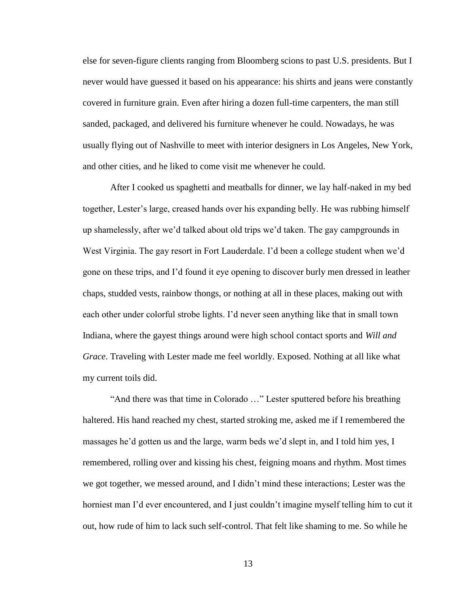else for seven-figure clients ranging from Bloomberg scions to past U.S. presidents. But I never would have guessed it based on his appearance: his shirts and jeans were constantly covered in furniture grain. Even after hiring a dozen full-time carpenters, the man still sanded, packaged, and delivered his furniture whenever he could. Nowadays, he was usually flying out of Nashville to meet with interior designers in Los Angeles, New York, and other cities, and he liked to come visit me whenever he could.

After I cooked us spaghetti and meatballs for dinner, we lay half-naked in my bed together, Lester's large, creased hands over his expanding belly. He was rubbing himself up shamelessly, after we'd talked about old trips we'd taken. The gay campgrounds in West Virginia. The gay resort in Fort Lauderdale. I'd been a college student when we'd gone on these trips, and I'd found it eye opening to discover burly men dressed in leather chaps, studded vests, rainbow thongs, or nothing at all in these places, making out with each other under colorful strobe lights. I'd never seen anything like that in small town Indiana, where the gayest things around were high school contact sports and *Will and Grace*. Traveling with Lester made me feel worldly. Exposed. Nothing at all like what my current toils did.

"And there was that time in Colorado …" Lester sputtered before his breathing haltered. His hand reached my chest, started stroking me, asked me if I remembered the massages he'd gotten us and the large, warm beds we'd slept in, and I told him yes, I remembered, rolling over and kissing his chest, feigning moans and rhythm. Most times we got together, we messed around, and I didn't mind these interactions; Lester was the horniest man I'd ever encountered, and I just couldn't imagine myself telling him to cut it out, how rude of him to lack such self-control. That felt like shaming to me. So while he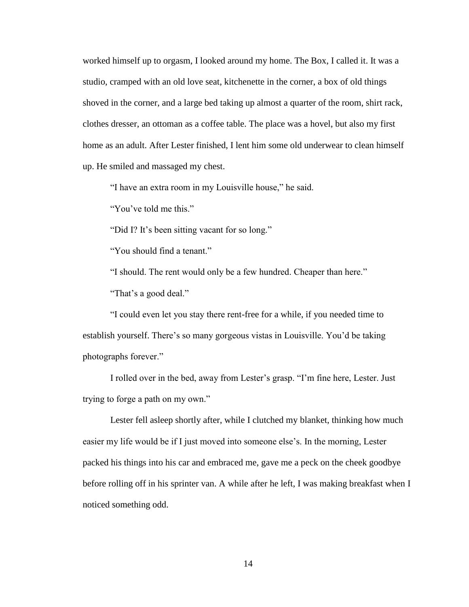worked himself up to orgasm, I looked around my home. The Box, I called it. It was a studio, cramped with an old love seat, kitchenette in the corner, a box of old things shoved in the corner, and a large bed taking up almost a quarter of the room, shirt rack, clothes dresser, an ottoman as a coffee table. The place was a hovel, but also my first home as an adult. After Lester finished, I lent him some old underwear to clean himself up. He smiled and massaged my chest.

"I have an extra room in my Louisville house," he said.

"You've told me this."

"Did I? It's been sitting vacant for so long."

"You should find a tenant."

"I should. The rent would only be a few hundred. Cheaper than here." "That's a good deal."

"I could even let you stay there rent-free for a while, if you needed time to establish yourself. There's so many gorgeous vistas in Louisville. You'd be taking photographs forever."

I rolled over in the bed, away from Lester's grasp. "I'm fine here, Lester. Just trying to forge a path on my own."

Lester fell asleep shortly after, while I clutched my blanket, thinking how much easier my life would be if I just moved into someone else's. In the morning, Lester packed his things into his car and embraced me, gave me a peck on the cheek goodbye before rolling off in his sprinter van. A while after he left, I was making breakfast when I noticed something odd.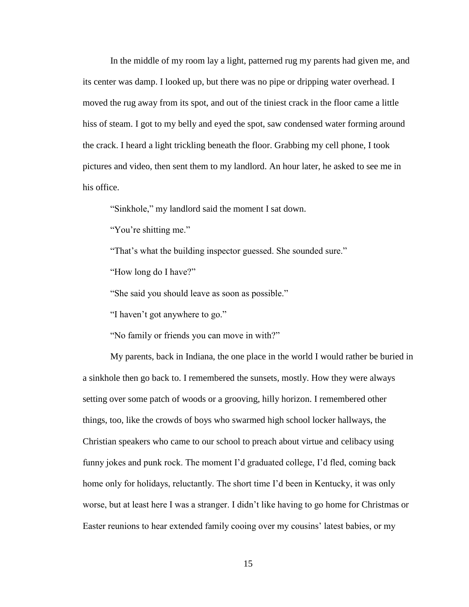In the middle of my room lay a light, patterned rug my parents had given me, and its center was damp. I looked up, but there was no pipe or dripping water overhead. I moved the rug away from its spot, and out of the tiniest crack in the floor came a little hiss of steam. I got to my belly and eyed the spot, saw condensed water forming around the crack. I heard a light trickling beneath the floor. Grabbing my cell phone, I took pictures and video, then sent them to my landlord. An hour later, he asked to see me in his office.

"Sinkhole," my landlord said the moment I sat down.

"You're shitting me."

"That's what the building inspector guessed. She sounded sure."

"How long do I have?"

"She said you should leave as soon as possible."

"I haven't got anywhere to go."

"No family or friends you can move in with?"

My parents, back in Indiana, the one place in the world I would rather be buried in a sinkhole then go back to. I remembered the sunsets, mostly. How they were always setting over some patch of woods or a grooving, hilly horizon. I remembered other things, too, like the crowds of boys who swarmed high school locker hallways, the Christian speakers who came to our school to preach about virtue and celibacy using funny jokes and punk rock. The moment I'd graduated college, I'd fled, coming back home only for holidays, reluctantly. The short time I'd been in Kentucky, it was only worse, but at least here I was a stranger. I didn't like having to go home for Christmas or Easter reunions to hear extended family cooing over my cousins' latest babies, or my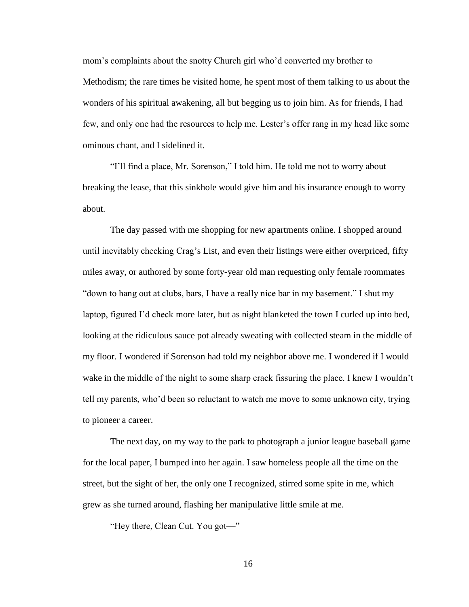mom's complaints about the snotty Church girl who'd converted my brother to Methodism; the rare times he visited home, he spent most of them talking to us about the wonders of his spiritual awakening, all but begging us to join him. As for friends, I had few, and only one had the resources to help me. Lester's offer rang in my head like some ominous chant, and I sidelined it.

"I'll find a place, Mr. Sorenson," I told him. He told me not to worry about breaking the lease, that this sinkhole would give him and his insurance enough to worry about.

The day passed with me shopping for new apartments online. I shopped around until inevitably checking Crag's List, and even their listings were either overpriced, fifty miles away, or authored by some forty-year old man requesting only female roommates "down to hang out at clubs, bars, I have a really nice bar in my basement." I shut my laptop, figured I'd check more later, but as night blanketed the town I curled up into bed, looking at the ridiculous sauce pot already sweating with collected steam in the middle of my floor. I wondered if Sorenson had told my neighbor above me. I wondered if I would wake in the middle of the night to some sharp crack fissuring the place. I knew I wouldn't tell my parents, who'd been so reluctant to watch me move to some unknown city, trying to pioneer a career.

The next day, on my way to the park to photograph a junior league baseball game for the local paper, I bumped into her again. I saw homeless people all the time on the street, but the sight of her, the only one I recognized, stirred some spite in me, which grew as she turned around, flashing her manipulative little smile at me.

"Hey there, Clean Cut. You got—"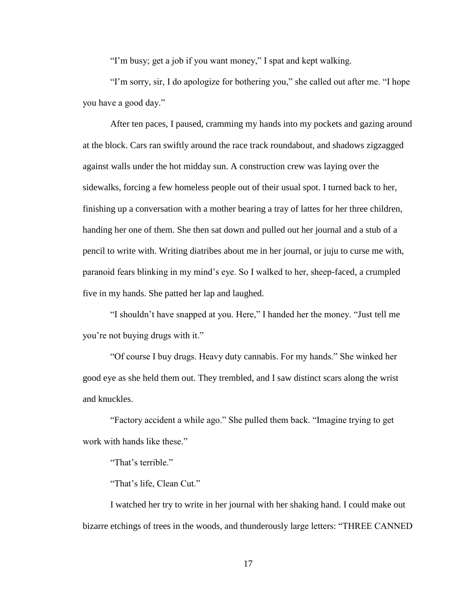"I'm busy; get a job if you want money," I spat and kept walking.

"I'm sorry, sir, I do apologize for bothering you," she called out after me. "I hope you have a good day."

After ten paces, I paused, cramming my hands into my pockets and gazing around at the block. Cars ran swiftly around the race track roundabout, and shadows zigzagged against walls under the hot midday sun. A construction crew was laying over the sidewalks, forcing a few homeless people out of their usual spot. I turned back to her, finishing up a conversation with a mother bearing a tray of lattes for her three children, handing her one of them. She then sat down and pulled out her journal and a stub of a pencil to write with. Writing diatribes about me in her journal, or juju to curse me with, paranoid fears blinking in my mind's eye. So I walked to her, sheep-faced, a crumpled five in my hands. She patted her lap and laughed.

"I shouldn't have snapped at you. Here," I handed her the money. "Just tell me you're not buying drugs with it."

"Of course I buy drugs. Heavy duty cannabis. For my hands." She winked her good eye as she held them out. They trembled, and I saw distinct scars along the wrist and knuckles.

"Factory accident a while ago." She pulled them back. "Imagine trying to get work with hands like these."

"That's terrible."

"That's life, Clean Cut."

I watched her try to write in her journal with her shaking hand. I could make out bizarre etchings of trees in the woods, and thunderously large letters: "THREE CANNED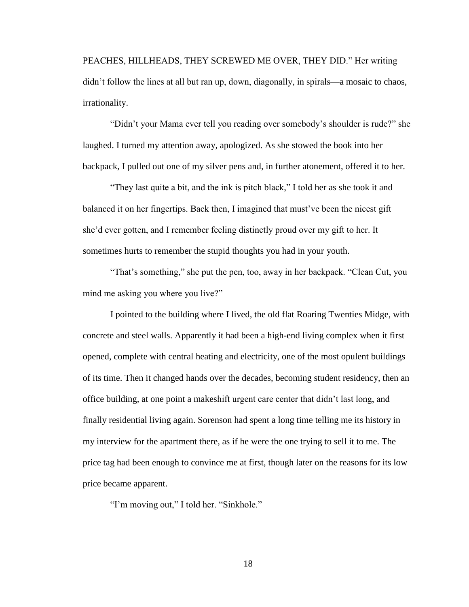PEACHES, HILLHEADS, THEY SCREWED ME OVER, THEY DID." Her writing didn't follow the lines at all but ran up, down, diagonally, in spirals—a mosaic to chaos, irrationality.

"Didn't your Mama ever tell you reading over somebody's shoulder is rude?" she laughed. I turned my attention away, apologized. As she stowed the book into her backpack, I pulled out one of my silver pens and, in further atonement, offered it to her.

"They last quite a bit, and the ink is pitch black," I told her as she took it and balanced it on her fingertips. Back then, I imagined that must've been the nicest gift she'd ever gotten, and I remember feeling distinctly proud over my gift to her. It sometimes hurts to remember the stupid thoughts you had in your youth.

"That's something," she put the pen, too, away in her backpack. "Clean Cut, you mind me asking you where you live?"

I pointed to the building where I lived, the old flat Roaring Twenties Midge, with concrete and steel walls. Apparently it had been a high-end living complex when it first opened, complete with central heating and electricity, one of the most opulent buildings of its time. Then it changed hands over the decades, becoming student residency, then an office building, at one point a makeshift urgent care center that didn't last long, and finally residential living again. Sorenson had spent a long time telling me its history in my interview for the apartment there, as if he were the one trying to sell it to me. The price tag had been enough to convince me at first, though later on the reasons for its low price became apparent.

"I'm moving out," I told her. "Sinkhole."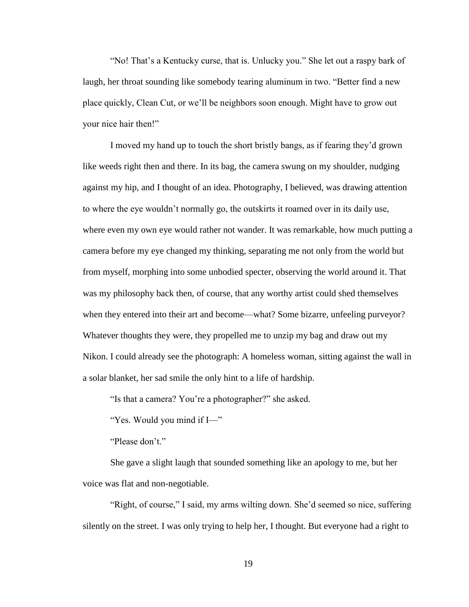"No! That's a Kentucky curse, that is. Unlucky you." She let out a raspy bark of laugh, her throat sounding like somebody tearing aluminum in two. "Better find a new place quickly, Clean Cut, or we'll be neighbors soon enough. Might have to grow out your nice hair then!"

I moved my hand up to touch the short bristly bangs, as if fearing they'd grown like weeds right then and there. In its bag, the camera swung on my shoulder, nudging against my hip, and I thought of an idea. Photography, I believed, was drawing attention to where the eye wouldn't normally go, the outskirts it roamed over in its daily use, where even my own eye would rather not wander. It was remarkable, how much putting a camera before my eye changed my thinking, separating me not only from the world but from myself, morphing into some unbodied specter, observing the world around it. That was my philosophy back then, of course, that any worthy artist could shed themselves when they entered into their art and become—what? Some bizarre, unfeeling purveyor? Whatever thoughts they were, they propelled me to unzip my bag and draw out my Nikon. I could already see the photograph: A homeless woman, sitting against the wall in a solar blanket, her sad smile the only hint to a life of hardship.

"Is that a camera? You're a photographer?" she asked.

"Yes. Would you mind if I—"

"Please don't."

She gave a slight laugh that sounded something like an apology to me, but her voice was flat and non-negotiable.

"Right, of course," I said, my arms wilting down. She'd seemed so nice, suffering silently on the street. I was only trying to help her, I thought. But everyone had a right to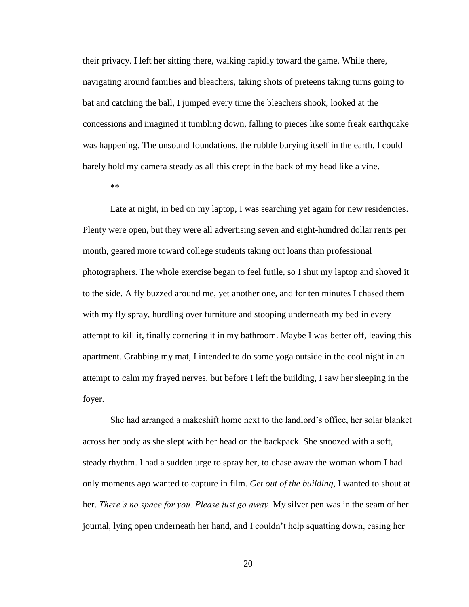their privacy. I left her sitting there, walking rapidly toward the game. While there, navigating around families and bleachers, taking shots of preteens taking turns going to bat and catching the ball, I jumped every time the bleachers shook, looked at the concessions and imagined it tumbling down, falling to pieces like some freak earthquake was happening. The unsound foundations, the rubble burying itself in the earth. I could barely hold my camera steady as all this crept in the back of my head like a vine.

\*\*

Late at night, in bed on my laptop, I was searching yet again for new residencies. Plenty were open, but they were all advertising seven and eight-hundred dollar rents per month, geared more toward college students taking out loans than professional photographers. The whole exercise began to feel futile, so I shut my laptop and shoved it to the side. A fly buzzed around me, yet another one, and for ten minutes I chased them with my fly spray, hurdling over furniture and stooping underneath my bed in every attempt to kill it, finally cornering it in my bathroom. Maybe I was better off, leaving this apartment. Grabbing my mat, I intended to do some yoga outside in the cool night in an attempt to calm my frayed nerves, but before I left the building, I saw her sleeping in the foyer.

She had arranged a makeshift home next to the landlord's office, her solar blanket across her body as she slept with her head on the backpack. She snoozed with a soft, steady rhythm. I had a sudden urge to spray her, to chase away the woman whom I had only moments ago wanted to capture in film. *Get out of the building,* I wanted to shout at her. *There's no space for you. Please just go away.* My silver pen was in the seam of her journal, lying open underneath her hand, and I couldn't help squatting down, easing her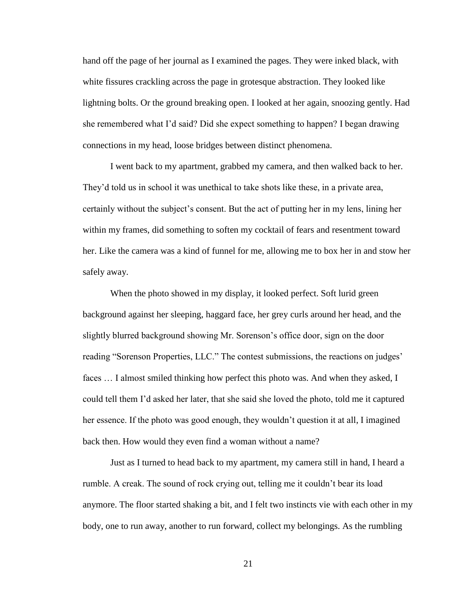hand off the page of her journal as I examined the pages. They were inked black, with white fissures crackling across the page in grotesque abstraction. They looked like lightning bolts. Or the ground breaking open. I looked at her again, snoozing gently. Had she remembered what I'd said? Did she expect something to happen? I began drawing connections in my head, loose bridges between distinct phenomena.

I went back to my apartment, grabbed my camera, and then walked back to her. They'd told us in school it was unethical to take shots like these, in a private area, certainly without the subject's consent. But the act of putting her in my lens, lining her within my frames, did something to soften my cocktail of fears and resentment toward her. Like the camera was a kind of funnel for me, allowing me to box her in and stow her safely away.

When the photo showed in my display, it looked perfect. Soft lurid green background against her sleeping, haggard face, her grey curls around her head, and the slightly blurred background showing Mr. Sorenson's office door, sign on the door reading "Sorenson Properties, LLC." The contest submissions, the reactions on judges' faces … I almost smiled thinking how perfect this photo was. And when they asked, I could tell them I'd asked her later, that she said she loved the photo, told me it captured her essence. If the photo was good enough, they wouldn't question it at all, I imagined back then. How would they even find a woman without a name?

Just as I turned to head back to my apartment, my camera still in hand, I heard a rumble. A creak. The sound of rock crying out, telling me it couldn't bear its load anymore. The floor started shaking a bit, and I felt two instincts vie with each other in my body, one to run away, another to run forward, collect my belongings. As the rumbling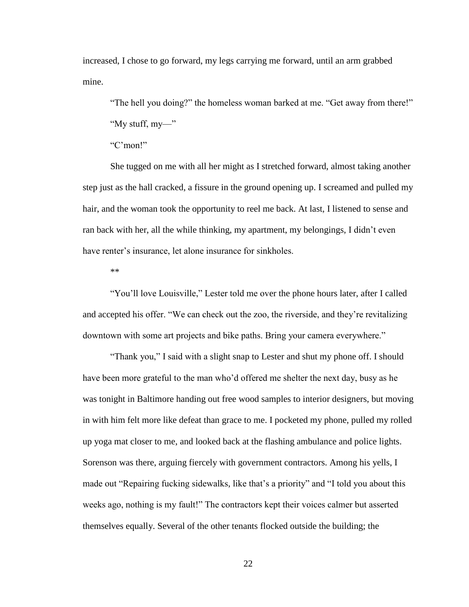increased, I chose to go forward, my legs carrying me forward, until an arm grabbed mine.

"The hell you doing?" the homeless woman barked at me. "Get away from there!"

"My stuff, my—"

"C'mon!"

She tugged on me with all her might as I stretched forward, almost taking another step just as the hall cracked, a fissure in the ground opening up. I screamed and pulled my hair, and the woman took the opportunity to reel me back. At last, I listened to sense and ran back with her, all the while thinking, my apartment, my belongings, I didn't even have renter's insurance, let alone insurance for sinkholes.

\*\*

"You'll love Louisville," Lester told me over the phone hours later, after I called and accepted his offer. "We can check out the zoo, the riverside, and they're revitalizing downtown with some art projects and bike paths. Bring your camera everywhere."

"Thank you," I said with a slight snap to Lester and shut my phone off. I should have been more grateful to the man who'd offered me shelter the next day, busy as he was tonight in Baltimore handing out free wood samples to interior designers, but moving in with him felt more like defeat than grace to me. I pocketed my phone, pulled my rolled up yoga mat closer to me, and looked back at the flashing ambulance and police lights. Sorenson was there, arguing fiercely with government contractors. Among his yells, I made out "Repairing fucking sidewalks, like that's a priority" and "I told you about this weeks ago, nothing is my fault!" The contractors kept their voices calmer but asserted themselves equally. Several of the other tenants flocked outside the building; the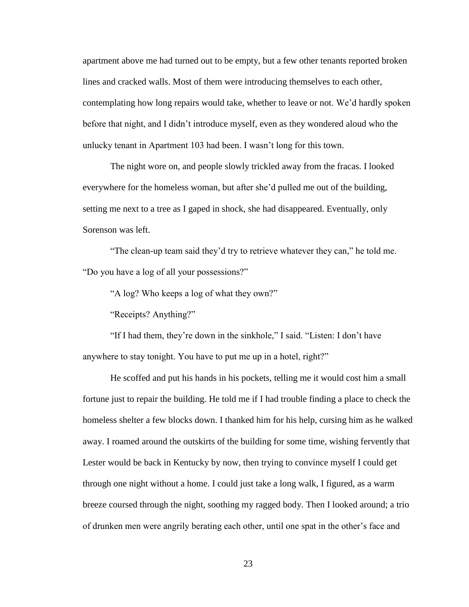apartment above me had turned out to be empty, but a few other tenants reported broken lines and cracked walls. Most of them were introducing themselves to each other, contemplating how long repairs would take, whether to leave or not. We'd hardly spoken before that night, and I didn't introduce myself, even as they wondered aloud who the unlucky tenant in Apartment 103 had been. I wasn't long for this town.

The night wore on, and people slowly trickled away from the fracas. I looked everywhere for the homeless woman, but after she'd pulled me out of the building, setting me next to a tree as I gaped in shock, she had disappeared. Eventually, only Sorenson was left.

"The clean-up team said they'd try to retrieve whatever they can," he told me. "Do you have a log of all your possessions?"

"A log? Who keeps a log of what they own?"

"Receipts? Anything?"

"If I had them, they're down in the sinkhole," I said. "Listen: I don't have anywhere to stay tonight. You have to put me up in a hotel, right?"

He scoffed and put his hands in his pockets, telling me it would cost him a small fortune just to repair the building. He told me if I had trouble finding a place to check the homeless shelter a few blocks down. I thanked him for his help, cursing him as he walked away. I roamed around the outskirts of the building for some time, wishing fervently that Lester would be back in Kentucky by now, then trying to convince myself I could get through one night without a home. I could just take a long walk, I figured, as a warm breeze coursed through the night, soothing my ragged body. Then I looked around; a trio of drunken men were angrily berating each other, until one spat in the other's face and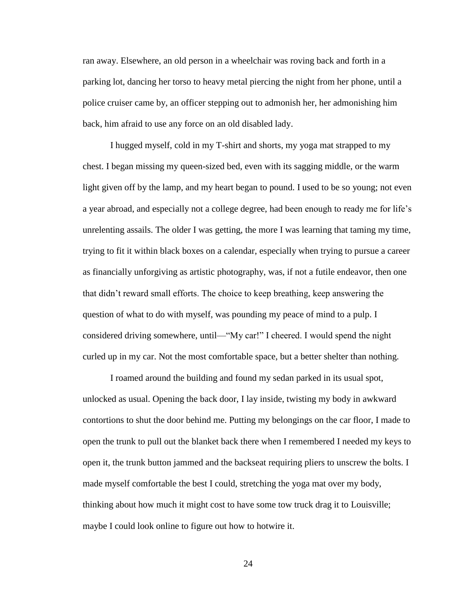ran away. Elsewhere, an old person in a wheelchair was roving back and forth in a parking lot, dancing her torso to heavy metal piercing the night from her phone, until a police cruiser came by, an officer stepping out to admonish her, her admonishing him back, him afraid to use any force on an old disabled lady.

I hugged myself, cold in my T-shirt and shorts, my yoga mat strapped to my chest. I began missing my queen-sized bed, even with its sagging middle, or the warm light given off by the lamp, and my heart began to pound. I used to be so young; not even a year abroad, and especially not a college degree, had been enough to ready me for life's unrelenting assails. The older I was getting, the more I was learning that taming my time, trying to fit it within black boxes on a calendar, especially when trying to pursue a career as financially unforgiving as artistic photography, was, if not a futile endeavor, then one that didn't reward small efforts. The choice to keep breathing, keep answering the question of what to do with myself, was pounding my peace of mind to a pulp. I considered driving somewhere, until—"My car!" I cheered. I would spend the night curled up in my car. Not the most comfortable space, but a better shelter than nothing.

I roamed around the building and found my sedan parked in its usual spot, unlocked as usual. Opening the back door, I lay inside, twisting my body in awkward contortions to shut the door behind me. Putting my belongings on the car floor, I made to open the trunk to pull out the blanket back there when I remembered I needed my keys to open it, the trunk button jammed and the backseat requiring pliers to unscrew the bolts. I made myself comfortable the best I could, stretching the yoga mat over my body, thinking about how much it might cost to have some tow truck drag it to Louisville; maybe I could look online to figure out how to hotwire it.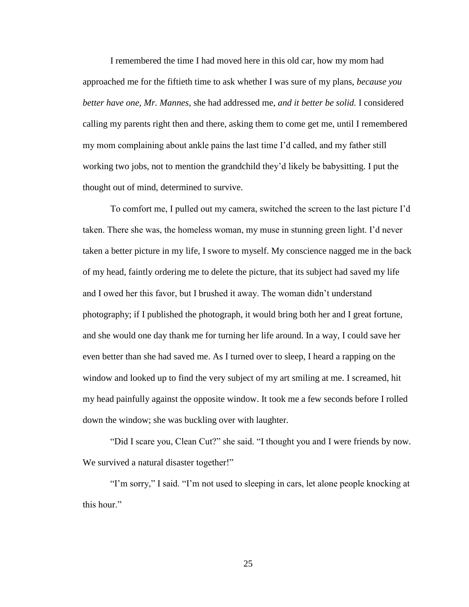I remembered the time I had moved here in this old car, how my mom had approached me for the fiftieth time to ask whether I was sure of my plans, *because you better have one, Mr. Mannes*, she had addressed me, *and it better be solid.* I considered calling my parents right then and there, asking them to come get me, until I remembered my mom complaining about ankle pains the last time I'd called, and my father still working two jobs, not to mention the grandchild they'd likely be babysitting. I put the thought out of mind, determined to survive.

To comfort me, I pulled out my camera, switched the screen to the last picture I'd taken. There she was, the homeless woman, my muse in stunning green light. I'd never taken a better picture in my life, I swore to myself. My conscience nagged me in the back of my head, faintly ordering me to delete the picture, that its subject had saved my life and I owed her this favor, but I brushed it away. The woman didn't understand photography; if I published the photograph, it would bring both her and I great fortune, and she would one day thank me for turning her life around. In a way, I could save her even better than she had saved me. As I turned over to sleep, I heard a rapping on the window and looked up to find the very subject of my art smiling at me. I screamed, hit my head painfully against the opposite window. It took me a few seconds before I rolled down the window; she was buckling over with laughter.

"Did I scare you, Clean Cut?" she said. "I thought you and I were friends by now. We survived a natural disaster together!"

"I'm sorry," I said. "I'm not used to sleeping in cars, let alone people knocking at this hour."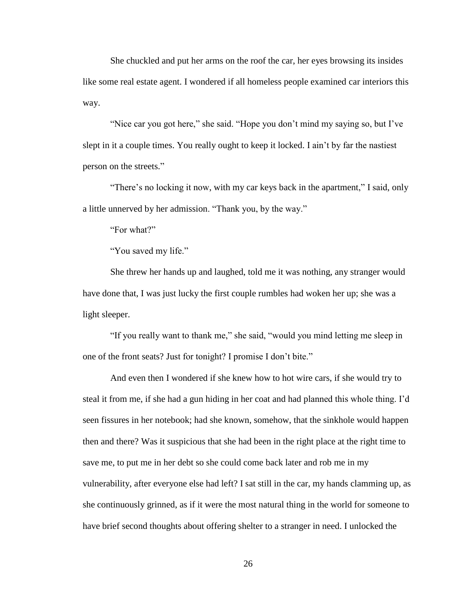She chuckled and put her arms on the roof the car, her eyes browsing its insides like some real estate agent. I wondered if all homeless people examined car interiors this way.

"Nice car you got here," she said. "Hope you don't mind my saying so, but I've slept in it a couple times. You really ought to keep it locked. I ain't by far the nastiest person on the streets."

"There's no locking it now, with my car keys back in the apartment," I said, only a little unnerved by her admission. "Thank you, by the way."

"For what?"

"You saved my life."

She threw her hands up and laughed, told me it was nothing, any stranger would have done that, I was just lucky the first couple rumbles had woken her up; she was a light sleeper.

"If you really want to thank me," she said, "would you mind letting me sleep in one of the front seats? Just for tonight? I promise I don't bite."

And even then I wondered if she knew how to hot wire cars, if she would try to steal it from me, if she had a gun hiding in her coat and had planned this whole thing. I'd seen fissures in her notebook; had she known, somehow, that the sinkhole would happen then and there? Was it suspicious that she had been in the right place at the right time to save me, to put me in her debt so she could come back later and rob me in my vulnerability, after everyone else had left? I sat still in the car, my hands clamming up, as she continuously grinned, as if it were the most natural thing in the world for someone to have brief second thoughts about offering shelter to a stranger in need. I unlocked the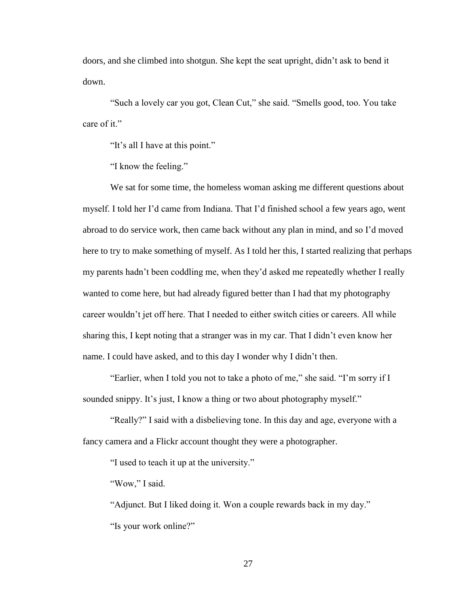doors, and she climbed into shotgun. She kept the seat upright, didn't ask to bend it down.

"Such a lovely car you got, Clean Cut," she said. "Smells good, too. You take care of it."

"It's all I have at this point."

"I know the feeling."

We sat for some time, the homeless woman asking me different questions about myself. I told her I'd came from Indiana. That I'd finished school a few years ago, went abroad to do service work, then came back without any plan in mind, and so I'd moved here to try to make something of myself. As I told her this, I started realizing that perhaps my parents hadn't been coddling me, when they'd asked me repeatedly whether I really wanted to come here, but had already figured better than I had that my photography career wouldn't jet off here. That I needed to either switch cities or careers. All while sharing this, I kept noting that a stranger was in my car. That I didn't even know her name. I could have asked, and to this day I wonder why I didn't then.

"Earlier, when I told you not to take a photo of me," she said. "I'm sorry if I sounded snippy. It's just, I know a thing or two about photography myself."

"Really?" I said with a disbelieving tone. In this day and age, everyone with a fancy camera and a Flickr account thought they were a photographer.

"I used to teach it up at the university."

"Wow," I said.

"Adjunct. But I liked doing it. Won a couple rewards back in my day." "Is your work online?"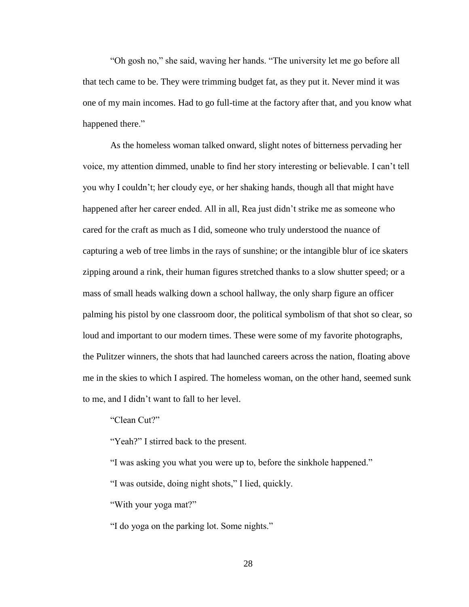"Oh gosh no," she said, waving her hands. "The university let me go before all that tech came to be. They were trimming budget fat, as they put it. Never mind it was one of my main incomes. Had to go full-time at the factory after that, and you know what happened there."

As the homeless woman talked onward, slight notes of bitterness pervading her voice, my attention dimmed, unable to find her story interesting or believable. I can't tell you why I couldn't; her cloudy eye, or her shaking hands, though all that might have happened after her career ended. All in all, Rea just didn't strike me as someone who cared for the craft as much as I did, someone who truly understood the nuance of capturing a web of tree limbs in the rays of sunshine; or the intangible blur of ice skaters zipping around a rink, their human figures stretched thanks to a slow shutter speed; or a mass of small heads walking down a school hallway, the only sharp figure an officer palming his pistol by one classroom door, the political symbolism of that shot so clear, so loud and important to our modern times. These were some of my favorite photographs, the Pulitzer winners, the shots that had launched careers across the nation, floating above me in the skies to which I aspired. The homeless woman, on the other hand, seemed sunk to me, and I didn't want to fall to her level.

"Clean Cut?"

"Yeah?" I stirred back to the present.

"I was asking you what you were up to, before the sinkhole happened."

"I was outside, doing night shots," I lied, quickly.

"With your yoga mat?"

"I do yoga on the parking lot. Some nights."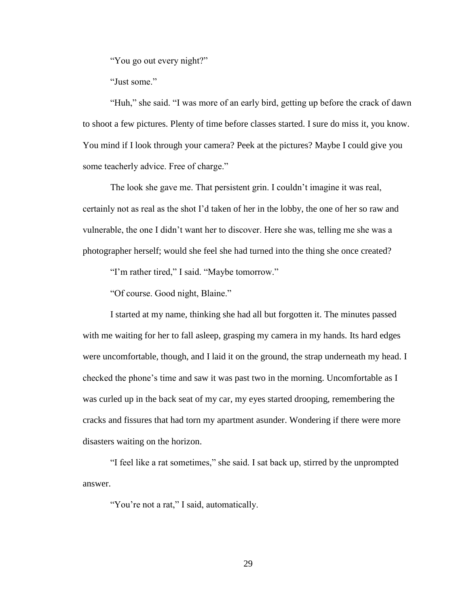"You go out every night?"

"Just some."

"Huh," she said. "I was more of an early bird, getting up before the crack of dawn to shoot a few pictures. Plenty of time before classes started. I sure do miss it, you know. You mind if I look through your camera? Peek at the pictures? Maybe I could give you some teacherly advice. Free of charge."

The look she gave me. That persistent grin. I couldn't imagine it was real, certainly not as real as the shot I'd taken of her in the lobby, the one of her so raw and vulnerable, the one I didn't want her to discover. Here she was, telling me she was a photographer herself; would she feel she had turned into the thing she once created?

"I'm rather tired," I said. "Maybe tomorrow."

"Of course. Good night, Blaine."

I started at my name, thinking she had all but forgotten it. The minutes passed with me waiting for her to fall asleep, grasping my camera in my hands. Its hard edges were uncomfortable, though, and I laid it on the ground, the strap underneath my head. I checked the phone's time and saw it was past two in the morning. Uncomfortable as I was curled up in the back seat of my car, my eyes started drooping, remembering the cracks and fissures that had torn my apartment asunder. Wondering if there were more disasters waiting on the horizon.

"I feel like a rat sometimes," she said. I sat back up, stirred by the unprompted answer.

"You're not a rat," I said, automatically.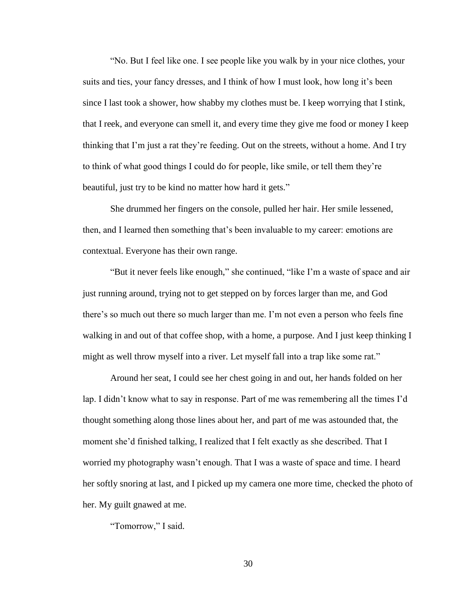"No. But I feel like one. I see people like you walk by in your nice clothes, your suits and ties, your fancy dresses, and I think of how I must look, how long it's been since I last took a shower, how shabby my clothes must be. I keep worrying that I stink, that I reek, and everyone can smell it, and every time they give me food or money I keep thinking that I'm just a rat they're feeding. Out on the streets, without a home. And I try to think of what good things I could do for people, like smile, or tell them they're beautiful, just try to be kind no matter how hard it gets."

She drummed her fingers on the console, pulled her hair. Her smile lessened, then, and I learned then something that's been invaluable to my career: emotions are contextual. Everyone has their own range.

"But it never feels like enough," she continued, "like I'm a waste of space and air just running around, trying not to get stepped on by forces larger than me, and God there's so much out there so much larger than me. I'm not even a person who feels fine walking in and out of that coffee shop, with a home, a purpose. And I just keep thinking I might as well throw myself into a river. Let myself fall into a trap like some rat."

Around her seat, I could see her chest going in and out, her hands folded on her lap. I didn't know what to say in response. Part of me was remembering all the times I'd thought something along those lines about her, and part of me was astounded that, the moment she'd finished talking, I realized that I felt exactly as she described. That I worried my photography wasn't enough. That I was a waste of space and time. I heard her softly snoring at last, and I picked up my camera one more time, checked the photo of her. My guilt gnawed at me.

"Tomorrow," I said.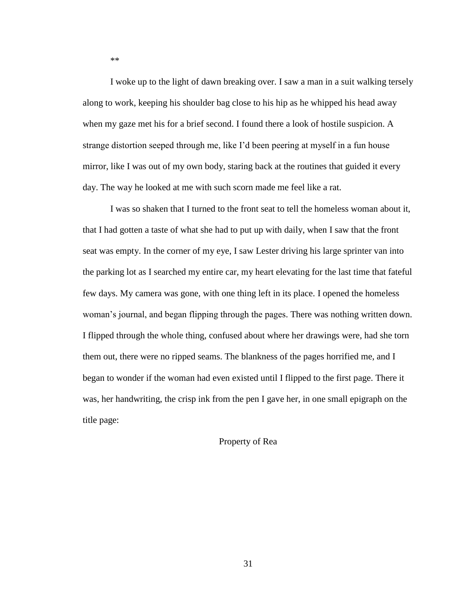I woke up to the light of dawn breaking over. I saw a man in a suit walking tersely along to work, keeping his shoulder bag close to his hip as he whipped his head away when my gaze met his for a brief second. I found there a look of hostile suspicion. A strange distortion seeped through me, like I'd been peering at myself in a fun house mirror, like I was out of my own body, staring back at the routines that guided it every day. The way he looked at me with such scorn made me feel like a rat.

I was so shaken that I turned to the front seat to tell the homeless woman about it, that I had gotten a taste of what she had to put up with daily, when I saw that the front seat was empty. In the corner of my eye, I saw Lester driving his large sprinter van into the parking lot as I searched my entire car, my heart elevating for the last time that fateful few days. My camera was gone, with one thing left in its place. I opened the homeless woman's journal, and began flipping through the pages. There was nothing written down. I flipped through the whole thing, confused about where her drawings were, had she torn them out, there were no ripped seams. The blankness of the pages horrified me, and I began to wonder if the woman had even existed until I flipped to the first page. There it was, her handwriting, the crisp ink from the pen I gave her, in one small epigraph on the title page:

## Property of Rea

\*\*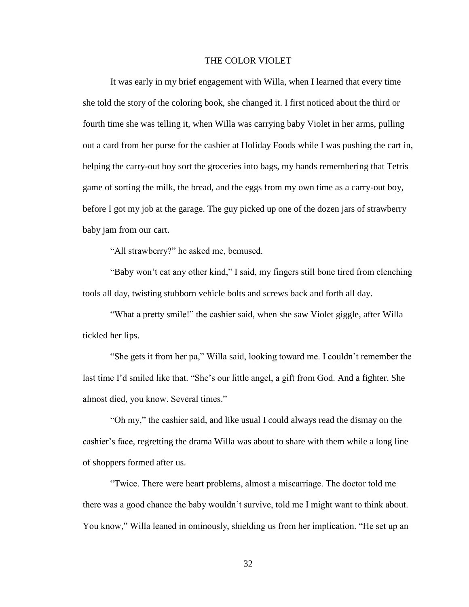## THE COLOR VIOLET

It was early in my brief engagement with Willa, when I learned that every time she told the story of the coloring book, she changed it. I first noticed about the third or fourth time she was telling it, when Willa was carrying baby Violet in her arms, pulling out a card from her purse for the cashier at Holiday Foods while I was pushing the cart in, helping the carry-out boy sort the groceries into bags, my hands remembering that Tetris game of sorting the milk, the bread, and the eggs from my own time as a carry-out boy, before I got my job at the garage. The guy picked up one of the dozen jars of strawberry baby jam from our cart.

"All strawberry?" he asked me, bemused.

"Baby won't eat any other kind," I said, my fingers still bone tired from clenching tools all day, twisting stubborn vehicle bolts and screws back and forth all day.

"What a pretty smile!" the cashier said, when she saw Violet giggle, after Willa tickled her lips.

"She gets it from her pa," Willa said, looking toward me. I couldn't remember the last time I'd smiled like that. "She's our little angel, a gift from God. And a fighter. She almost died, you know. Several times."

"Oh my," the cashier said, and like usual I could always read the dismay on the cashier's face, regretting the drama Willa was about to share with them while a long line of shoppers formed after us.

"Twice. There were heart problems, almost a miscarriage. The doctor told me there was a good chance the baby wouldn't survive, told me I might want to think about. You know," Willa leaned in ominously, shielding us from her implication. "He set up an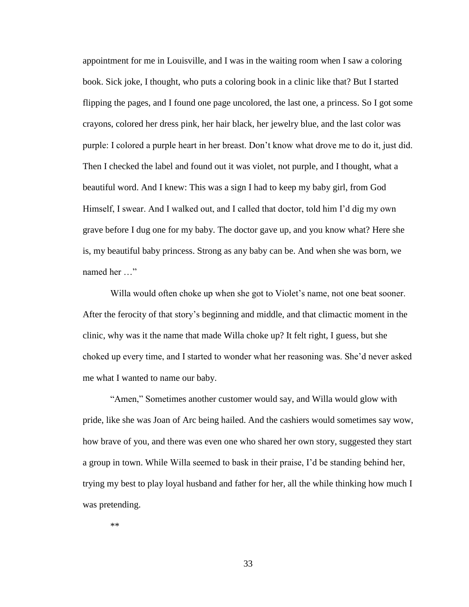appointment for me in Louisville, and I was in the waiting room when I saw a coloring book. Sick joke, I thought, who puts a coloring book in a clinic like that? But I started flipping the pages, and I found one page uncolored, the last one, a princess. So I got some crayons, colored her dress pink, her hair black, her jewelry blue, and the last color was purple: I colored a purple heart in her breast. Don't know what drove me to do it, just did. Then I checked the label and found out it was violet, not purple, and I thought, what a beautiful word. And I knew: This was a sign I had to keep my baby girl, from God Himself, I swear. And I walked out, and I called that doctor, told him I'd dig my own grave before I dug one for my baby. The doctor gave up, and you know what? Here she is, my beautiful baby princess. Strong as any baby can be. And when she was born, we named her …"

Willa would often choke up when she got to Violet's name, not one beat sooner. After the ferocity of that story's beginning and middle, and that climactic moment in the clinic, why was it the name that made Willa choke up? It felt right, I guess, but she choked up every time, and I started to wonder what her reasoning was. She'd never asked me what I wanted to name our baby.

"Amen," Sometimes another customer would say, and Willa would glow with pride, like she was Joan of Arc being hailed. And the cashiers would sometimes say wow, how brave of you, and there was even one who shared her own story, suggested they start a group in town. While Willa seemed to bask in their praise, I'd be standing behind her, trying my best to play loyal husband and father for her, all the while thinking how much I was pretending.

\*\*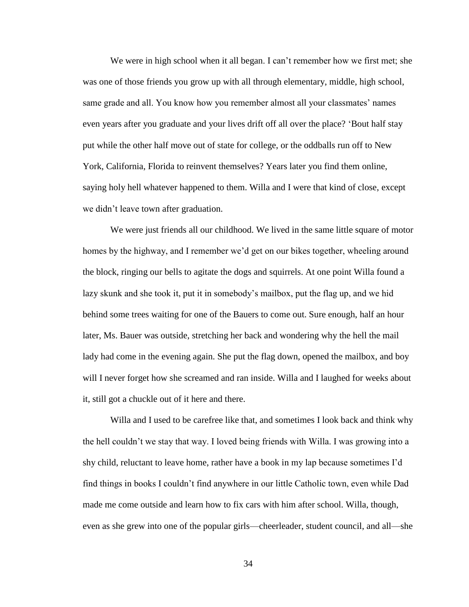We were in high school when it all began. I can't remember how we first met; she was one of those friends you grow up with all through elementary, middle, high school, same grade and all. You know how you remember almost all your classmates' names even years after you graduate and your lives drift off all over the place? 'Bout half stay put while the other half move out of state for college, or the oddballs run off to New York, California, Florida to reinvent themselves? Years later you find them online, saying holy hell whatever happened to them. Willa and I were that kind of close, except we didn't leave town after graduation.

We were just friends all our childhood. We lived in the same little square of motor homes by the highway, and I remember we'd get on our bikes together, wheeling around the block, ringing our bells to agitate the dogs and squirrels. At one point Willa found a lazy skunk and she took it, put it in somebody's mailbox, put the flag up, and we hid behind some trees waiting for one of the Bauers to come out. Sure enough, half an hour later, Ms. Bauer was outside, stretching her back and wondering why the hell the mail lady had come in the evening again. She put the flag down, opened the mailbox, and boy will I never forget how she screamed and ran inside. Willa and I laughed for weeks about it, still got a chuckle out of it here and there.

Willa and I used to be carefree like that, and sometimes I look back and think why the hell couldn't we stay that way. I loved being friends with Willa. I was growing into a shy child, reluctant to leave home, rather have a book in my lap because sometimes I'd find things in books I couldn't find anywhere in our little Catholic town, even while Dad made me come outside and learn how to fix cars with him after school. Willa, though, even as she grew into one of the popular girls—cheerleader, student council, and all—she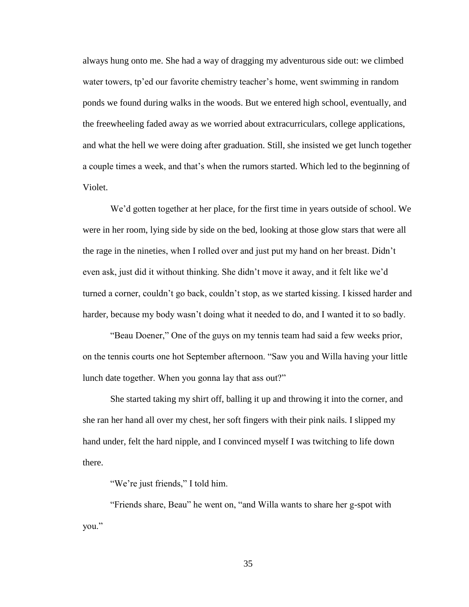always hung onto me. She had a way of dragging my adventurous side out: we climbed water towers, tp'ed our favorite chemistry teacher's home, went swimming in random ponds we found during walks in the woods. But we entered high school, eventually, and the freewheeling faded away as we worried about extracurriculars, college applications, and what the hell we were doing after graduation. Still, she insisted we get lunch together a couple times a week, and that's when the rumors started. Which led to the beginning of Violet.

We'd gotten together at her place, for the first time in years outside of school. We were in her room, lying side by side on the bed, looking at those glow stars that were all the rage in the nineties, when I rolled over and just put my hand on her breast. Didn't even ask, just did it without thinking. She didn't move it away, and it felt like we'd turned a corner, couldn't go back, couldn't stop, as we started kissing. I kissed harder and harder, because my body wasn't doing what it needed to do, and I wanted it to so badly.

"Beau Doener," One of the guys on my tennis team had said a few weeks prior, on the tennis courts one hot September afternoon. "Saw you and Willa having your little lunch date together. When you gonna lay that ass out?"

She started taking my shirt off, balling it up and throwing it into the corner, and she ran her hand all over my chest, her soft fingers with their pink nails. I slipped my hand under, felt the hard nipple, and I convinced myself I was twitching to life down there.

"We're just friends," I told him.

"Friends share, Beau" he went on, "and Willa wants to share her g-spot with you."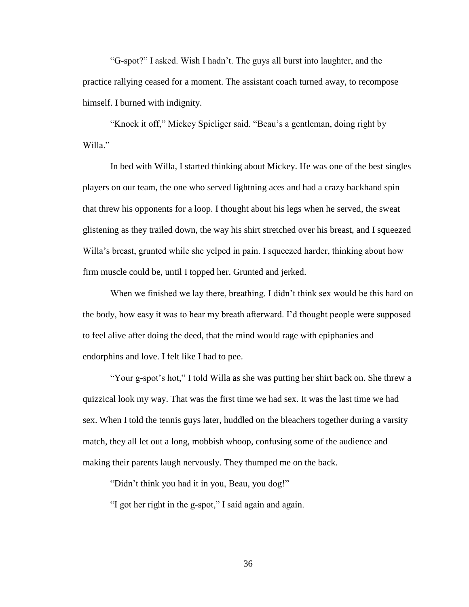"G-spot?" I asked. Wish I hadn't. The guys all burst into laughter, and the practice rallying ceased for a moment. The assistant coach turned away, to recompose himself. I burned with indignity.

"Knock it off," Mickey Spieliger said. "Beau's a gentleman, doing right by Willa."

In bed with Willa, I started thinking about Mickey. He was one of the best singles players on our team, the one who served lightning aces and had a crazy backhand spin that threw his opponents for a loop. I thought about his legs when he served, the sweat glistening as they trailed down, the way his shirt stretched over his breast, and I squeezed Willa's breast, grunted while she yelped in pain. I squeezed harder, thinking about how firm muscle could be, until I topped her. Grunted and jerked.

When we finished we lay there, breathing. I didn't think sex would be this hard on the body, how easy it was to hear my breath afterward. I'd thought people were supposed to feel alive after doing the deed, that the mind would rage with epiphanies and endorphins and love. I felt like I had to pee.

"Your g-spot's hot," I told Willa as she was putting her shirt back on. She threw a quizzical look my way. That was the first time we had sex. It was the last time we had sex. When I told the tennis guys later, huddled on the bleachers together during a varsity match, they all let out a long, mobbish whoop, confusing some of the audience and making their parents laugh nervously. They thumped me on the back.

"Didn't think you had it in you, Beau, you dog!"

"I got her right in the g-spot," I said again and again.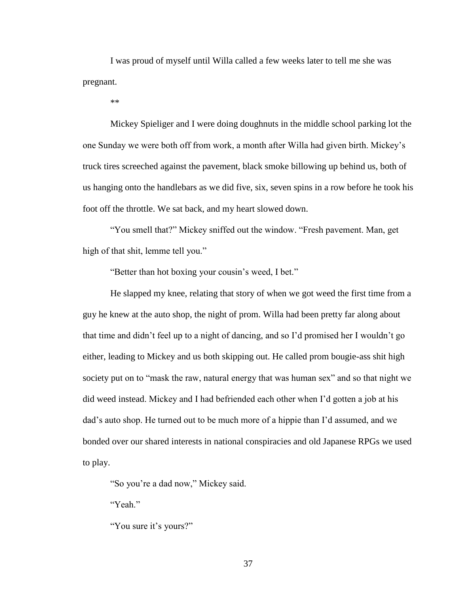I was proud of myself until Willa called a few weeks later to tell me she was pregnant.

\*\*

Mickey Spieliger and I were doing doughnuts in the middle school parking lot the one Sunday we were both off from work, a month after Willa had given birth. Mickey's truck tires screeched against the pavement, black smoke billowing up behind us, both of us hanging onto the handlebars as we did five, six, seven spins in a row before he took his foot off the throttle. We sat back, and my heart slowed down.

"You smell that?" Mickey sniffed out the window. "Fresh pavement. Man, get high of that shit, lemme tell you."

"Better than hot boxing your cousin's weed, I bet."

He slapped my knee, relating that story of when we got weed the first time from a guy he knew at the auto shop, the night of prom. Willa had been pretty far along about that time and didn't feel up to a night of dancing, and so I'd promised her I wouldn't go either, leading to Mickey and us both skipping out. He called prom bougie-ass shit high society put on to "mask the raw, natural energy that was human sex" and so that night we did weed instead. Mickey and I had befriended each other when I'd gotten a job at his dad's auto shop. He turned out to be much more of a hippie than I'd assumed, and we bonded over our shared interests in national conspiracies and old Japanese RPGs we used to play.

"So you're a dad now," Mickey said.

"Yeah."

"You sure it's yours?"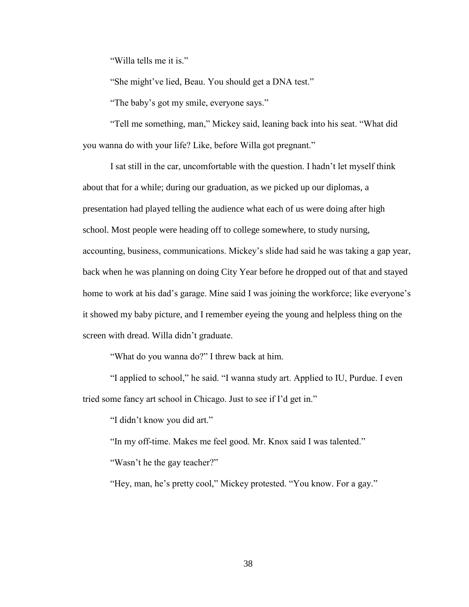"Willa tells me it is."

"She might've lied, Beau. You should get a DNA test."

"The baby's got my smile, everyone says."

"Tell me something, man," Mickey said, leaning back into his seat. "What did you wanna do with your life? Like, before Willa got pregnant."

I sat still in the car, uncomfortable with the question. I hadn't let myself think about that for a while; during our graduation, as we picked up our diplomas, a presentation had played telling the audience what each of us were doing after high school. Most people were heading off to college somewhere, to study nursing, accounting, business, communications. Mickey's slide had said he was taking a gap year, back when he was planning on doing City Year before he dropped out of that and stayed home to work at his dad's garage. Mine said I was joining the workforce; like everyone's it showed my baby picture, and I remember eyeing the young and helpless thing on the screen with dread. Willa didn't graduate.

"What do you wanna do?" I threw back at him.

"I applied to school," he said. "I wanna study art. Applied to IU, Purdue. I even tried some fancy art school in Chicago. Just to see if I'd get in."

"I didn't know you did art."

"In my off-time. Makes me feel good. Mr. Knox said I was talented."

"Wasn't he the gay teacher?"

"Hey, man, he's pretty cool," Mickey protested. "You know. For a gay."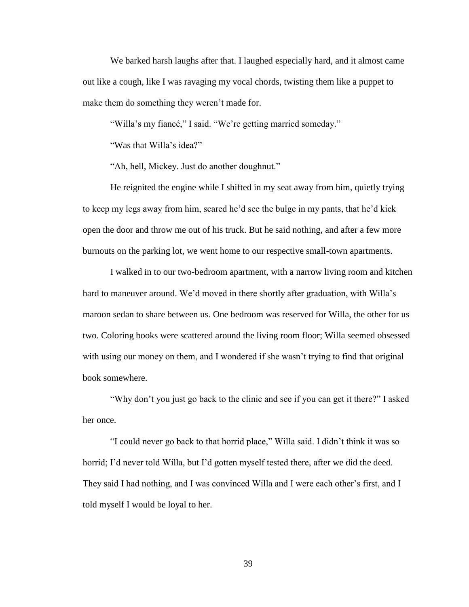We barked harsh laughs after that. I laughed especially hard, and it almost came out like a cough, like I was ravaging my vocal chords, twisting them like a puppet to make them do something they weren't made for.

"Willa's my fiancé," I said. "We're getting married someday."

"Was that Willa's idea?"

"Ah, hell, Mickey. Just do another doughnut."

He reignited the engine while I shifted in my seat away from him, quietly trying to keep my legs away from him, scared he'd see the bulge in my pants, that he'd kick open the door and throw me out of his truck. But he said nothing, and after a few more burnouts on the parking lot, we went home to our respective small-town apartments.

I walked in to our two-bedroom apartment, with a narrow living room and kitchen hard to maneuver around. We'd moved in there shortly after graduation, with Willa's maroon sedan to share between us. One bedroom was reserved for Willa, the other for us two. Coloring books were scattered around the living room floor; Willa seemed obsessed with using our money on them, and I wondered if she wasn't trying to find that original book somewhere.

"Why don't you just go back to the clinic and see if you can get it there?" I asked her once.

"I could never go back to that horrid place," Willa said. I didn't think it was so horrid; I'd never told Willa, but I'd gotten myself tested there, after we did the deed. They said I had nothing, and I was convinced Willa and I were each other's first, and I told myself I would be loyal to her.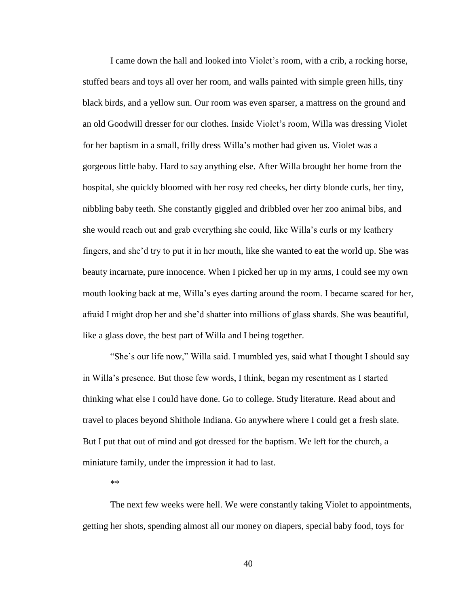I came down the hall and looked into Violet's room, with a crib, a rocking horse, stuffed bears and toys all over her room, and walls painted with simple green hills, tiny black birds, and a yellow sun. Our room was even sparser, a mattress on the ground and an old Goodwill dresser for our clothes. Inside Violet's room, Willa was dressing Violet for her baptism in a small, frilly dress Willa's mother had given us. Violet was a gorgeous little baby. Hard to say anything else. After Willa brought her home from the hospital, she quickly bloomed with her rosy red cheeks, her dirty blonde curls, her tiny, nibbling baby teeth. She constantly giggled and dribbled over her zoo animal bibs, and she would reach out and grab everything she could, like Willa's curls or my leathery fingers, and she'd try to put it in her mouth, like she wanted to eat the world up. She was beauty incarnate, pure innocence. When I picked her up in my arms, I could see my own mouth looking back at me, Willa's eyes darting around the room. I became scared for her, afraid I might drop her and she'd shatter into millions of glass shards. She was beautiful, like a glass dove, the best part of Willa and I being together.

"She's our life now," Willa said. I mumbled yes, said what I thought I should say in Willa's presence. But those few words, I think, began my resentment as I started thinking what else I could have done. Go to college. Study literature. Read about and travel to places beyond Shithole Indiana. Go anywhere where I could get a fresh slate. But I put that out of mind and got dressed for the baptism. We left for the church, a miniature family, under the impression it had to last.

\*\*

The next few weeks were hell. We were constantly taking Violet to appointments, getting her shots, spending almost all our money on diapers, special baby food, toys for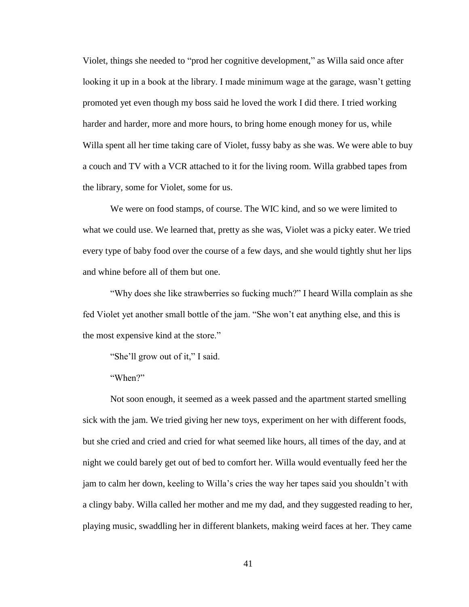Violet, things she needed to "prod her cognitive development," as Willa said once after looking it up in a book at the library. I made minimum wage at the garage, wasn't getting promoted yet even though my boss said he loved the work I did there. I tried working harder and harder, more and more hours, to bring home enough money for us, while Willa spent all her time taking care of Violet, fussy baby as she was. We were able to buy a couch and TV with a VCR attached to it for the living room. Willa grabbed tapes from the library, some for Violet, some for us.

We were on food stamps, of course. The WIC kind, and so we were limited to what we could use. We learned that, pretty as she was, Violet was a picky eater. We tried every type of baby food over the course of a few days, and she would tightly shut her lips and whine before all of them but one.

"Why does she like strawberries so fucking much?" I heard Willa complain as she fed Violet yet another small bottle of the jam. "She won't eat anything else, and this is the most expensive kind at the store."

"She'll grow out of it," I said.

"When?"

Not soon enough, it seemed as a week passed and the apartment started smelling sick with the jam. We tried giving her new toys, experiment on her with different foods, but she cried and cried and cried for what seemed like hours, all times of the day, and at night we could barely get out of bed to comfort her. Willa would eventually feed her the jam to calm her down, keeling to Willa's cries the way her tapes said you shouldn't with a clingy baby. Willa called her mother and me my dad, and they suggested reading to her, playing music, swaddling her in different blankets, making weird faces at her. They came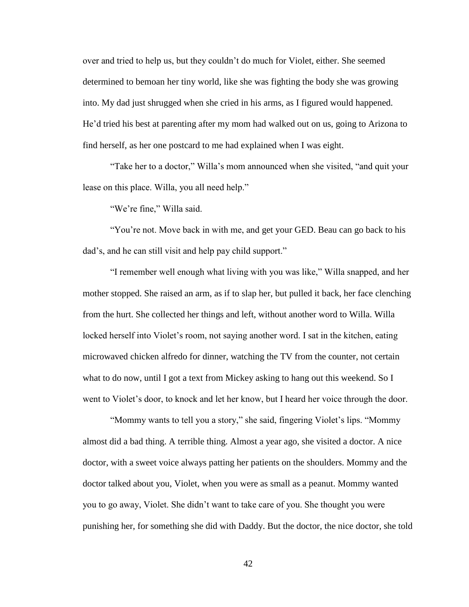over and tried to help us, but they couldn't do much for Violet, either. She seemed determined to bemoan her tiny world, like she was fighting the body she was growing into. My dad just shrugged when she cried in his arms, as I figured would happened. He'd tried his best at parenting after my mom had walked out on us, going to Arizona to find herself, as her one postcard to me had explained when I was eight.

"Take her to a doctor," Willa's mom announced when she visited, "and quit your lease on this place. Willa, you all need help."

"We're fine," Willa said.

"You're not. Move back in with me, and get your GED. Beau can go back to his dad's, and he can still visit and help pay child support."

"I remember well enough what living with you was like," Willa snapped, and her mother stopped. She raised an arm, as if to slap her, but pulled it back, her face clenching from the hurt. She collected her things and left, without another word to Willa. Willa locked herself into Violet's room, not saying another word. I sat in the kitchen, eating microwaved chicken alfredo for dinner, watching the TV from the counter, not certain what to do now, until I got a text from Mickey asking to hang out this weekend. So I went to Violet's door, to knock and let her know, but I heard her voice through the door.

"Mommy wants to tell you a story," she said, fingering Violet's lips. "Mommy almost did a bad thing. A terrible thing. Almost a year ago, she visited a doctor. A nice doctor, with a sweet voice always patting her patients on the shoulders. Mommy and the doctor talked about you, Violet, when you were as small as a peanut. Mommy wanted you to go away, Violet. She didn't want to take care of you. She thought you were punishing her, for something she did with Daddy. But the doctor, the nice doctor, she told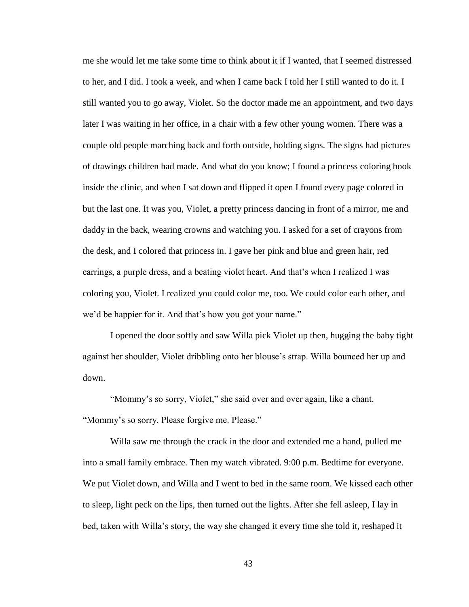me she would let me take some time to think about it if I wanted, that I seemed distressed to her, and I did. I took a week, and when I came back I told her I still wanted to do it. I still wanted you to go away, Violet. So the doctor made me an appointment, and two days later I was waiting in her office, in a chair with a few other young women. There was a couple old people marching back and forth outside, holding signs. The signs had pictures of drawings children had made. And what do you know; I found a princess coloring book inside the clinic, and when I sat down and flipped it open I found every page colored in but the last one. It was you, Violet, a pretty princess dancing in front of a mirror, me and daddy in the back, wearing crowns and watching you. I asked for a set of crayons from the desk, and I colored that princess in. I gave her pink and blue and green hair, red earrings, a purple dress, and a beating violet heart. And that's when I realized I was coloring you, Violet. I realized you could color me, too. We could color each other, and we'd be happier for it. And that's how you got your name."

I opened the door softly and saw Willa pick Violet up then, hugging the baby tight against her shoulder, Violet dribbling onto her blouse's strap. Willa bounced her up and down.

"Mommy's so sorry, Violet," she said over and over again, like a chant. "Mommy's so sorry. Please forgive me. Please."

Willa saw me through the crack in the door and extended me a hand, pulled me into a small family embrace. Then my watch vibrated. 9:00 p.m. Bedtime for everyone. We put Violet down, and Willa and I went to bed in the same room. We kissed each other to sleep, light peck on the lips, then turned out the lights. After she fell asleep, I lay in bed, taken with Willa's story, the way she changed it every time she told it, reshaped it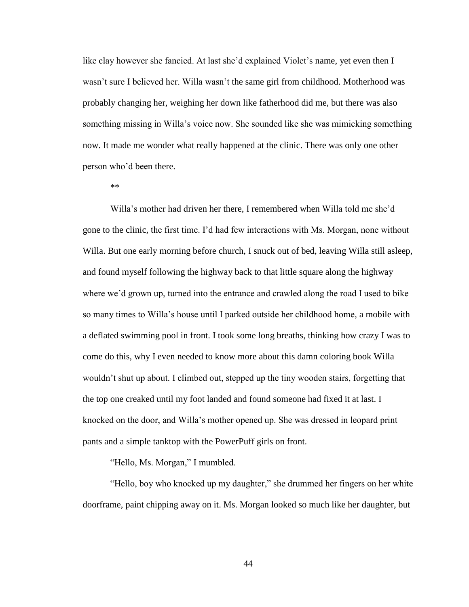like clay however she fancied. At last she'd explained Violet's name, yet even then I wasn't sure I believed her. Willa wasn't the same girl from childhood. Motherhood was probably changing her, weighing her down like fatherhood did me, but there was also something missing in Willa's voice now. She sounded like she was mimicking something now. It made me wonder what really happened at the clinic. There was only one other person who'd been there.

\*\*

Willa's mother had driven her there, I remembered when Willa told me she'd gone to the clinic, the first time. I'd had few interactions with Ms. Morgan, none without Willa. But one early morning before church, I snuck out of bed, leaving Willa still asleep, and found myself following the highway back to that little square along the highway where we'd grown up, turned into the entrance and crawled along the road I used to bike so many times to Willa's house until I parked outside her childhood home, a mobile with a deflated swimming pool in front. I took some long breaths, thinking how crazy I was to come do this, why I even needed to know more about this damn coloring book Willa wouldn't shut up about. I climbed out, stepped up the tiny wooden stairs, forgetting that the top one creaked until my foot landed and found someone had fixed it at last. I knocked on the door, and Willa's mother opened up. She was dressed in leopard print pants and a simple tanktop with the PowerPuff girls on front.

"Hello, Ms. Morgan," I mumbled.

"Hello, boy who knocked up my daughter," she drummed her fingers on her white doorframe, paint chipping away on it. Ms. Morgan looked so much like her daughter, but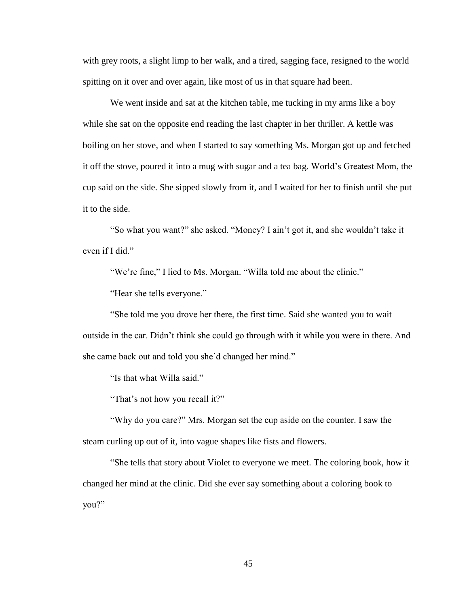with grey roots, a slight limp to her walk, and a tired, sagging face, resigned to the world spitting on it over and over again, like most of us in that square had been.

We went inside and sat at the kitchen table, me tucking in my arms like a boy while she sat on the opposite end reading the last chapter in her thriller. A kettle was boiling on her stove, and when I started to say something Ms. Morgan got up and fetched it off the stove, poured it into a mug with sugar and a tea bag. World's Greatest Mom, the cup said on the side. She sipped slowly from it, and I waited for her to finish until she put it to the side.

"So what you want?" she asked. "Money? I ain't got it, and she wouldn't take it even if I did."

"We're fine," I lied to Ms. Morgan. "Willa told me about the clinic."

"Hear she tells everyone."

"She told me you drove her there, the first time. Said she wanted you to wait outside in the car. Didn't think she could go through with it while you were in there. And she came back out and told you she'd changed her mind."

"Is that what Willa said."

"That's not how you recall it?"

"Why do you care?" Mrs. Morgan set the cup aside on the counter. I saw the steam curling up out of it, into vague shapes like fists and flowers.

"She tells that story about Violet to everyone we meet. The coloring book, how it changed her mind at the clinic. Did she ever say something about a coloring book to you?"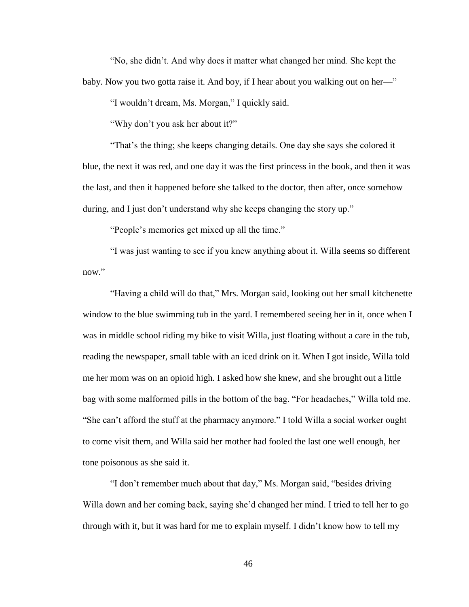"No, she didn't. And why does it matter what changed her mind. She kept the baby. Now you two gotta raise it. And boy, if I hear about you walking out on her—"

"I wouldn't dream, Ms. Morgan," I quickly said.

"Why don't you ask her about it?"

"That's the thing; she keeps changing details. One day she says she colored it blue, the next it was red, and one day it was the first princess in the book, and then it was the last, and then it happened before she talked to the doctor, then after, once somehow during, and I just don't understand why she keeps changing the story up."

"People's memories get mixed up all the time."

"I was just wanting to see if you knew anything about it. Willa seems so different now."

"Having a child will do that," Mrs. Morgan said, looking out her small kitchenette window to the blue swimming tub in the yard. I remembered seeing her in it, once when I was in middle school riding my bike to visit Willa, just floating without a care in the tub, reading the newspaper, small table with an iced drink on it. When I got inside, Willa told me her mom was on an opioid high. I asked how she knew, and she brought out a little bag with some malformed pills in the bottom of the bag. "For headaches," Willa told me. "She can't afford the stuff at the pharmacy anymore." I told Willa a social worker ought to come visit them, and Willa said her mother had fooled the last one well enough, her tone poisonous as she said it.

"I don't remember much about that day," Ms. Morgan said, "besides driving Willa down and her coming back, saying she'd changed her mind. I tried to tell her to go through with it, but it was hard for me to explain myself. I didn't know how to tell my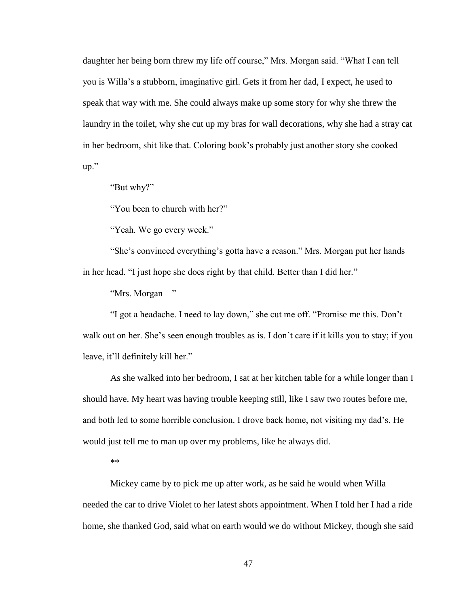daughter her being born threw my life off course," Mrs. Morgan said. "What I can tell you is Willa's a stubborn, imaginative girl. Gets it from her dad, I expect, he used to speak that way with me. She could always make up some story for why she threw the laundry in the toilet, why she cut up my bras for wall decorations, why she had a stray cat in her bedroom, shit like that. Coloring book's probably just another story she cooked up."

"But why?"

"You been to church with her?"

"Yeah. We go every week."

"She's convinced everything's gotta have a reason." Mrs. Morgan put her hands in her head. "I just hope she does right by that child. Better than I did her."

"Mrs. Morgan—"

"I got a headache. I need to lay down," she cut me off. "Promise me this. Don't walk out on her. She's seen enough troubles as is. I don't care if it kills you to stay; if you leave, it'll definitely kill her."

As she walked into her bedroom, I sat at her kitchen table for a while longer than I should have. My heart was having trouble keeping still, like I saw two routes before me, and both led to some horrible conclusion. I drove back home, not visiting my dad's. He would just tell me to man up over my problems, like he always did.

\*\*

Mickey came by to pick me up after work, as he said he would when Willa needed the car to drive Violet to her latest shots appointment. When I told her I had a ride home, she thanked God, said what on earth would we do without Mickey, though she said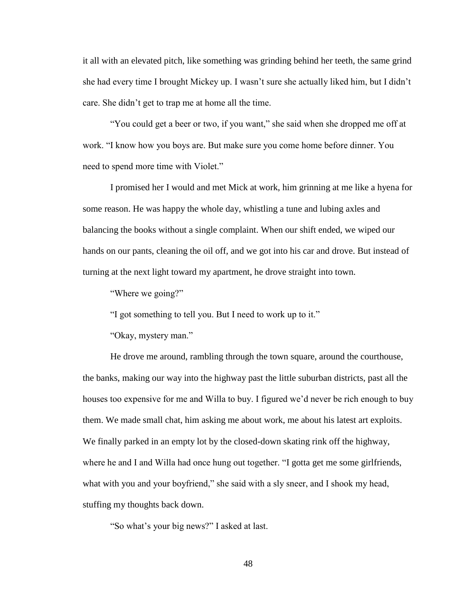it all with an elevated pitch, like something was grinding behind her teeth, the same grind she had every time I brought Mickey up. I wasn't sure she actually liked him, but I didn't care. She didn't get to trap me at home all the time.

"You could get a beer or two, if you want," she said when she dropped me off at work. "I know how you boys are. But make sure you come home before dinner. You need to spend more time with Violet."

I promised her I would and met Mick at work, him grinning at me like a hyena for some reason. He was happy the whole day, whistling a tune and lubing axles and balancing the books without a single complaint. When our shift ended, we wiped our hands on our pants, cleaning the oil off, and we got into his car and drove. But instead of turning at the next light toward my apartment, he drove straight into town.

"Where we going?"

"I got something to tell you. But I need to work up to it."

"Okay, mystery man."

He drove me around, rambling through the town square, around the courthouse, the banks, making our way into the highway past the little suburban districts, past all the houses too expensive for me and Willa to buy. I figured we'd never be rich enough to buy them. We made small chat, him asking me about work, me about his latest art exploits. We finally parked in an empty lot by the closed-down skating rink off the highway, where he and I and Willa had once hung out together. "I gotta get me some girlfriends, what with you and your boyfriend," she said with a sly sneer, and I shook my head, stuffing my thoughts back down.

"So what's your big news?" I asked at last.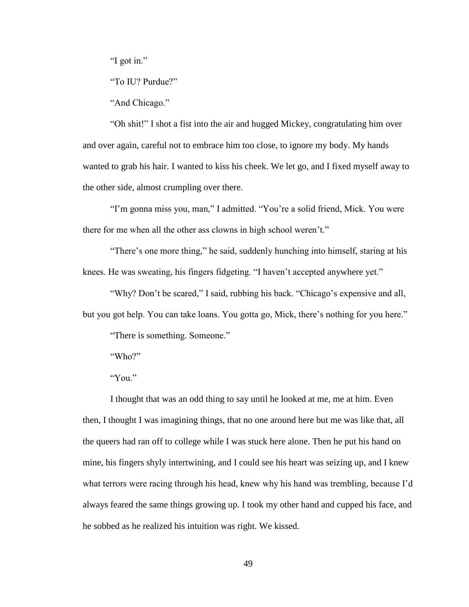"I got in."

"To IU? Purdue?"

"And Chicago."

"Oh shit!" I shot a fist into the air and hugged Mickey, congratulating him over and over again, careful not to embrace him too close, to ignore my body. My hands wanted to grab his hair. I wanted to kiss his cheek. We let go, and I fixed myself away to the other side, almost crumpling over there.

"I'm gonna miss you, man," I admitted. "You're a solid friend, Mick. You were there for me when all the other ass clowns in high school weren't."

"There's one more thing," he said, suddenly hunching into himself, staring at his knees. He was sweating, his fingers fidgeting. "I haven't accepted anywhere yet."

"Why? Don't be scared," I said, rubbing his back. "Chicago's expensive and all, but you got help. You can take loans. You gotta go, Mick, there's nothing for you here."

"There is something. Someone."

"Who?"

"You."

I thought that was an odd thing to say until he looked at me, me at him. Even then, I thought I was imagining things, that no one around here but me was like that, all the queers had ran off to college while I was stuck here alone. Then he put his hand on mine, his fingers shyly intertwining, and I could see his heart was seizing up, and I knew what terrors were racing through his head, knew why his hand was trembling, because I'd always feared the same things growing up. I took my other hand and cupped his face, and he sobbed as he realized his intuition was right. We kissed.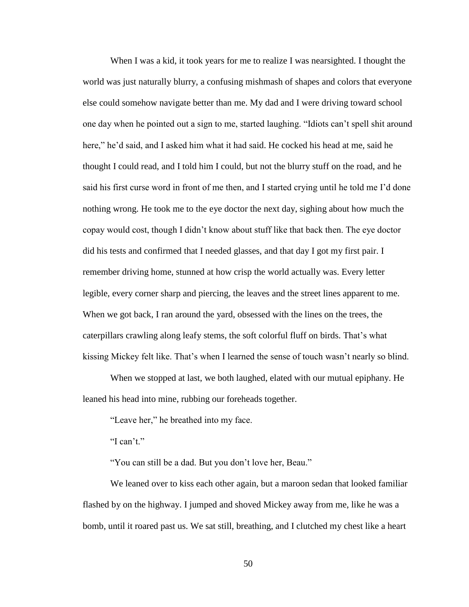When I was a kid, it took years for me to realize I was nearsighted. I thought the world was just naturally blurry, a confusing mishmash of shapes and colors that everyone else could somehow navigate better than me. My dad and I were driving toward school one day when he pointed out a sign to me, started laughing. "Idiots can't spell shit around here," he'd said, and I asked him what it had said. He cocked his head at me, said he thought I could read, and I told him I could, but not the blurry stuff on the road, and he said his first curse word in front of me then, and I started crying until he told me I'd done nothing wrong. He took me to the eye doctor the next day, sighing about how much the copay would cost, though I didn't know about stuff like that back then. The eye doctor did his tests and confirmed that I needed glasses, and that day I got my first pair. I remember driving home, stunned at how crisp the world actually was. Every letter legible, every corner sharp and piercing, the leaves and the street lines apparent to me. When we got back, I ran around the yard, obsessed with the lines on the trees, the caterpillars crawling along leafy stems, the soft colorful fluff on birds. That's what kissing Mickey felt like. That's when I learned the sense of touch wasn't nearly so blind.

When we stopped at last, we both laughed, elated with our mutual epiphany. He leaned his head into mine, rubbing our foreheads together.

"Leave her," he breathed into my face.

"I can't."

"You can still be a dad. But you don't love her, Beau."

We leaned over to kiss each other again, but a maroon sedan that looked familiar flashed by on the highway. I jumped and shoved Mickey away from me, like he was a bomb, until it roared past us. We sat still, breathing, and I clutched my chest like a heart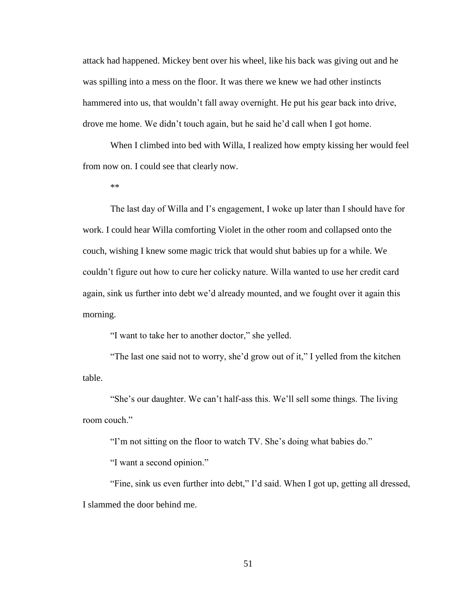attack had happened. Mickey bent over his wheel, like his back was giving out and he was spilling into a mess on the floor. It was there we knew we had other instincts hammered into us, that wouldn't fall away overnight. He put his gear back into drive, drove me home. We didn't touch again, but he said he'd call when I got home.

When I climbed into bed with Willa, I realized how empty kissing her would feel from now on. I could see that clearly now.

\*\*

The last day of Willa and I's engagement, I woke up later than I should have for work. I could hear Willa comforting Violet in the other room and collapsed onto the couch, wishing I knew some magic trick that would shut babies up for a while. We couldn't figure out how to cure her colicky nature. Willa wanted to use her credit card again, sink us further into debt we'd already mounted, and we fought over it again this morning.

"I want to take her to another doctor," she yelled.

"The last one said not to worry, she'd grow out of it," I yelled from the kitchen table.

"She's our daughter. We can't half-ass this. We'll sell some things. The living room couch."

"I'm not sitting on the floor to watch TV. She's doing what babies do."

"I want a second opinion."

"Fine, sink us even further into debt," I'd said. When I got up, getting all dressed, I slammed the door behind me.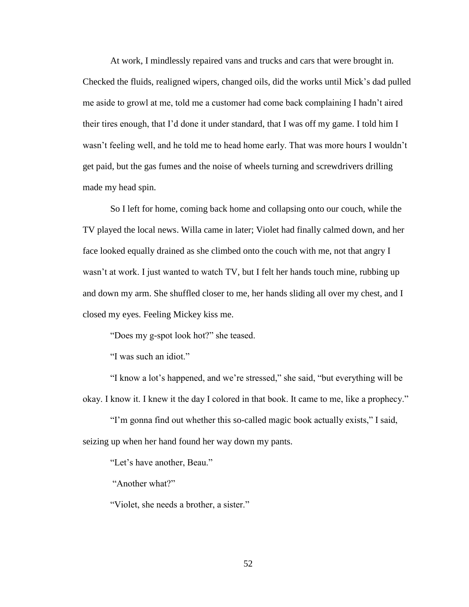At work, I mindlessly repaired vans and trucks and cars that were brought in. Checked the fluids, realigned wipers, changed oils, did the works until Mick's dad pulled me aside to growl at me, told me a customer had come back complaining I hadn't aired their tires enough, that I'd done it under standard, that I was off my game. I told him I wasn't feeling well, and he told me to head home early. That was more hours I wouldn't get paid, but the gas fumes and the noise of wheels turning and screwdrivers drilling made my head spin.

So I left for home, coming back home and collapsing onto our couch, while the TV played the local news. Willa came in later; Violet had finally calmed down, and her face looked equally drained as she climbed onto the couch with me, not that angry I wasn't at work. I just wanted to watch TV, but I felt her hands touch mine, rubbing up and down my arm. She shuffled closer to me, her hands sliding all over my chest, and I closed my eyes. Feeling Mickey kiss me.

"Does my g-spot look hot?" she teased.

"I was such an idiot."

"I know a lot's happened, and we're stressed," she said, "but everything will be okay. I know it. I knew it the day I colored in that book. It came to me, like a prophecy."

"I'm gonna find out whether this so-called magic book actually exists," I said, seizing up when her hand found her way down my pants.

"Let's have another, Beau."

"Another what?"

"Violet, she needs a brother, a sister."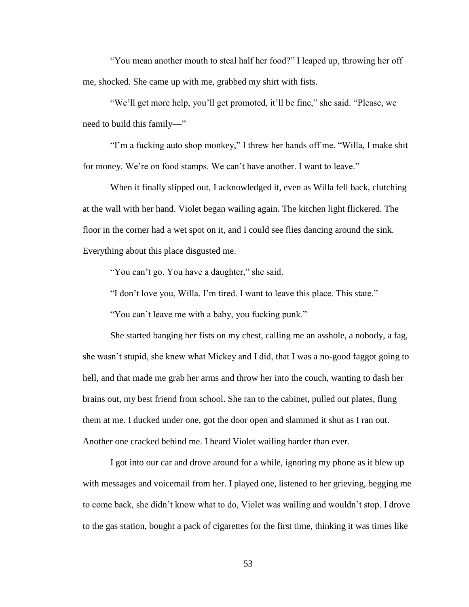"You mean another mouth to steal half her food?" I leaped up, throwing her off me, shocked. She came up with me, grabbed my shirt with fists.

"We'll get more help, you'll get promoted, it'll be fine," she said. "Please, we need to build this family—"

"I'm a fucking auto shop monkey," I threw her hands off me. "Willa, I make shit for money. We're on food stamps. We can't have another. I want to leave."

When it finally slipped out, I acknowledged it, even as Willa fell back, clutching at the wall with her hand. Violet began wailing again. The kitchen light flickered. The floor in the corner had a wet spot on it, and I could see flies dancing around the sink. Everything about this place disgusted me.

"You can't go. You have a daughter," she said.

"I don't love you, Willa. I'm tired. I want to leave this place. This state."

"You can't leave me with a baby, you fucking punk."

She started banging her fists on my chest, calling me an asshole, a nobody, a fag, she wasn't stupid, she knew what Mickey and I did, that I was a no-good faggot going to hell, and that made me grab her arms and throw her into the couch, wanting to dash her brains out, my best friend from school. She ran to the cabinet, pulled out plates, flung them at me. I ducked under one, got the door open and slammed it shut as I ran out. Another one cracked behind me. I heard Violet wailing harder than ever.

I got into our car and drove around for a while, ignoring my phone as it blew up with messages and voicemail from her. I played one, listened to her grieving, begging me to come back, she didn't know what to do, Violet was wailing and wouldn't stop. I drove to the gas station, bought a pack of cigarettes for the first time, thinking it was times like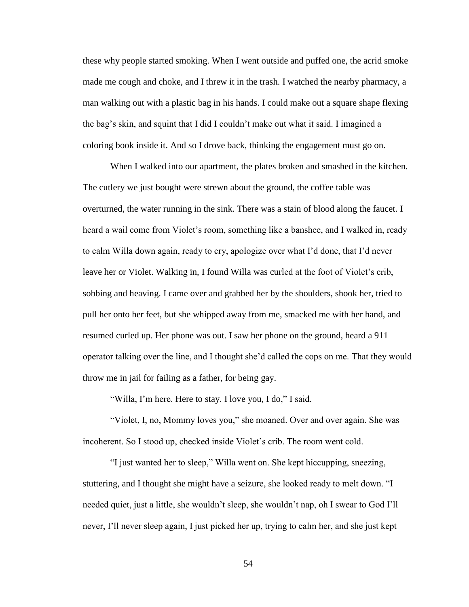these why people started smoking. When I went outside and puffed one, the acrid smoke made me cough and choke, and I threw it in the trash. I watched the nearby pharmacy, a man walking out with a plastic bag in his hands. I could make out a square shape flexing the bag's skin, and squint that I did I couldn't make out what it said. I imagined a coloring book inside it. And so I drove back, thinking the engagement must go on.

When I walked into our apartment, the plates broken and smashed in the kitchen. The cutlery we just bought were strewn about the ground, the coffee table was overturned, the water running in the sink. There was a stain of blood along the faucet. I heard a wail come from Violet's room, something like a banshee, and I walked in, ready to calm Willa down again, ready to cry, apologize over what I'd done, that I'd never leave her or Violet. Walking in, I found Willa was curled at the foot of Violet's crib, sobbing and heaving. I came over and grabbed her by the shoulders, shook her, tried to pull her onto her feet, but she whipped away from me, smacked me with her hand, and resumed curled up. Her phone was out. I saw her phone on the ground, heard a 911 operator talking over the line, and I thought she'd called the cops on me. That they would throw me in jail for failing as a father, for being gay.

"Willa, I'm here. Here to stay. I love you, I do," I said.

"Violet, I, no, Mommy loves you," she moaned. Over and over again. She was incoherent. So I stood up, checked inside Violet's crib. The room went cold.

"I just wanted her to sleep," Willa went on. She kept hiccupping, sneezing, stuttering, and I thought she might have a seizure, she looked ready to melt down. "I needed quiet, just a little, she wouldn't sleep, she wouldn't nap, oh I swear to God I'll never, I'll never sleep again, I just picked her up, trying to calm her, and she just kept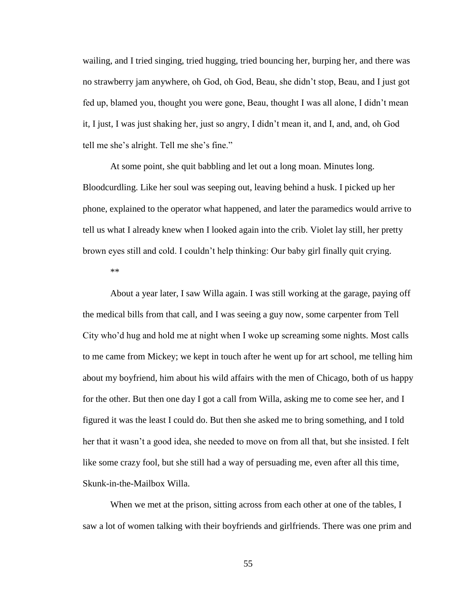wailing, and I tried singing, tried hugging, tried bouncing her, burping her, and there was no strawberry jam anywhere, oh God, oh God, Beau, she didn't stop, Beau, and I just got fed up, blamed you, thought you were gone, Beau, thought I was all alone, I didn't mean it, I just, I was just shaking her, just so angry, I didn't mean it, and I, and, and, oh God tell me she's alright. Tell me she's fine."

At some point, she quit babbling and let out a long moan. Minutes long. Bloodcurdling. Like her soul was seeping out, leaving behind a husk. I picked up her phone, explained to the operator what happened, and later the paramedics would arrive to tell us what I already knew when I looked again into the crib. Violet lay still, her pretty brown eyes still and cold. I couldn't help thinking: Our baby girl finally quit crying.

\*\*

About a year later, I saw Willa again. I was still working at the garage, paying off the medical bills from that call, and I was seeing a guy now, some carpenter from Tell City who'd hug and hold me at night when I woke up screaming some nights. Most calls to me came from Mickey; we kept in touch after he went up for art school, me telling him about my boyfriend, him about his wild affairs with the men of Chicago, both of us happy for the other. But then one day I got a call from Willa, asking me to come see her, and I figured it was the least I could do. But then she asked me to bring something, and I told her that it wasn't a good idea, she needed to move on from all that, but she insisted. I felt like some crazy fool, but she still had a way of persuading me, even after all this time, Skunk-in-the-Mailbox Willa.

When we met at the prison, sitting across from each other at one of the tables, I saw a lot of women talking with their boyfriends and girlfriends. There was one prim and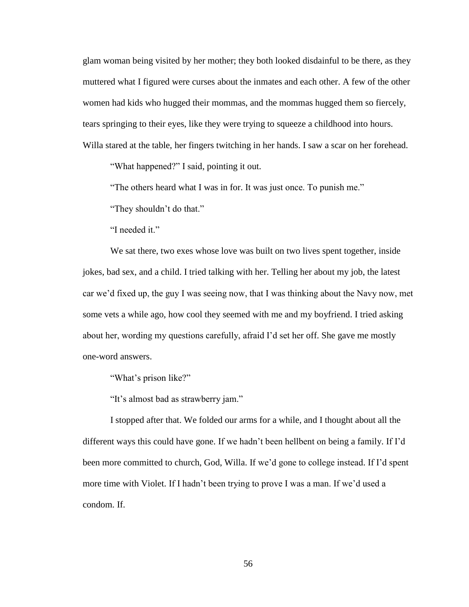glam woman being visited by her mother; they both looked disdainful to be there, as they muttered what I figured were curses about the inmates and each other. A few of the other women had kids who hugged their mommas, and the mommas hugged them so fiercely, tears springing to their eyes, like they were trying to squeeze a childhood into hours. Willa stared at the table, her fingers twitching in her hands. I saw a scar on her forehead.

"What happened?" I said, pointing it out.

"The others heard what I was in for. It was just once. To punish me."

"They shouldn't do that."

"I needed it."

We sat there, two exes whose love was built on two lives spent together, inside jokes, bad sex, and a child. I tried talking with her. Telling her about my job, the latest car we'd fixed up, the guy I was seeing now, that I was thinking about the Navy now, met some vets a while ago, how cool they seemed with me and my boyfriend. I tried asking about her, wording my questions carefully, afraid I'd set her off. She gave me mostly one-word answers.

"What's prison like?"

"It's almost bad as strawberry jam."

I stopped after that. We folded our arms for a while, and I thought about all the different ways this could have gone. If we hadn't been hellbent on being a family. If I'd been more committed to church, God, Willa. If we'd gone to college instead. If I'd spent more time with Violet. If I hadn't been trying to prove I was a man. If we'd used a condom. If.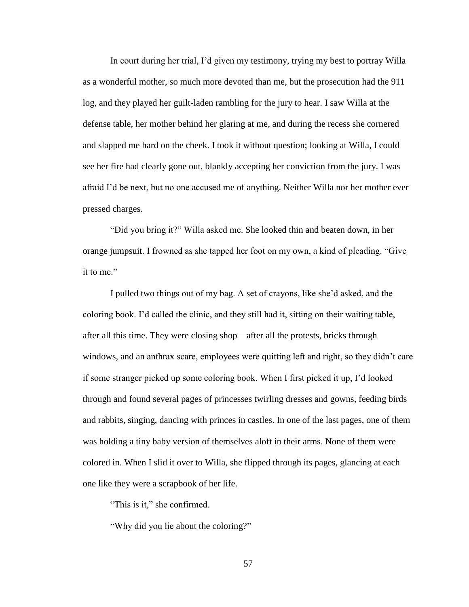In court during her trial, I'd given my testimony, trying my best to portray Willa as a wonderful mother, so much more devoted than me, but the prosecution had the 911 log, and they played her guilt-laden rambling for the jury to hear. I saw Willa at the defense table, her mother behind her glaring at me, and during the recess she cornered and slapped me hard on the cheek. I took it without question; looking at Willa, I could see her fire had clearly gone out, blankly accepting her conviction from the jury. I was afraid I'd be next, but no one accused me of anything. Neither Willa nor her mother ever pressed charges.

"Did you bring it?" Willa asked me. She looked thin and beaten down, in her orange jumpsuit. I frowned as she tapped her foot on my own, a kind of pleading. "Give it to me."

I pulled two things out of my bag. A set of crayons, like she'd asked, and the coloring book. I'd called the clinic, and they still had it, sitting on their waiting table, after all this time. They were closing shop—after all the protests, bricks through windows, and an anthrax scare, employees were quitting left and right, so they didn't care if some stranger picked up some coloring book. When I first picked it up, I'd looked through and found several pages of princesses twirling dresses and gowns, feeding birds and rabbits, singing, dancing with princes in castles. In one of the last pages, one of them was holding a tiny baby version of themselves aloft in their arms. None of them were colored in. When I slid it over to Willa, she flipped through its pages, glancing at each one like they were a scrapbook of her life.

"This is it," she confirmed.

"Why did you lie about the coloring?"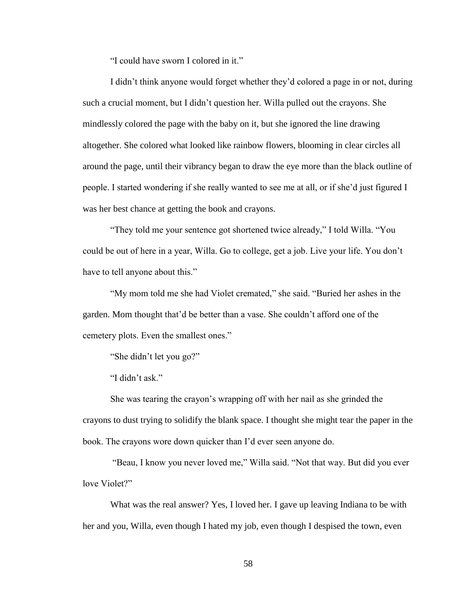"I could have sworn I colored in it."

I didn't think anyone would forget whether they'd colored a page in or not, during such a crucial moment, but I didn't question her. Willa pulled out the crayons. She mindlessly colored the page with the baby on it, but she ignored the line drawing altogether. She colored what looked like rainbow flowers, blooming in clear circles all around the page, until their vibrancy began to draw the eye more than the black outline of people. I started wondering if she really wanted to see me at all, or if she'd just figured I was her best chance at getting the book and crayons.

"They told me your sentence got shortened twice already," I told Willa. "You could be out of here in a year, Willa. Go to college, get a job. Live your life. You don't have to tell anyone about this."

"My mom told me she had Violet cremated," she said. "Buried her ashes in the garden. Mom thought that'd be better than a vase. She couldn't afford one of the cemetery plots. Even the smallest ones."

"She didn't let you go?"

"I didn't ask."

She was tearing the crayon's wrapping off with her nail as she grinded the crayons to dust trying to solidify the blank space. I thought she might tear the paper in the book. The crayons wore down quicker than I'd ever seen anyone do.

"Beau, I know you never loved me," Willa said. "Not that way. But did you ever love Violet?"

What was the real answer? Yes, I loved her. I gave up leaving Indiana to be with her and you, Willa, even though I hated my job, even though I despised the town, even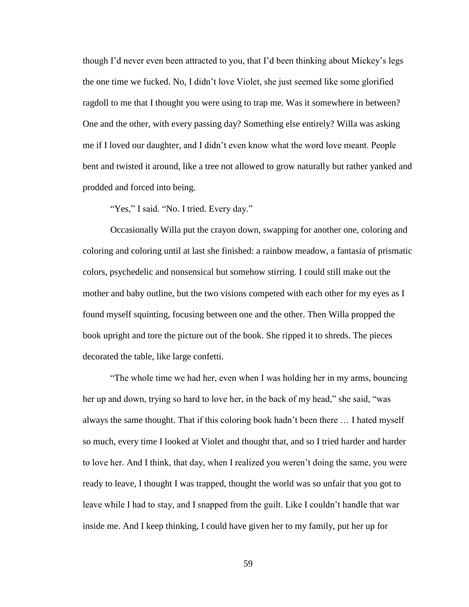though I'd never even been attracted to you, that I'd been thinking about Mickey's legs the one time we fucked. No, I didn't love Violet, she just seemed like some glorified ragdoll to me that I thought you were using to trap me. Was it somewhere in between? One and the other, with every passing day? Something else entirely? Willa was asking me if I loved our daughter, and I didn't even know what the word love meant. People bent and twisted it around, like a tree not allowed to grow naturally but rather yanked and prodded and forced into being.

"Yes," I said. "No. I tried. Every day."

Occasionally Willa put the crayon down, swapping for another one, coloring and coloring and coloring until at last she finished: a rainbow meadow, a fantasia of prismatic colors, psychedelic and nonsensical but somehow stirring. I could still make out the mother and baby outline, but the two visions competed with each other for my eyes as I found myself squinting, focusing between one and the other. Then Willa propped the book upright and tore the picture out of the book. She ripped it to shreds. The pieces decorated the table, like large confetti.

"The whole time we had her, even when I was holding her in my arms, bouncing her up and down, trying so hard to love her, in the back of my head," she said, "was always the same thought. That if this coloring book hadn't been there … I hated myself so much, every time I looked at Violet and thought that, and so I tried harder and harder to love her. And I think, that day, when I realized you weren't doing the same, you were ready to leave, I thought I was trapped, thought the world was so unfair that you got to leave while I had to stay, and I snapped from the guilt. Like I couldn't handle that war inside me. And I keep thinking, I could have given her to my family, put her up for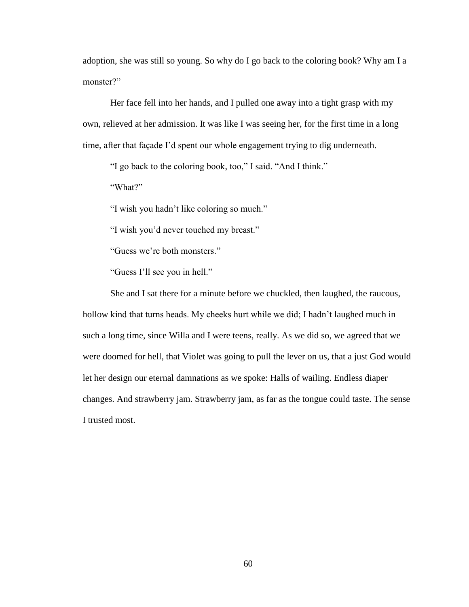adoption, she was still so young. So why do I go back to the coloring book? Why am I a monster?"

Her face fell into her hands, and I pulled one away into a tight grasp with my own, relieved at her admission. It was like I was seeing her, for the first time in a long time, after that façade I'd spent our whole engagement trying to dig underneath.

"I go back to the coloring book, too," I said. "And I think."

"What?"

"I wish you hadn't like coloring so much."

"I wish you'd never touched my breast."

"Guess we're both monsters."

"Guess I'll see you in hell."

She and I sat there for a minute before we chuckled, then laughed, the raucous, hollow kind that turns heads. My cheeks hurt while we did; I hadn't laughed much in such a long time, since Willa and I were teens, really. As we did so, we agreed that we were doomed for hell, that Violet was going to pull the lever on us, that a just God would let her design our eternal damnations as we spoke: Halls of wailing. Endless diaper changes. And strawberry jam. Strawberry jam, as far as the tongue could taste. The sense I trusted most.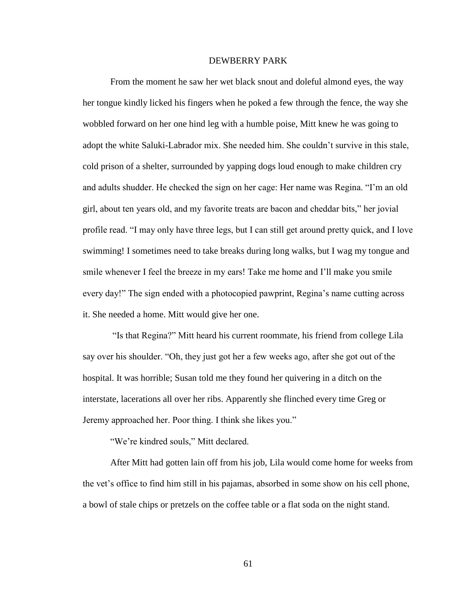## DEWBERRY PARK

From the moment he saw her wet black snout and doleful almond eyes, the way her tongue kindly licked his fingers when he poked a few through the fence, the way she wobbled forward on her one hind leg with a humble poise, Mitt knew he was going to adopt the white Saluki-Labrador mix. She needed him. She couldn't survive in this stale, cold prison of a shelter, surrounded by yapping dogs loud enough to make children cry and adults shudder. He checked the sign on her cage: Her name was Regina. "I'm an old girl, about ten years old, and my favorite treats are bacon and cheddar bits," her jovial profile read. "I may only have three legs, but I can still get around pretty quick, and I love swimming! I sometimes need to take breaks during long walks, but I wag my tongue and smile whenever I feel the breeze in my ears! Take me home and I'll make you smile every day!" The sign ended with a photocopied pawprint, Regina's name cutting across it. She needed a home. Mitt would give her one.

"Is that Regina?" Mitt heard his current roommate, his friend from college Lila say over his shoulder. "Oh, they just got her a few weeks ago, after she got out of the hospital. It was horrible; Susan told me they found her quivering in a ditch on the interstate, lacerations all over her ribs. Apparently she flinched every time Greg or Jeremy approached her. Poor thing. I think she likes you."

"We're kindred souls," Mitt declared.

After Mitt had gotten lain off from his job, Lila would come home for weeks from the vet's office to find him still in his pajamas, absorbed in some show on his cell phone, a bowl of stale chips or pretzels on the coffee table or a flat soda on the night stand.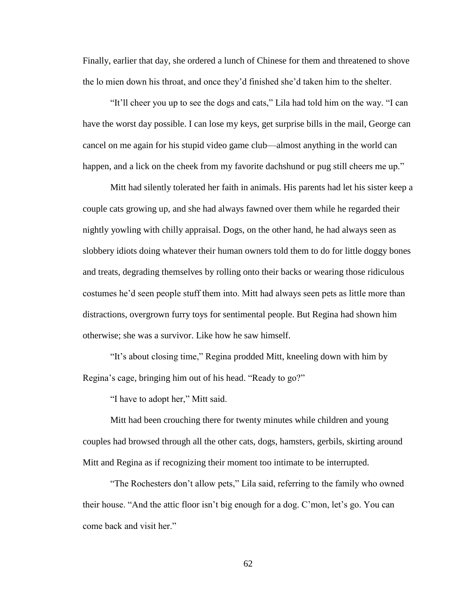Finally, earlier that day, she ordered a lunch of Chinese for them and threatened to shove the lo mien down his throat, and once they'd finished she'd taken him to the shelter.

"It'll cheer you up to see the dogs and cats," Lila had told him on the way. "I can have the worst day possible. I can lose my keys, get surprise bills in the mail, George can cancel on me again for his stupid video game club—almost anything in the world can happen, and a lick on the cheek from my favorite dachshund or pug still cheers me up."

Mitt had silently tolerated her faith in animals. His parents had let his sister keep a couple cats growing up, and she had always fawned over them while he regarded their nightly yowling with chilly appraisal. Dogs, on the other hand, he had always seen as slobbery idiots doing whatever their human owners told them to do for little doggy bones and treats, degrading themselves by rolling onto their backs or wearing those ridiculous costumes he'd seen people stuff them into. Mitt had always seen pets as little more than distractions, overgrown furry toys for sentimental people. But Regina had shown him otherwise; she was a survivor. Like how he saw himself.

"It's about closing time," Regina prodded Mitt, kneeling down with him by Regina's cage, bringing him out of his head. "Ready to go?"

"I have to adopt her," Mitt said.

Mitt had been crouching there for twenty minutes while children and young couples had browsed through all the other cats, dogs, hamsters, gerbils, skirting around Mitt and Regina as if recognizing their moment too intimate to be interrupted.

"The Rochesters don't allow pets," Lila said, referring to the family who owned their house. "And the attic floor isn't big enough for a dog. C'mon, let's go. You can come back and visit her."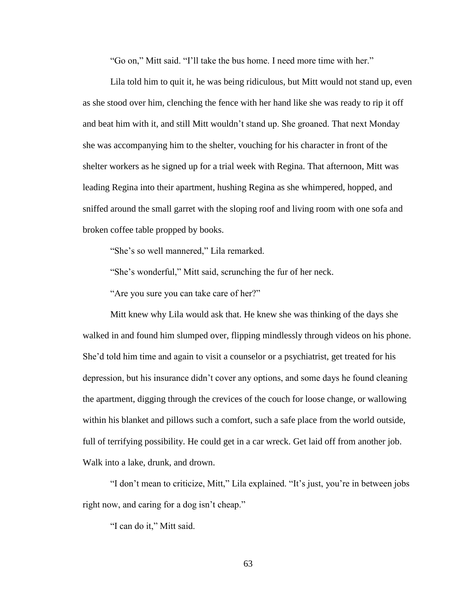"Go on," Mitt said. "I'll take the bus home. I need more time with her."

Lila told him to quit it, he was being ridiculous, but Mitt would not stand up, even as she stood over him, clenching the fence with her hand like she was ready to rip it off and beat him with it, and still Mitt wouldn't stand up. She groaned. That next Monday she was accompanying him to the shelter, vouching for his character in front of the shelter workers as he signed up for a trial week with Regina. That afternoon, Mitt was leading Regina into their apartment, hushing Regina as she whimpered, hopped, and sniffed around the small garret with the sloping roof and living room with one sofa and broken coffee table propped by books.

"She's so well mannered," Lila remarked.

"She's wonderful," Mitt said, scrunching the fur of her neck.

"Are you sure you can take care of her?"

Mitt knew why Lila would ask that. He knew she was thinking of the days she walked in and found him slumped over, flipping mindlessly through videos on his phone. She'd told him time and again to visit a counselor or a psychiatrist, get treated for his depression, but his insurance didn't cover any options, and some days he found cleaning the apartment, digging through the crevices of the couch for loose change, or wallowing within his blanket and pillows such a comfort, such a safe place from the world outside, full of terrifying possibility. He could get in a car wreck. Get laid off from another job. Walk into a lake, drunk, and drown.

"I don't mean to criticize, Mitt," Lila explained. "It's just, you're in between jobs right now, and caring for a dog isn't cheap."

"I can do it," Mitt said.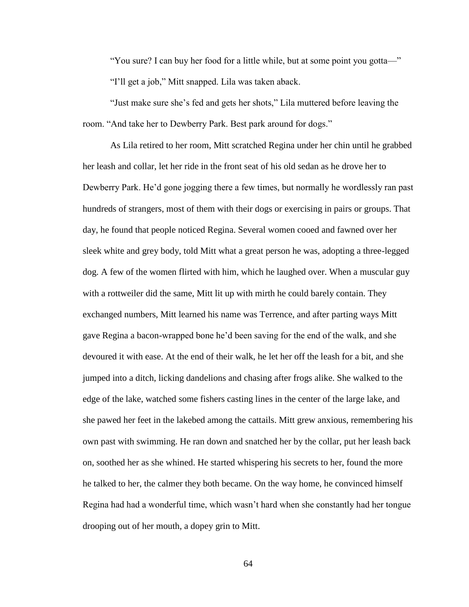"You sure? I can buy her food for a little while, but at some point you gotta—" "I'll get a job," Mitt snapped. Lila was taken aback.

"Just make sure she's fed and gets her shots," Lila muttered before leaving the room. "And take her to Dewberry Park. Best park around for dogs."

As Lila retired to her room, Mitt scratched Regina under her chin until he grabbed her leash and collar, let her ride in the front seat of his old sedan as he drove her to Dewberry Park. He'd gone jogging there a few times, but normally he wordlessly ran past hundreds of strangers, most of them with their dogs or exercising in pairs or groups. That day, he found that people noticed Regina. Several women cooed and fawned over her sleek white and grey body, told Mitt what a great person he was, adopting a three-legged dog. A few of the women flirted with him, which he laughed over. When a muscular guy with a rottweiler did the same, Mitt lit up with mirth he could barely contain. They exchanged numbers, Mitt learned his name was Terrence, and after parting ways Mitt gave Regina a bacon-wrapped bone he'd been saving for the end of the walk, and she devoured it with ease. At the end of their walk, he let her off the leash for a bit, and she jumped into a ditch, licking dandelions and chasing after frogs alike. She walked to the edge of the lake, watched some fishers casting lines in the center of the large lake, and she pawed her feet in the lakebed among the cattails. Mitt grew anxious, remembering his own past with swimming. He ran down and snatched her by the collar, put her leash back on, soothed her as she whined. He started whispering his secrets to her, found the more he talked to her, the calmer they both became. On the way home, he convinced himself Regina had had a wonderful time, which wasn't hard when she constantly had her tongue drooping out of her mouth, a dopey grin to Mitt.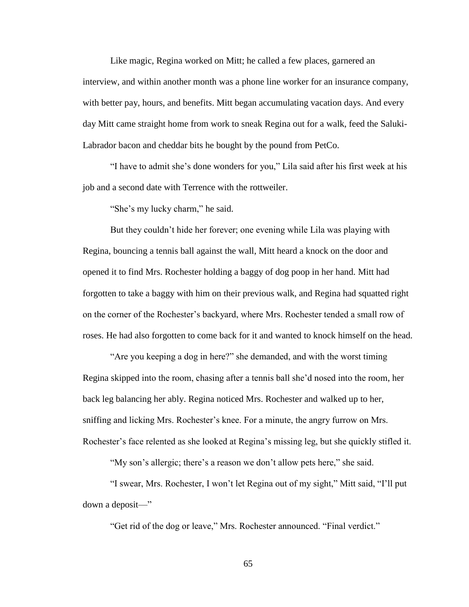Like magic, Regina worked on Mitt; he called a few places, garnered an interview, and within another month was a phone line worker for an insurance company, with better pay, hours, and benefits. Mitt began accumulating vacation days. And every day Mitt came straight home from work to sneak Regina out for a walk, feed the Saluki-Labrador bacon and cheddar bits he bought by the pound from PetCo.

"I have to admit she's done wonders for you," Lila said after his first week at his job and a second date with Terrence with the rottweiler.

"She's my lucky charm," he said.

But they couldn't hide her forever; one evening while Lila was playing with Regina, bouncing a tennis ball against the wall, Mitt heard a knock on the door and opened it to find Mrs. Rochester holding a baggy of dog poop in her hand. Mitt had forgotten to take a baggy with him on their previous walk, and Regina had squatted right on the corner of the Rochester's backyard, where Mrs. Rochester tended a small row of roses. He had also forgotten to come back for it and wanted to knock himself on the head.

"Are you keeping a dog in here?" she demanded, and with the worst timing Regina skipped into the room, chasing after a tennis ball she'd nosed into the room, her back leg balancing her ably. Regina noticed Mrs. Rochester and walked up to her, sniffing and licking Mrs. Rochester's knee. For a minute, the angry furrow on Mrs. Rochester's face relented as she looked at Regina's missing leg, but she quickly stifled it.

"My son's allergic; there's a reason we don't allow pets here," she said.

"I swear, Mrs. Rochester, I won't let Regina out of my sight," Mitt said, "I'll put down a deposit—"

"Get rid of the dog or leave," Mrs. Rochester announced. "Final verdict."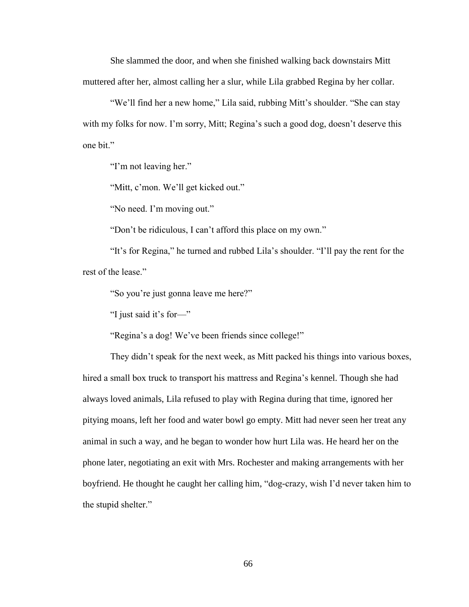She slammed the door, and when she finished walking back downstairs Mitt muttered after her, almost calling her a slur, while Lila grabbed Regina by her collar.

"We'll find her a new home," Lila said, rubbing Mitt's shoulder. "She can stay with my folks for now. I'm sorry, Mitt; Regina's such a good dog, doesn't deserve this one bit."

"I'm not leaving her."

"Mitt, c'mon. We'll get kicked out."

"No need. I'm moving out."

"Don't be ridiculous, I can't afford this place on my own."

"It's for Regina," he turned and rubbed Lila's shoulder. "I'll pay the rent for the rest of the lease."

"So you're just gonna leave me here?"

"I just said it's for—"

"Regina's a dog! We've been friends since college!"

They didn't speak for the next week, as Mitt packed his things into various boxes, hired a small box truck to transport his mattress and Regina's kennel. Though she had always loved animals, Lila refused to play with Regina during that time, ignored her pitying moans, left her food and water bowl go empty. Mitt had never seen her treat any animal in such a way, and he began to wonder how hurt Lila was. He heard her on the phone later, negotiating an exit with Mrs. Rochester and making arrangements with her boyfriend. He thought he caught her calling him, "dog-crazy, wish I'd never taken him to the stupid shelter."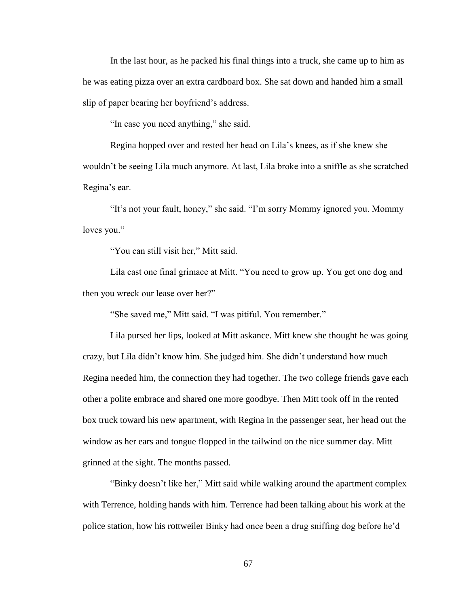In the last hour, as he packed his final things into a truck, she came up to him as he was eating pizza over an extra cardboard box. She sat down and handed him a small slip of paper bearing her boyfriend's address.

"In case you need anything," she said.

Regina hopped over and rested her head on Lila's knees, as if she knew she wouldn't be seeing Lila much anymore. At last, Lila broke into a sniffle as she scratched Regina's ear.

"It's not your fault, honey," she said. "I'm sorry Mommy ignored you. Mommy loves you."

"You can still visit her," Mitt said.

Lila cast one final grimace at Mitt. "You need to grow up. You get one dog and then you wreck our lease over her?"

"She saved me," Mitt said. "I was pitiful. You remember."

Lila pursed her lips, looked at Mitt askance. Mitt knew she thought he was going crazy, but Lila didn't know him. She judged him. She didn't understand how much Regina needed him, the connection they had together. The two college friends gave each other a polite embrace and shared one more goodbye. Then Mitt took off in the rented box truck toward his new apartment, with Regina in the passenger seat, her head out the window as her ears and tongue flopped in the tailwind on the nice summer day. Mitt grinned at the sight. The months passed.

"Binky doesn't like her," Mitt said while walking around the apartment complex with Terrence, holding hands with him. Terrence had been talking about his work at the police station, how his rottweiler Binky had once been a drug sniffing dog before he'd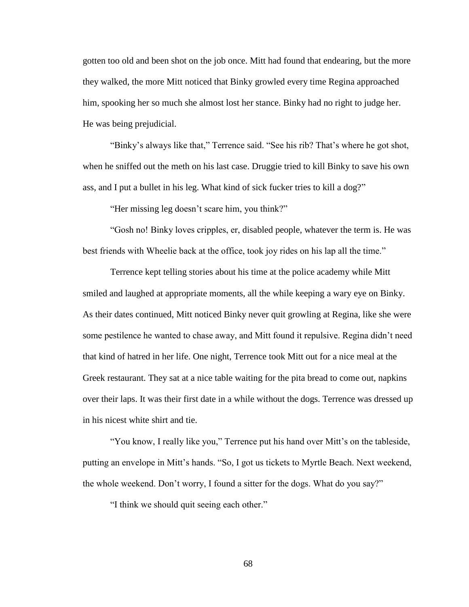gotten too old and been shot on the job once. Mitt had found that endearing, but the more they walked, the more Mitt noticed that Binky growled every time Regina approached him, spooking her so much she almost lost her stance. Binky had no right to judge her. He was being prejudicial.

"Binky's always like that," Terrence said. "See his rib? That's where he got shot, when he sniffed out the meth on his last case. Druggie tried to kill Binky to save his own ass, and I put a bullet in his leg. What kind of sick fucker tries to kill a dog?"

"Her missing leg doesn't scare him, you think?"

"Gosh no! Binky loves cripples, er, disabled people, whatever the term is. He was best friends with Wheelie back at the office, took joy rides on his lap all the time."

Terrence kept telling stories about his time at the police academy while Mitt smiled and laughed at appropriate moments, all the while keeping a wary eye on Binky. As their dates continued, Mitt noticed Binky never quit growling at Regina, like she were some pestilence he wanted to chase away, and Mitt found it repulsive. Regina didn't need that kind of hatred in her life. One night, Terrence took Mitt out for a nice meal at the Greek restaurant. They sat at a nice table waiting for the pita bread to come out, napkins over their laps. It was their first date in a while without the dogs. Terrence was dressed up in his nicest white shirt and tie.

"You know, I really like you," Terrence put his hand over Mitt's on the tableside, putting an envelope in Mitt's hands. "So, I got us tickets to Myrtle Beach. Next weekend, the whole weekend. Don't worry, I found a sitter for the dogs. What do you say?"

"I think we should quit seeing each other."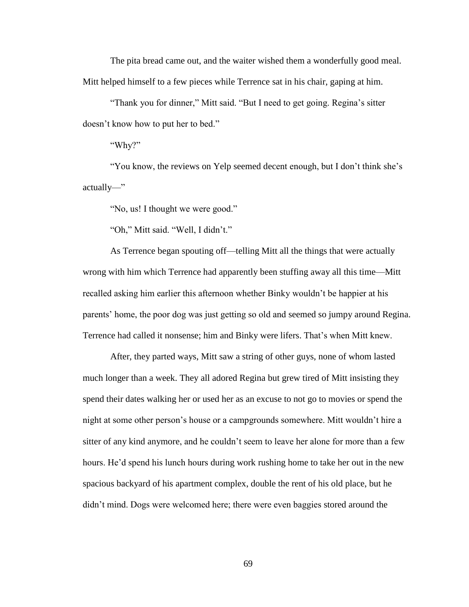The pita bread came out, and the waiter wished them a wonderfully good meal. Mitt helped himself to a few pieces while Terrence sat in his chair, gaping at him.

"Thank you for dinner," Mitt said. "But I need to get going. Regina's sitter doesn't know how to put her to bed."

"Why?"

"You know, the reviews on Yelp seemed decent enough, but I don't think she's actually—"

"No, us! I thought we were good."

"Oh," Mitt said. "Well, I didn't."

As Terrence began spouting off—telling Mitt all the things that were actually wrong with him which Terrence had apparently been stuffing away all this time—Mitt recalled asking him earlier this afternoon whether Binky wouldn't be happier at his parents' home, the poor dog was just getting so old and seemed so jumpy around Regina. Terrence had called it nonsense; him and Binky were lifers. That's when Mitt knew.

After, they parted ways, Mitt saw a string of other guys, none of whom lasted much longer than a week. They all adored Regina but grew tired of Mitt insisting they spend their dates walking her or used her as an excuse to not go to movies or spend the night at some other person's house or a campgrounds somewhere. Mitt wouldn't hire a sitter of any kind anymore, and he couldn't seem to leave her alone for more than a few hours. He'd spend his lunch hours during work rushing home to take her out in the new spacious backyard of his apartment complex, double the rent of his old place, but he didn't mind. Dogs were welcomed here; there were even baggies stored around the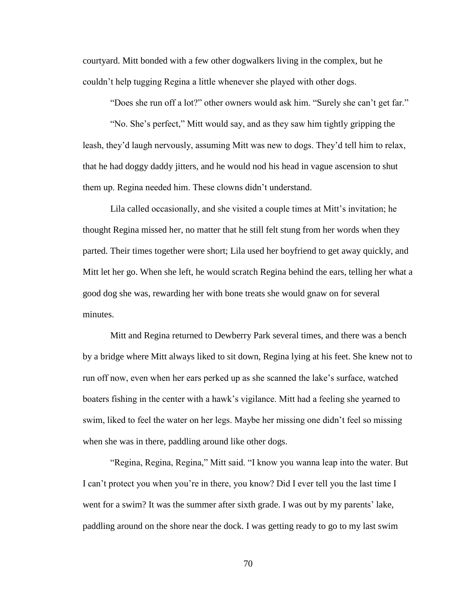courtyard. Mitt bonded with a few other dogwalkers living in the complex, but he couldn't help tugging Regina a little whenever she played with other dogs.

"Does she run off a lot?" other owners would ask him. "Surely she can't get far."

"No. She's perfect," Mitt would say, and as they saw him tightly gripping the leash, they'd laugh nervously, assuming Mitt was new to dogs. They'd tell him to relax, that he had doggy daddy jitters, and he would nod his head in vague ascension to shut them up. Regina needed him. These clowns didn't understand.

Lila called occasionally, and she visited a couple times at Mitt's invitation; he thought Regina missed her, no matter that he still felt stung from her words when they parted. Their times together were short; Lila used her boyfriend to get away quickly, and Mitt let her go. When she left, he would scratch Regina behind the ears, telling her what a good dog she was, rewarding her with bone treats she would gnaw on for several minutes.

Mitt and Regina returned to Dewberry Park several times, and there was a bench by a bridge where Mitt always liked to sit down, Regina lying at his feet. She knew not to run off now, even when her ears perked up as she scanned the lake's surface, watched boaters fishing in the center with a hawk's vigilance. Mitt had a feeling she yearned to swim, liked to feel the water on her legs. Maybe her missing one didn't feel so missing when she was in there, paddling around like other dogs.

"Regina, Regina, Regina," Mitt said. "I know you wanna leap into the water. But I can't protect you when you're in there, you know? Did I ever tell you the last time I went for a swim? It was the summer after sixth grade. I was out by my parents' lake, paddling around on the shore near the dock. I was getting ready to go to my last swim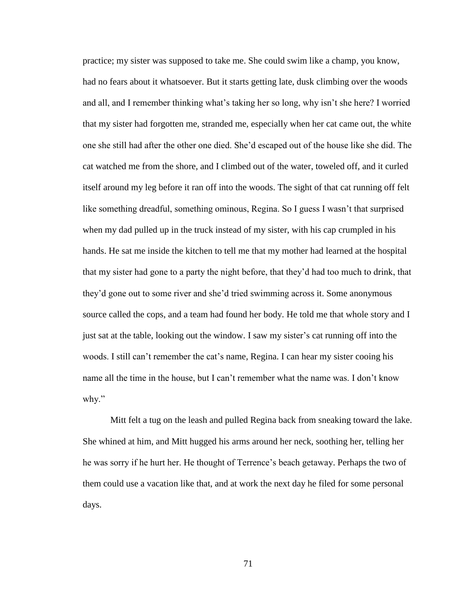practice; my sister was supposed to take me. She could swim like a champ, you know, had no fears about it whatsoever. But it starts getting late, dusk climbing over the woods and all, and I remember thinking what's taking her so long, why isn't she here? I worried that my sister had forgotten me, stranded me, especially when her cat came out, the white one she still had after the other one died. She'd escaped out of the house like she did. The cat watched me from the shore, and I climbed out of the water, toweled off, and it curled itself around my leg before it ran off into the woods. The sight of that cat running off felt like something dreadful, something ominous, Regina. So I guess I wasn't that surprised when my dad pulled up in the truck instead of my sister, with his cap crumpled in his hands. He sat me inside the kitchen to tell me that my mother had learned at the hospital that my sister had gone to a party the night before, that they'd had too much to drink, that they'd gone out to some river and she'd tried swimming across it. Some anonymous source called the cops, and a team had found her body. He told me that whole story and I just sat at the table, looking out the window. I saw my sister's cat running off into the woods. I still can't remember the cat's name, Regina. I can hear my sister cooing his name all the time in the house, but I can't remember what the name was. I don't know why."

Mitt felt a tug on the leash and pulled Regina back from sneaking toward the lake. She whined at him, and Mitt hugged his arms around her neck, soothing her, telling her he was sorry if he hurt her. He thought of Terrence's beach getaway. Perhaps the two of them could use a vacation like that, and at work the next day he filed for some personal days.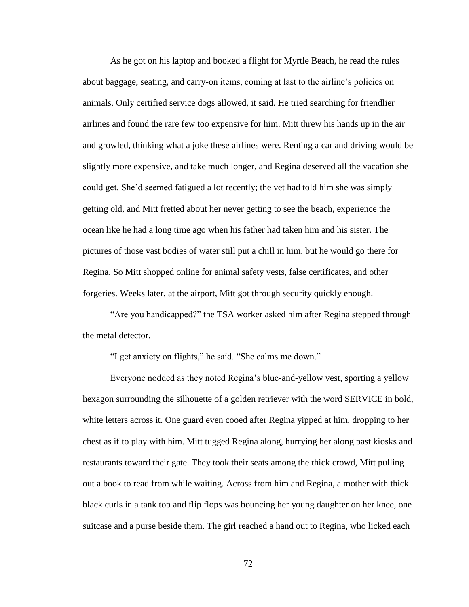As he got on his laptop and booked a flight for Myrtle Beach, he read the rules about baggage, seating, and carry-on items, coming at last to the airline's policies on animals. Only certified service dogs allowed, it said. He tried searching for friendlier airlines and found the rare few too expensive for him. Mitt threw his hands up in the air and growled, thinking what a joke these airlines were. Renting a car and driving would be slightly more expensive, and take much longer, and Regina deserved all the vacation she could get. She'd seemed fatigued a lot recently; the vet had told him she was simply getting old, and Mitt fretted about her never getting to see the beach, experience the ocean like he had a long time ago when his father had taken him and his sister. The pictures of those vast bodies of water still put a chill in him, but he would go there for Regina. So Mitt shopped online for animal safety vests, false certificates, and other forgeries. Weeks later, at the airport, Mitt got through security quickly enough.

"Are you handicapped?" the TSA worker asked him after Regina stepped through the metal detector.

"I get anxiety on flights," he said. "She calms me down."

Everyone nodded as they noted Regina's blue-and-yellow vest, sporting a yellow hexagon surrounding the silhouette of a golden retriever with the word SERVICE in bold, white letters across it. One guard even cooed after Regina yipped at him, dropping to her chest as if to play with him. Mitt tugged Regina along, hurrying her along past kiosks and restaurants toward their gate. They took their seats among the thick crowd, Mitt pulling out a book to read from while waiting. Across from him and Regina, a mother with thick black curls in a tank top and flip flops was bouncing her young daughter on her knee, one suitcase and a purse beside them. The girl reached a hand out to Regina, who licked each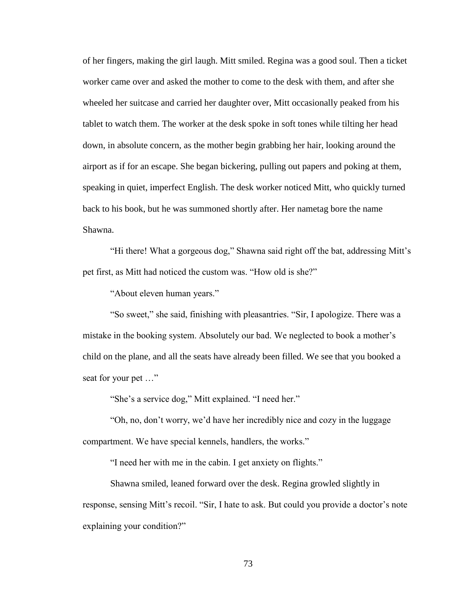of her fingers, making the girl laugh. Mitt smiled. Regina was a good soul. Then a ticket worker came over and asked the mother to come to the desk with them, and after she wheeled her suitcase and carried her daughter over, Mitt occasionally peaked from his tablet to watch them. The worker at the desk spoke in soft tones while tilting her head down, in absolute concern, as the mother begin grabbing her hair, looking around the airport as if for an escape. She began bickering, pulling out papers and poking at them, speaking in quiet, imperfect English. The desk worker noticed Mitt, who quickly turned back to his book, but he was summoned shortly after. Her nametag bore the name Shawna.

"Hi there! What a gorgeous dog," Shawna said right off the bat, addressing Mitt's pet first, as Mitt had noticed the custom was. "How old is she?"

"About eleven human years."

"So sweet," she said, finishing with pleasantries. "Sir, I apologize. There was a mistake in the booking system. Absolutely our bad. We neglected to book a mother's child on the plane, and all the seats have already been filled. We see that you booked a seat for your pet …"

"She's a service dog," Mitt explained. "I need her."

"Oh, no, don't worry, we'd have her incredibly nice and cozy in the luggage compartment. We have special kennels, handlers, the works."

"I need her with me in the cabin. I get anxiety on flights."

Shawna smiled, leaned forward over the desk. Regina growled slightly in response, sensing Mitt's recoil. "Sir, I hate to ask. But could you provide a doctor's note explaining your condition?"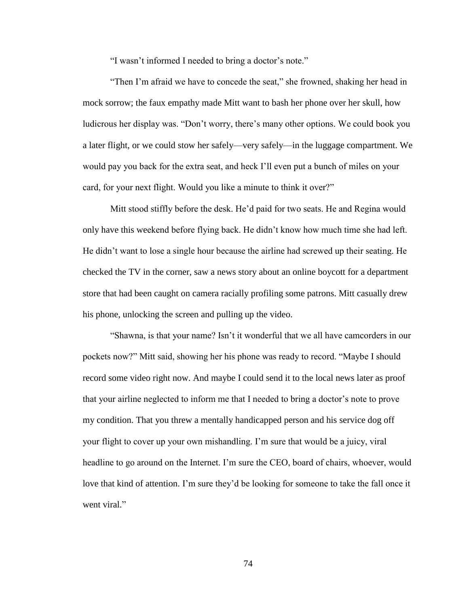"I wasn't informed I needed to bring a doctor's note."

"Then I'm afraid we have to concede the seat," she frowned, shaking her head in mock sorrow; the faux empathy made Mitt want to bash her phone over her skull, how ludicrous her display was. "Don't worry, there's many other options. We could book you a later flight, or we could stow her safely—very safely—in the luggage compartment. We would pay you back for the extra seat, and heck I'll even put a bunch of miles on your card, for your next flight. Would you like a minute to think it over?"

Mitt stood stiffly before the desk. He'd paid for two seats. He and Regina would only have this weekend before flying back. He didn't know how much time she had left. He didn't want to lose a single hour because the airline had screwed up their seating. He checked the TV in the corner, saw a news story about an online boycott for a department store that had been caught on camera racially profiling some patrons. Mitt casually drew his phone, unlocking the screen and pulling up the video.

"Shawna, is that your name? Isn't it wonderful that we all have camcorders in our pockets now?" Mitt said, showing her his phone was ready to record. "Maybe I should record some video right now. And maybe I could send it to the local news later as proof that your airline neglected to inform me that I needed to bring a doctor's note to prove my condition. That you threw a mentally handicapped person and his service dog off your flight to cover up your own mishandling. I'm sure that would be a juicy, viral headline to go around on the Internet. I'm sure the CEO, board of chairs, whoever, would love that kind of attention. I'm sure they'd be looking for someone to take the fall once it went viral."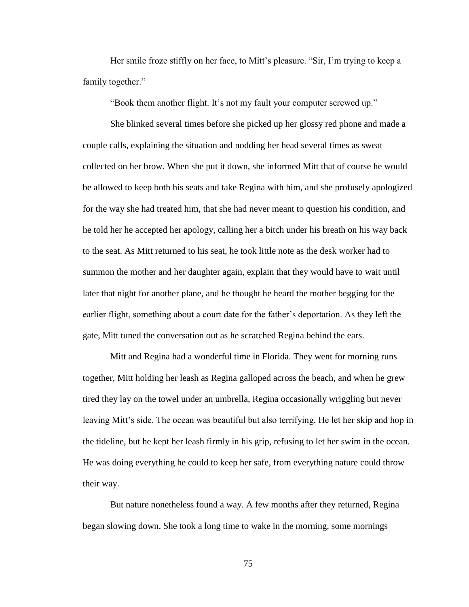Her smile froze stiffly on her face, to Mitt's pleasure. "Sir, I'm trying to keep a family together."

"Book them another flight. It's not my fault your computer screwed up."

She blinked several times before she picked up her glossy red phone and made a couple calls, explaining the situation and nodding her head several times as sweat collected on her brow. When she put it down, she informed Mitt that of course he would be allowed to keep both his seats and take Regina with him, and she profusely apologized for the way she had treated him, that she had never meant to question his condition, and he told her he accepted her apology, calling her a bitch under his breath on his way back to the seat. As Mitt returned to his seat, he took little note as the desk worker had to summon the mother and her daughter again, explain that they would have to wait until later that night for another plane, and he thought he heard the mother begging for the earlier flight, something about a court date for the father's deportation. As they left the gate, Mitt tuned the conversation out as he scratched Regina behind the ears.

Mitt and Regina had a wonderful time in Florida. They went for morning runs together, Mitt holding her leash as Regina galloped across the beach, and when he grew tired they lay on the towel under an umbrella, Regina occasionally wriggling but never leaving Mitt's side. The ocean was beautiful but also terrifying. He let her skip and hop in the tideline, but he kept her leash firmly in his grip, refusing to let her swim in the ocean. He was doing everything he could to keep her safe, from everything nature could throw their way.

But nature nonetheless found a way. A few months after they returned, Regina began slowing down. She took a long time to wake in the morning, some mornings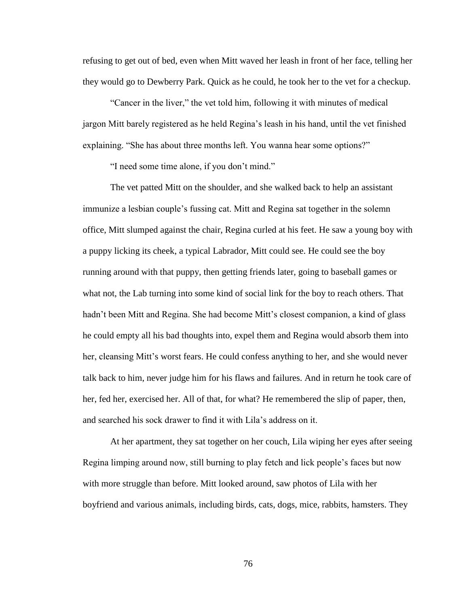refusing to get out of bed, even when Mitt waved her leash in front of her face, telling her they would go to Dewberry Park. Quick as he could, he took her to the vet for a checkup.

"Cancer in the liver," the vet told him, following it with minutes of medical jargon Mitt barely registered as he held Regina's leash in his hand, until the vet finished explaining. "She has about three months left. You wanna hear some options?"

"I need some time alone, if you don't mind."

The vet patted Mitt on the shoulder, and she walked back to help an assistant immunize a lesbian couple's fussing cat. Mitt and Regina sat together in the solemn office, Mitt slumped against the chair, Regina curled at his feet. He saw a young boy with a puppy licking its cheek, a typical Labrador, Mitt could see. He could see the boy running around with that puppy, then getting friends later, going to baseball games or what not, the Lab turning into some kind of social link for the boy to reach others. That hadn't been Mitt and Regina. She had become Mitt's closest companion, a kind of glass he could empty all his bad thoughts into, expel them and Regina would absorb them into her, cleansing Mitt's worst fears. He could confess anything to her, and she would never talk back to him, never judge him for his flaws and failures. And in return he took care of her, fed her, exercised her. All of that, for what? He remembered the slip of paper, then, and searched his sock drawer to find it with Lila's address on it.

At her apartment, they sat together on her couch, Lila wiping her eyes after seeing Regina limping around now, still burning to play fetch and lick people's faces but now with more struggle than before. Mitt looked around, saw photos of Lila with her boyfriend and various animals, including birds, cats, dogs, mice, rabbits, hamsters. They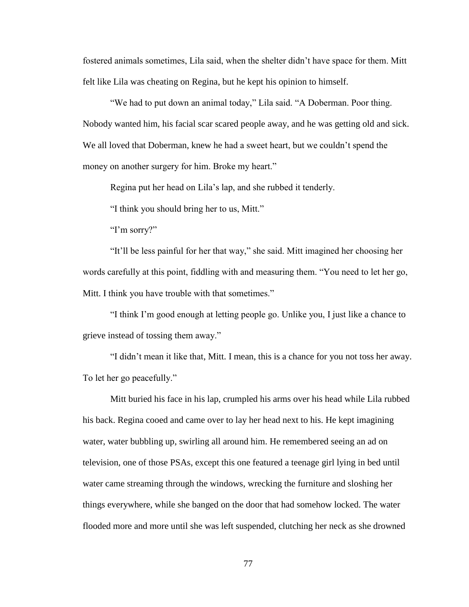fostered animals sometimes, Lila said, when the shelter didn't have space for them. Mitt felt like Lila was cheating on Regina, but he kept his opinion to himself.

"We had to put down an animal today," Lila said. "A Doberman. Poor thing. Nobody wanted him, his facial scar scared people away, and he was getting old and sick. We all loved that Doberman, knew he had a sweet heart, but we couldn't spend the money on another surgery for him. Broke my heart."

Regina put her head on Lila's lap, and she rubbed it tenderly.

"I think you should bring her to us, Mitt."

"I'm sorry?"

"It'll be less painful for her that way," she said. Mitt imagined her choosing her words carefully at this point, fiddling with and measuring them. "You need to let her go, Mitt. I think you have trouble with that sometimes."

"I think I'm good enough at letting people go. Unlike you, I just like a chance to grieve instead of tossing them away."

"I didn't mean it like that, Mitt. I mean, this is a chance for you not toss her away. To let her go peacefully."

Mitt buried his face in his lap, crumpled his arms over his head while Lila rubbed his back. Regina cooed and came over to lay her head next to his. He kept imagining water, water bubbling up, swirling all around him. He remembered seeing an ad on television, one of those PSAs, except this one featured a teenage girl lying in bed until water came streaming through the windows, wrecking the furniture and sloshing her things everywhere, while she banged on the door that had somehow locked. The water flooded more and more until she was left suspended, clutching her neck as she drowned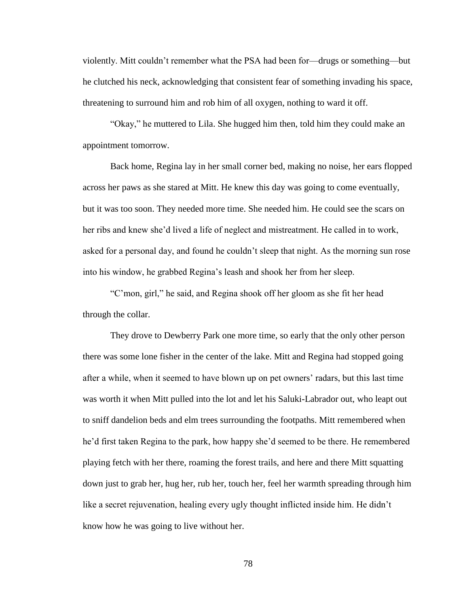violently. Mitt couldn't remember what the PSA had been for—drugs or something—but he clutched his neck, acknowledging that consistent fear of something invading his space, threatening to surround him and rob him of all oxygen, nothing to ward it off.

"Okay," he muttered to Lila. She hugged him then, told him they could make an appointment tomorrow.

Back home, Regina lay in her small corner bed, making no noise, her ears flopped across her paws as she stared at Mitt. He knew this day was going to come eventually, but it was too soon. They needed more time. She needed him. He could see the scars on her ribs and knew she'd lived a life of neglect and mistreatment. He called in to work, asked for a personal day, and found he couldn't sleep that night. As the morning sun rose into his window, he grabbed Regina's leash and shook her from her sleep.

"C'mon, girl," he said, and Regina shook off her gloom as she fit her head through the collar.

They drove to Dewberry Park one more time, so early that the only other person there was some lone fisher in the center of the lake. Mitt and Regina had stopped going after a while, when it seemed to have blown up on pet owners' radars, but this last time was worth it when Mitt pulled into the lot and let his Saluki-Labrador out, who leapt out to sniff dandelion beds and elm trees surrounding the footpaths. Mitt remembered when he'd first taken Regina to the park, how happy she'd seemed to be there. He remembered playing fetch with her there, roaming the forest trails, and here and there Mitt squatting down just to grab her, hug her, rub her, touch her, feel her warmth spreading through him like a secret rejuvenation, healing every ugly thought inflicted inside him. He didn't know how he was going to live without her.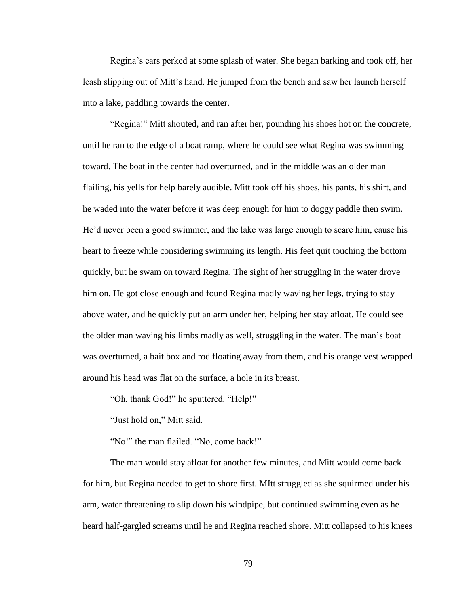Regina's ears perked at some splash of water. She began barking and took off, her leash slipping out of Mitt's hand. He jumped from the bench and saw her launch herself into a lake, paddling towards the center.

"Regina!" Mitt shouted, and ran after her, pounding his shoes hot on the concrete, until he ran to the edge of a boat ramp, where he could see what Regina was swimming toward. The boat in the center had overturned, and in the middle was an older man flailing, his yells for help barely audible. Mitt took off his shoes, his pants, his shirt, and he waded into the water before it was deep enough for him to doggy paddle then swim. He'd never been a good swimmer, and the lake was large enough to scare him, cause his heart to freeze while considering swimming its length. His feet quit touching the bottom quickly, but he swam on toward Regina. The sight of her struggling in the water drove him on. He got close enough and found Regina madly waving her legs, trying to stay above water, and he quickly put an arm under her, helping her stay afloat. He could see the older man waving his limbs madly as well, struggling in the water. The man's boat was overturned, a bait box and rod floating away from them, and his orange vest wrapped around his head was flat on the surface, a hole in its breast.

"Oh, thank God!" he sputtered. "Help!"

"Just hold on," Mitt said.

"No!" the man flailed. "No, come back!"

The man would stay afloat for another few minutes, and Mitt would come back for him, but Regina needed to get to shore first. MItt struggled as she squirmed under his arm, water threatening to slip down his windpipe, but continued swimming even as he heard half-gargled screams until he and Regina reached shore. Mitt collapsed to his knees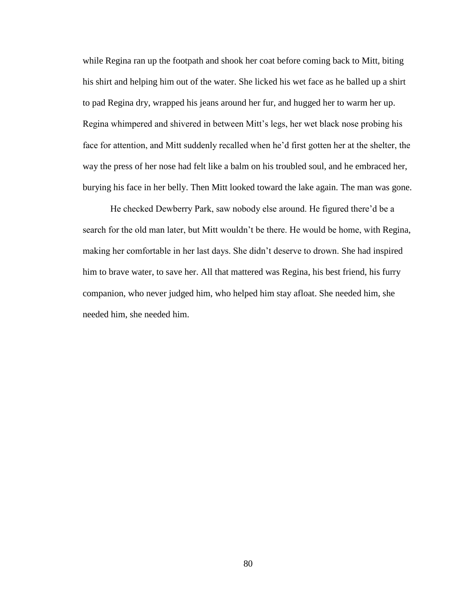while Regina ran up the footpath and shook her coat before coming back to Mitt, biting his shirt and helping him out of the water. She licked his wet face as he balled up a shirt to pad Regina dry, wrapped his jeans around her fur, and hugged her to warm her up. Regina whimpered and shivered in between Mitt's legs, her wet black nose probing his face for attention, and Mitt suddenly recalled when he'd first gotten her at the shelter, the way the press of her nose had felt like a balm on his troubled soul, and he embraced her, burying his face in her belly. Then Mitt looked toward the lake again. The man was gone.

He checked Dewberry Park, saw nobody else around. He figured there'd be a search for the old man later, but Mitt wouldn't be there. He would be home, with Regina, making her comfortable in her last days. She didn't deserve to drown. She had inspired him to brave water, to save her. All that mattered was Regina, his best friend, his furry companion, who never judged him, who helped him stay afloat. She needed him, she needed him, she needed him.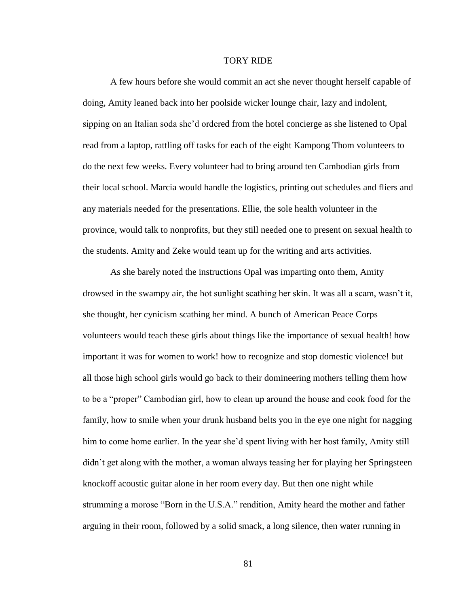## TORY RIDE

A few hours before she would commit an act she never thought herself capable of doing, Amity leaned back into her poolside wicker lounge chair, lazy and indolent, sipping on an Italian soda she'd ordered from the hotel concierge as she listened to Opal read from a laptop, rattling off tasks for each of the eight Kampong Thom volunteers to do the next few weeks. Every volunteer had to bring around ten Cambodian girls from their local school. Marcia would handle the logistics, printing out schedules and fliers and any materials needed for the presentations. Ellie, the sole health volunteer in the province, would talk to nonprofits, but they still needed one to present on sexual health to the students. Amity and Zeke would team up for the writing and arts activities.

As she barely noted the instructions Opal was imparting onto them, Amity drowsed in the swampy air, the hot sunlight scathing her skin. It was all a scam, wasn't it, she thought, her cynicism scathing her mind. A bunch of American Peace Corps volunteers would teach these girls about things like the importance of sexual health! how important it was for women to work! how to recognize and stop domestic violence! but all those high school girls would go back to their domineering mothers telling them how to be a "proper" Cambodian girl, how to clean up around the house and cook food for the family, how to smile when your drunk husband belts you in the eye one night for nagging him to come home earlier. In the year she'd spent living with her host family, Amity still didn't get along with the mother, a woman always teasing her for playing her Springsteen knockoff acoustic guitar alone in her room every day. But then one night while strumming a morose "Born in the U.S.A." rendition, Amity heard the mother and father arguing in their room, followed by a solid smack, a long silence, then water running in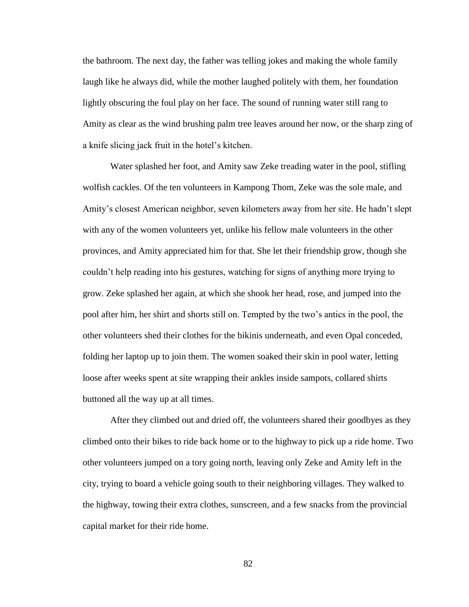the bathroom. The next day, the father was telling jokes and making the whole family laugh like he always did, while the mother laughed politely with them, her foundation lightly obscuring the foul play on her face. The sound of running water still rang to Amity as clear as the wind brushing palm tree leaves around her now, or the sharp zing of a knife slicing jack fruit in the hotel's kitchen.

Water splashed her foot, and Amity saw Zeke treading water in the pool, stifling wolfish cackles. Of the ten volunteers in Kampong Thom, Zeke was the sole male, and Amity's closest American neighbor, seven kilometers away from her site. He hadn't slept with any of the women volunteers yet, unlike his fellow male volunteers in the other provinces, and Amity appreciated him for that. She let their friendship grow, though she couldn't help reading into his gestures, watching for signs of anything more trying to grow. Zeke splashed her again, at which she shook her head, rose, and jumped into the pool after him, her shirt and shorts still on. Tempted by the two's antics in the pool, the other volunteers shed their clothes for the bikinis underneath, and even Opal conceded, folding her laptop up to join them. The women soaked their skin in pool water, letting loose after weeks spent at site wrapping their ankles inside sampots, collared shirts buttoned all the way up at all times.

After they climbed out and dried off, the volunteers shared their goodbyes as they climbed onto their bikes to ride back home or to the highway to pick up a ride home. Two other volunteers jumped on a tory going north, leaving only Zeke and Amity left in the city, trying to board a vehicle going south to their neighboring villages. They walked to the highway, towing their extra clothes, sunscreen, and a few snacks from the provincial capital market for their ride home.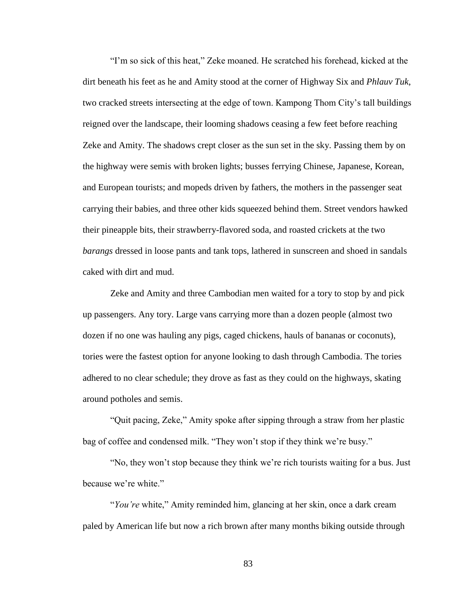"I'm so sick of this heat," Zeke moaned. He scratched his forehead, kicked at the dirt beneath his feet as he and Amity stood at the corner of Highway Six and *Phlauv Tuk*, two cracked streets intersecting at the edge of town. Kampong Thom City's tall buildings reigned over the landscape, their looming shadows ceasing a few feet before reaching Zeke and Amity. The shadows crept closer as the sun set in the sky. Passing them by on the highway were semis with broken lights; busses ferrying Chinese, Japanese, Korean, and European tourists; and mopeds driven by fathers, the mothers in the passenger seat carrying their babies, and three other kids squeezed behind them. Street vendors hawked their pineapple bits, their strawberry-flavored soda, and roasted crickets at the two *barangs* dressed in loose pants and tank tops, lathered in sunscreen and shoed in sandals caked with dirt and mud.

Zeke and Amity and three Cambodian men waited for a tory to stop by and pick up passengers. Any tory. Large vans carrying more than a dozen people (almost two dozen if no one was hauling any pigs, caged chickens, hauls of bananas or coconuts), tories were the fastest option for anyone looking to dash through Cambodia. The tories adhered to no clear schedule; they drove as fast as they could on the highways, skating around potholes and semis.

"Quit pacing, Zeke," Amity spoke after sipping through a straw from her plastic bag of coffee and condensed milk. "They won't stop if they think we're busy."

"No, they won't stop because they think we're rich tourists waiting for a bus. Just because we're white."

"*You're* white," Amity reminded him, glancing at her skin, once a dark cream paled by American life but now a rich brown after many months biking outside through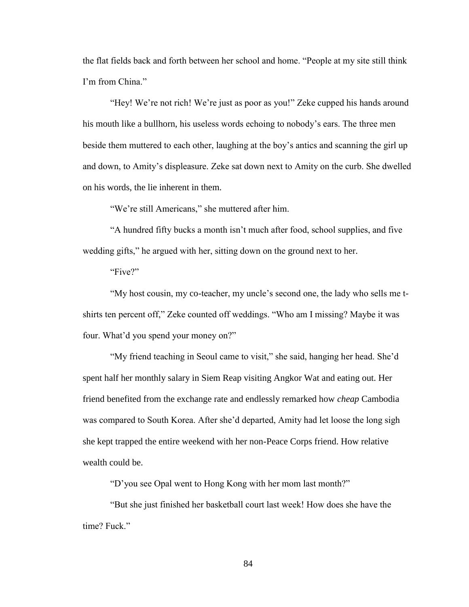the flat fields back and forth between her school and home. "People at my site still think I'm from China."

"Hey! We're not rich! We're just as poor as you!" Zeke cupped his hands around his mouth like a bullhorn, his useless words echoing to nobody's ears. The three men beside them muttered to each other, laughing at the boy's antics and scanning the girl up and down, to Amity's displeasure. Zeke sat down next to Amity on the curb. She dwelled on his words, the lie inherent in them.

"We're still Americans," she muttered after him.

"A hundred fifty bucks a month isn't much after food, school supplies, and five wedding gifts," he argued with her, sitting down on the ground next to her.

"Five?"

"My host cousin, my co-teacher, my uncle's second one, the lady who sells me tshirts ten percent off," Zeke counted off weddings. "Who am I missing? Maybe it was four. What'd you spend your money on?"

"My friend teaching in Seoul came to visit," she said, hanging her head. She'd spent half her monthly salary in Siem Reap visiting Angkor Wat and eating out. Her friend benefited from the exchange rate and endlessly remarked how *cheap* Cambodia was compared to South Korea. After she'd departed, Amity had let loose the long sigh she kept trapped the entire weekend with her non-Peace Corps friend. How relative wealth could be.

"D'you see Opal went to Hong Kong with her mom last month?"

"But she just finished her basketball court last week! How does she have the time? Fuck."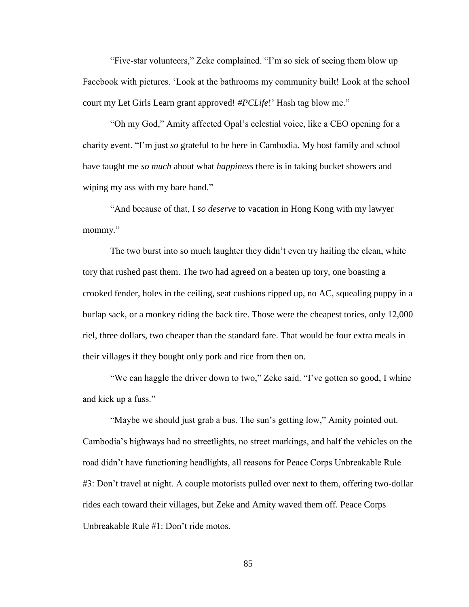"Five-star volunteers," Zeke complained. "I'm so sick of seeing them blow up Facebook with pictures. 'Look at the bathrooms my community built! Look at the school court my Let Girls Learn grant approved! *#PCLife*!' Hash tag blow me."

"Oh my God," Amity affected Opal's celestial voice, like a CEO opening for a charity event. "I'm just *so* grateful to be here in Cambodia. My host family and school have taught me *so much* about what *happiness* there is in taking bucket showers and wiping my ass with my bare hand."

"And because of that, I *so deserve* to vacation in Hong Kong with my lawyer mommy."

The two burst into so much laughter they didn't even try hailing the clean, white tory that rushed past them. The two had agreed on a beaten up tory, one boasting a crooked fender, holes in the ceiling, seat cushions ripped up, no AC, squealing puppy in a burlap sack, or a monkey riding the back tire. Those were the cheapest tories, only 12,000 riel, three dollars, two cheaper than the standard fare. That would be four extra meals in their villages if they bought only pork and rice from then on.

"We can haggle the driver down to two," Zeke said. "I've gotten so good, I whine and kick up a fuss."

"Maybe we should just grab a bus. The sun's getting low," Amity pointed out. Cambodia's highways had no streetlights, no street markings, and half the vehicles on the road didn't have functioning headlights, all reasons for Peace Corps Unbreakable Rule #3: Don't travel at night. A couple motorists pulled over next to them, offering two-dollar rides each toward their villages, but Zeke and Amity waved them off. Peace Corps Unbreakable Rule #1: Don't ride motos.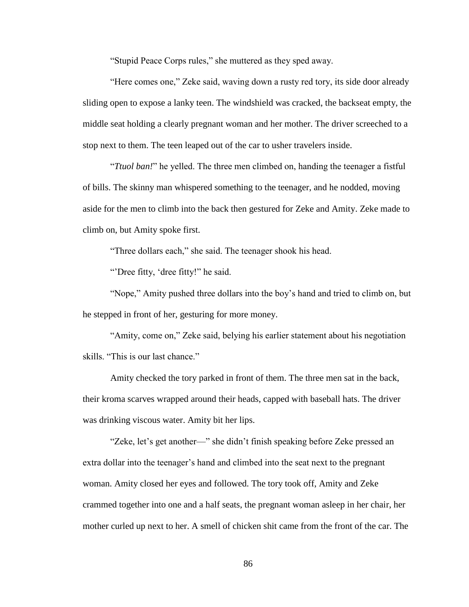"Stupid Peace Corps rules," she muttered as they sped away.

"Here comes one," Zeke said, waving down a rusty red tory, its side door already sliding open to expose a lanky teen. The windshield was cracked, the backseat empty, the middle seat holding a clearly pregnant woman and her mother. The driver screeched to a stop next to them. The teen leaped out of the car to usher travelers inside.

"*Ttuol ban!*" he yelled. The three men climbed on, handing the teenager a fistful of bills. The skinny man whispered something to the teenager, and he nodded, moving aside for the men to climb into the back then gestured for Zeke and Amity. Zeke made to climb on, but Amity spoke first.

"Three dollars each," she said. The teenager shook his head.

"Dree fitty, 'dree fitty!" he said.

"Nope," Amity pushed three dollars into the boy's hand and tried to climb on, but he stepped in front of her, gesturing for more money.

"Amity, come on," Zeke said, belying his earlier statement about his negotiation skills. "This is our last chance."

Amity checked the tory parked in front of them. The three men sat in the back, their kroma scarves wrapped around their heads, capped with baseball hats. The driver was drinking viscous water. Amity bit her lips.

"Zeke, let's get another—" she didn't finish speaking before Zeke pressed an extra dollar into the teenager's hand and climbed into the seat next to the pregnant woman. Amity closed her eyes and followed. The tory took off, Amity and Zeke crammed together into one and a half seats, the pregnant woman asleep in her chair, her mother curled up next to her. A smell of chicken shit came from the front of the car. The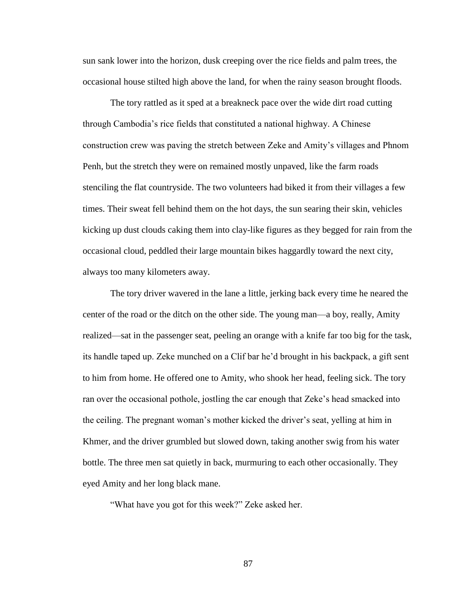sun sank lower into the horizon, dusk creeping over the rice fields and palm trees, the occasional house stilted high above the land, for when the rainy season brought floods.

The tory rattled as it sped at a breakneck pace over the wide dirt road cutting through Cambodia's rice fields that constituted a national highway. A Chinese construction crew was paving the stretch between Zeke and Amity's villages and Phnom Penh, but the stretch they were on remained mostly unpaved, like the farm roads stenciling the flat countryside. The two volunteers had biked it from their villages a few times. Their sweat fell behind them on the hot days, the sun searing their skin, vehicles kicking up dust clouds caking them into clay-like figures as they begged for rain from the occasional cloud, peddled their large mountain bikes haggardly toward the next city, always too many kilometers away.

The tory driver wavered in the lane a little, jerking back every time he neared the center of the road or the ditch on the other side. The young man—a boy, really, Amity realized—sat in the passenger seat, peeling an orange with a knife far too big for the task, its handle taped up. Zeke munched on a Clif bar he'd brought in his backpack, a gift sent to him from home. He offered one to Amity, who shook her head, feeling sick. The tory ran over the occasional pothole, jostling the car enough that Zeke's head smacked into the ceiling. The pregnant woman's mother kicked the driver's seat, yelling at him in Khmer, and the driver grumbled but slowed down, taking another swig from his water bottle. The three men sat quietly in back, murmuring to each other occasionally. They eyed Amity and her long black mane.

"What have you got for this week?" Zeke asked her.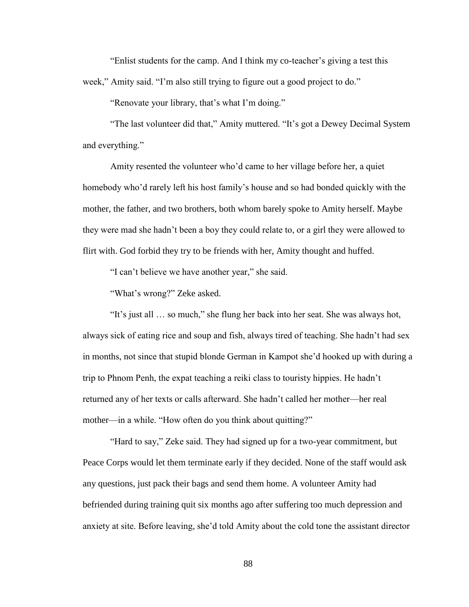"Enlist students for the camp. And I think my co-teacher's giving a test this week," Amity said. "I'm also still trying to figure out a good project to do."

"Renovate your library, that's what I'm doing."

"The last volunteer did that," Amity muttered. "It's got a Dewey Decimal System and everything."

Amity resented the volunteer who'd came to her village before her, a quiet homebody who'd rarely left his host family's house and so had bonded quickly with the mother, the father, and two brothers, both whom barely spoke to Amity herself. Maybe they were mad she hadn't been a boy they could relate to, or a girl they were allowed to flirt with. God forbid they try to be friends with her, Amity thought and huffed.

"I can't believe we have another year," she said.

"What's wrong?" Zeke asked.

"It's just all … so much," she flung her back into her seat. She was always hot, always sick of eating rice and soup and fish, always tired of teaching. She hadn't had sex in months, not since that stupid blonde German in Kampot she'd hooked up with during a trip to Phnom Penh, the expat teaching a reiki class to touristy hippies. He hadn't returned any of her texts or calls afterward. She hadn't called her mother—her real mother—in a while. "How often do you think about quitting?"

"Hard to say," Zeke said. They had signed up for a two-year commitment, but Peace Corps would let them terminate early if they decided. None of the staff would ask any questions, just pack their bags and send them home. A volunteer Amity had befriended during training quit six months ago after suffering too much depression and anxiety at site. Before leaving, she'd told Amity about the cold tone the assistant director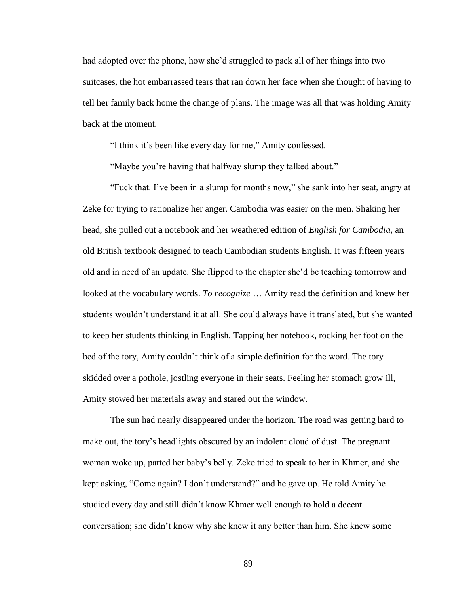had adopted over the phone, how she'd struggled to pack all of her things into two suitcases, the hot embarrassed tears that ran down her face when she thought of having to tell her family back home the change of plans. The image was all that was holding Amity back at the moment.

"I think it's been like every day for me," Amity confessed.

"Maybe you're having that halfway slump they talked about."

"Fuck that. I've been in a slump for months now," she sank into her seat, angry at Zeke for trying to rationalize her anger. Cambodia was easier on the men. Shaking her head, she pulled out a notebook and her weathered edition of *English for Cambodia*, an old British textbook designed to teach Cambodian students English. It was fifteen years old and in need of an update. She flipped to the chapter she'd be teaching tomorrow and looked at the vocabulary words. *To recognize* … Amity read the definition and knew her students wouldn't understand it at all. She could always have it translated, but she wanted to keep her students thinking in English. Tapping her notebook, rocking her foot on the bed of the tory, Amity couldn't think of a simple definition for the word. The tory skidded over a pothole, jostling everyone in their seats. Feeling her stomach grow ill, Amity stowed her materials away and stared out the window.

The sun had nearly disappeared under the horizon. The road was getting hard to make out, the tory's headlights obscured by an indolent cloud of dust. The pregnant woman woke up, patted her baby's belly. Zeke tried to speak to her in Khmer, and she kept asking, "Come again? I don't understand?" and he gave up. He told Amity he studied every day and still didn't know Khmer well enough to hold a decent conversation; she didn't know why she knew it any better than him. She knew some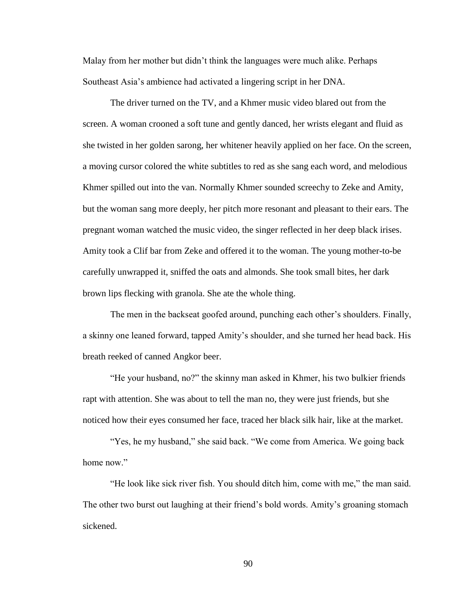Malay from her mother but didn't think the languages were much alike. Perhaps Southeast Asia's ambience had activated a lingering script in her DNA.

The driver turned on the TV, and a Khmer music video blared out from the screen. A woman crooned a soft tune and gently danced, her wrists elegant and fluid as she twisted in her golden sarong, her whitener heavily applied on her face. On the screen, a moving cursor colored the white subtitles to red as she sang each word, and melodious Khmer spilled out into the van. Normally Khmer sounded screechy to Zeke and Amity, but the woman sang more deeply, her pitch more resonant and pleasant to their ears. The pregnant woman watched the music video, the singer reflected in her deep black irises. Amity took a Clif bar from Zeke and offered it to the woman. The young mother-to-be carefully unwrapped it, sniffed the oats and almonds. She took small bites, her dark brown lips flecking with granola. She ate the whole thing.

The men in the backseat goofed around, punching each other's shoulders. Finally, a skinny one leaned forward, tapped Amity's shoulder, and she turned her head back. His breath reeked of canned Angkor beer.

"He your husband, no?" the skinny man asked in Khmer, his two bulkier friends rapt with attention. She was about to tell the man no, they were just friends, but she noticed how their eyes consumed her face, traced her black silk hair, like at the market.

"Yes, he my husband," she said back. "We come from America. We going back home now."

"He look like sick river fish. You should ditch him, come with me," the man said. The other two burst out laughing at their friend's bold words. Amity's groaning stomach sickened.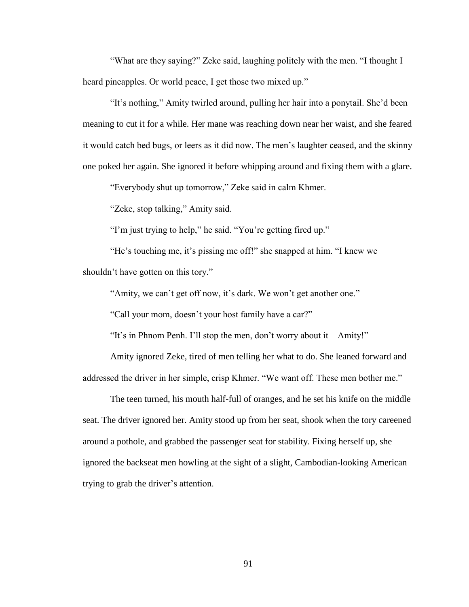"What are they saying?" Zeke said, laughing politely with the men. "I thought I heard pineapples. Or world peace, I get those two mixed up."

"It's nothing," Amity twirled around, pulling her hair into a ponytail. She'd been meaning to cut it for a while. Her mane was reaching down near her waist, and she feared it would catch bed bugs, or leers as it did now. The men's laughter ceased, and the skinny one poked her again. She ignored it before whipping around and fixing them with a glare.

"Everybody shut up tomorrow," Zeke said in calm Khmer.

"Zeke, stop talking," Amity said.

"I'm just trying to help," he said. "You're getting fired up."

"He's touching me, it's pissing me off!" she snapped at him. "I knew we shouldn't have gotten on this tory."

"Amity, we can't get off now, it's dark. We won't get another one."

"Call your mom, doesn't your host family have a car?"

"It's in Phnom Penh. I'll stop the men, don't worry about it—Amity!"

Amity ignored Zeke, tired of men telling her what to do. She leaned forward and addressed the driver in her simple, crisp Khmer. "We want off. These men bother me."

The teen turned, his mouth half-full of oranges, and he set his knife on the middle seat. The driver ignored her. Amity stood up from her seat, shook when the tory careened around a pothole, and grabbed the passenger seat for stability. Fixing herself up, she ignored the backseat men howling at the sight of a slight, Cambodian-looking American trying to grab the driver's attention.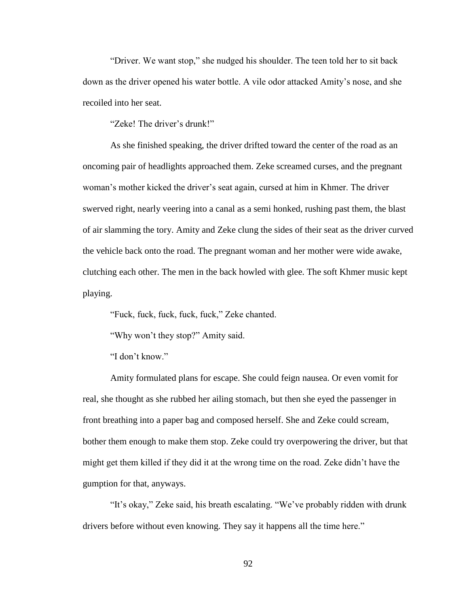"Driver. We want stop," she nudged his shoulder. The teen told her to sit back down as the driver opened his water bottle. A vile odor attacked Amity's nose, and she recoiled into her seat.

"Zeke! The driver's drunk!"

As she finished speaking, the driver drifted toward the center of the road as an oncoming pair of headlights approached them. Zeke screamed curses, and the pregnant woman's mother kicked the driver's seat again, cursed at him in Khmer. The driver swerved right, nearly veering into a canal as a semi honked, rushing past them, the blast of air slamming the tory. Amity and Zeke clung the sides of their seat as the driver curved the vehicle back onto the road. The pregnant woman and her mother were wide awake, clutching each other. The men in the back howled with glee. The soft Khmer music kept playing.

"Fuck, fuck, fuck, fuck, fuck," Zeke chanted.

"Why won't they stop?" Amity said.

"I don't know."

Amity formulated plans for escape. She could feign nausea. Or even vomit for real, she thought as she rubbed her ailing stomach, but then she eyed the passenger in front breathing into a paper bag and composed herself. She and Zeke could scream, bother them enough to make them stop. Zeke could try overpowering the driver, but that might get them killed if they did it at the wrong time on the road. Zeke didn't have the gumption for that, anyways.

"It's okay," Zeke said, his breath escalating. "We've probably ridden with drunk drivers before without even knowing. They say it happens all the time here."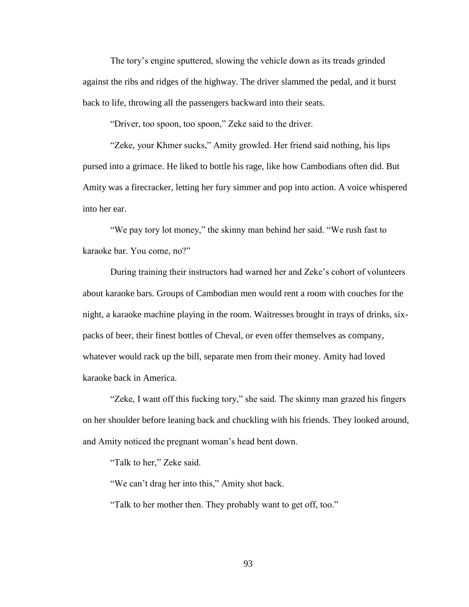The tory's engine sputtered, slowing the vehicle down as its treads grinded against the ribs and ridges of the highway. The driver slammed the pedal, and it burst back to life, throwing all the passengers backward into their seats.

"Driver, too spoon, too spoon," Zeke said to the driver.

"Zeke, your Khmer sucks," Amity growled. Her friend said nothing, his lips pursed into a grimace. He liked to bottle his rage, like how Cambodians often did. But Amity was a firecracker, letting her fury simmer and pop into action. A voice whispered into her ear.

"We pay tory lot money," the skinny man behind her said. "We rush fast to karaoke bar. You come, no?"

During training their instructors had warned her and Zeke's cohort of volunteers about karaoke bars. Groups of Cambodian men would rent a room with couches for the night, a karaoke machine playing in the room. Waitresses brought in trays of drinks, sixpacks of beer, their finest bottles of Cheval, or even offer themselves as company, whatever would rack up the bill, separate men from their money. Amity had loved karaoke back in America.

"Zeke, I want off this fucking tory," she said. The skinny man grazed his fingers on her shoulder before leaning back and chuckling with his friends. They looked around, and Amity noticed the pregnant woman's head bent down.

"Talk to her," Zeke said.

"We can't drag her into this," Amity shot back.

"Talk to her mother then. They probably want to get off, too."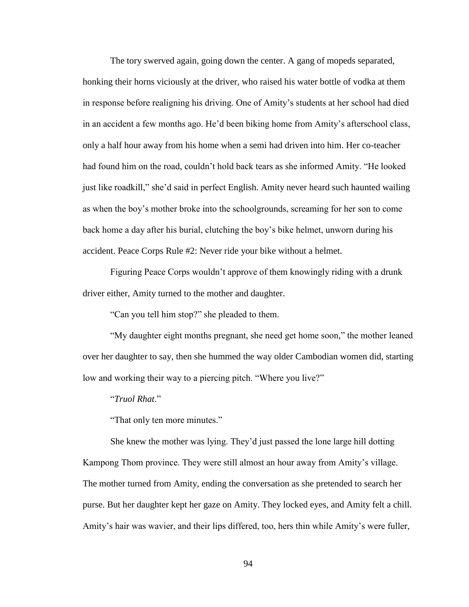The tory swerved again, going down the center. A gang of mopeds separated, honking their horns viciously at the driver, who raised his water bottle of vodka at them in response before realigning his driving. One of Amity's students at her school had died in an accident a few months ago. He'd been biking home from Amity's afterschool class, only a half hour away from his home when a semi had driven into him. Her co-teacher had found him on the road, couldn't hold back tears as she informed Amity. "He looked just like roadkill," she'd said in perfect English. Amity never heard such haunted wailing as when the boy's mother broke into the schoolgrounds, screaming for her son to come back home a day after his burial, clutching the boy's bike helmet, unworn during his accident. Peace Corps Rule #2: Never ride your bike without a helmet.

Figuring Peace Corps wouldn't approve of them knowingly riding with a drunk driver either, Amity turned to the mother and daughter.

"Can you tell him stop?" she pleaded to them.

"My daughter eight months pregnant, she need get home soon," the mother leaned over her daughter to say, then she hummed the way older Cambodian women did, starting low and working their way to a piercing pitch. "Where you live?"

"*Truol Rhat*."

"That only ten more minutes."

She knew the mother was lying. They'd just passed the lone large hill dotting Kampong Thom province. They were still almost an hour away from Amity's village. The mother turned from Amity, ending the conversation as she pretended to search her purse. But her daughter kept her gaze on Amity. They locked eyes, and Amity felt a chill. Amity's hair was wavier, and their lips differed, too, hers thin while Amity's were fuller,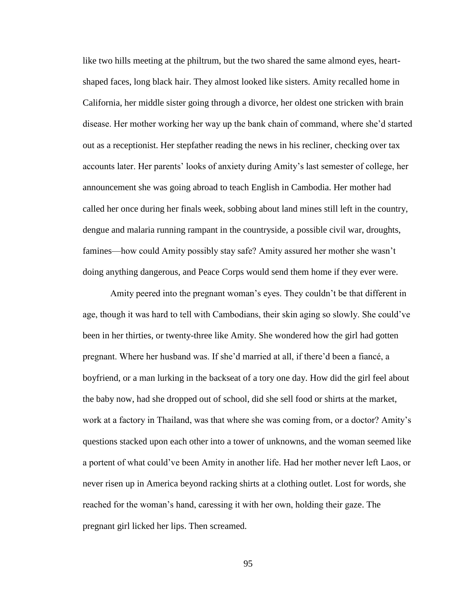like two hills meeting at the philtrum, but the two shared the same almond eyes, heartshaped faces, long black hair. They almost looked like sisters. Amity recalled home in California, her middle sister going through a divorce, her oldest one stricken with brain disease. Her mother working her way up the bank chain of command, where she'd started out as a receptionist. Her stepfather reading the news in his recliner, checking over tax accounts later. Her parents' looks of anxiety during Amity's last semester of college, her announcement she was going abroad to teach English in Cambodia. Her mother had called her once during her finals week, sobbing about land mines still left in the country, dengue and malaria running rampant in the countryside, a possible civil war, droughts, famines—how could Amity possibly stay safe? Amity assured her mother she wasn't doing anything dangerous, and Peace Corps would send them home if they ever were.

Amity peered into the pregnant woman's eyes. They couldn't be that different in age, though it was hard to tell with Cambodians, their skin aging so slowly. She could've been in her thirties, or twenty-three like Amity. She wondered how the girl had gotten pregnant. Where her husband was. If she'd married at all, if there'd been a fiancé, a boyfriend, or a man lurking in the backseat of a tory one day. How did the girl feel about the baby now, had she dropped out of school, did she sell food or shirts at the market, work at a factory in Thailand, was that where she was coming from, or a doctor? Amity's questions stacked upon each other into a tower of unknowns, and the woman seemed like a portent of what could've been Amity in another life. Had her mother never left Laos, or never risen up in America beyond racking shirts at a clothing outlet. Lost for words, she reached for the woman's hand, caressing it with her own, holding their gaze. The pregnant girl licked her lips. Then screamed.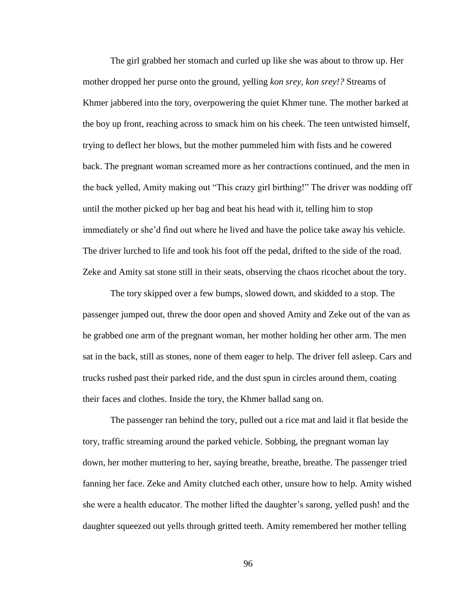The girl grabbed her stomach and curled up like she was about to throw up. Her mother dropped her purse onto the ground, yelling *kon srey, kon srey!?* Streams of Khmer jabbered into the tory, overpowering the quiet Khmer tune. The mother barked at the boy up front, reaching across to smack him on his cheek. The teen untwisted himself, trying to deflect her blows, but the mother pummeled him with fists and he cowered back. The pregnant woman screamed more as her contractions continued, and the men in the back yelled, Amity making out "This crazy girl birthing!" The driver was nodding off until the mother picked up her bag and beat his head with it, telling him to stop immediately or she'd find out where he lived and have the police take away his vehicle. The driver lurched to life and took his foot off the pedal, drifted to the side of the road. Zeke and Amity sat stone still in their seats, observing the chaos ricochet about the tory.

The tory skipped over a few bumps, slowed down, and skidded to a stop. The passenger jumped out, threw the door open and shoved Amity and Zeke out of the van as he grabbed one arm of the pregnant woman, her mother holding her other arm. The men sat in the back, still as stones, none of them eager to help. The driver fell asleep. Cars and trucks rushed past their parked ride, and the dust spun in circles around them, coating their faces and clothes. Inside the tory, the Khmer ballad sang on.

The passenger ran behind the tory, pulled out a rice mat and laid it flat beside the tory, traffic streaming around the parked vehicle. Sobbing, the pregnant woman lay down, her mother muttering to her, saying breathe, breathe, breathe. The passenger tried fanning her face. Zeke and Amity clutched each other, unsure how to help. Amity wished she were a health educator. The mother lifted the daughter's sarong, yelled push! and the daughter squeezed out yells through gritted teeth. Amity remembered her mother telling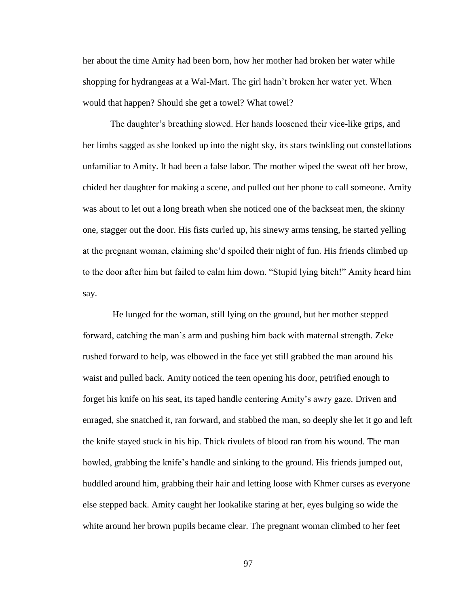her about the time Amity had been born, how her mother had broken her water while shopping for hydrangeas at a Wal-Mart. The girl hadn't broken her water yet. When would that happen? Should she get a towel? What towel?

The daughter's breathing slowed. Her hands loosened their vice-like grips, and her limbs sagged as she looked up into the night sky, its stars twinkling out constellations unfamiliar to Amity. It had been a false labor. The mother wiped the sweat off her brow, chided her daughter for making a scene, and pulled out her phone to call someone. Amity was about to let out a long breath when she noticed one of the backseat men, the skinny one, stagger out the door. His fists curled up, his sinewy arms tensing, he started yelling at the pregnant woman, claiming she'd spoiled their night of fun. His friends climbed up to the door after him but failed to calm him down. "Stupid lying bitch!" Amity heard him say.

He lunged for the woman, still lying on the ground, but her mother stepped forward, catching the man's arm and pushing him back with maternal strength. Zeke rushed forward to help, was elbowed in the face yet still grabbed the man around his waist and pulled back. Amity noticed the teen opening his door, petrified enough to forget his knife on his seat, its taped handle centering Amity's awry gaze. Driven and enraged, she snatched it, ran forward, and stabbed the man, so deeply she let it go and left the knife stayed stuck in his hip. Thick rivulets of blood ran from his wound. The man howled, grabbing the knife's handle and sinking to the ground. His friends jumped out, huddled around him, grabbing their hair and letting loose with Khmer curses as everyone else stepped back. Amity caught her lookalike staring at her, eyes bulging so wide the white around her brown pupils became clear. The pregnant woman climbed to her feet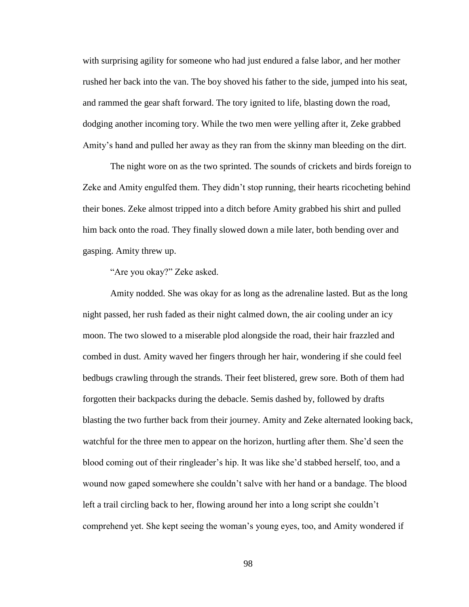with surprising agility for someone who had just endured a false labor, and her mother rushed her back into the van. The boy shoved his father to the side, jumped into his seat, and rammed the gear shaft forward. The tory ignited to life, blasting down the road, dodging another incoming tory. While the two men were yelling after it, Zeke grabbed Amity's hand and pulled her away as they ran from the skinny man bleeding on the dirt.

The night wore on as the two sprinted. The sounds of crickets and birds foreign to Zeke and Amity engulfed them. They didn't stop running, their hearts ricocheting behind their bones. Zeke almost tripped into a ditch before Amity grabbed his shirt and pulled him back onto the road. They finally slowed down a mile later, both bending over and gasping. Amity threw up.

"Are you okay?" Zeke asked.

Amity nodded. She was okay for as long as the adrenaline lasted. But as the long night passed, her rush faded as their night calmed down, the air cooling under an icy moon. The two slowed to a miserable plod alongside the road, their hair frazzled and combed in dust. Amity waved her fingers through her hair, wondering if she could feel bedbugs crawling through the strands. Their feet blistered, grew sore. Both of them had forgotten their backpacks during the debacle. Semis dashed by, followed by drafts blasting the two further back from their journey. Amity and Zeke alternated looking back, watchful for the three men to appear on the horizon, hurtling after them. She'd seen the blood coming out of their ringleader's hip. It was like she'd stabbed herself, too, and a wound now gaped somewhere she couldn't salve with her hand or a bandage. The blood left a trail circling back to her, flowing around her into a long script she couldn't comprehend yet. She kept seeing the woman's young eyes, too, and Amity wondered if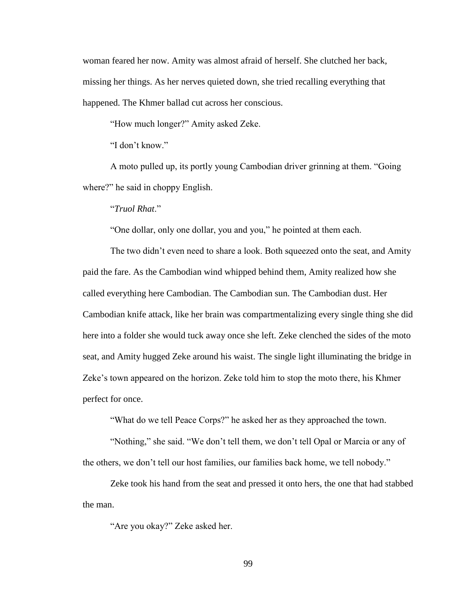woman feared her now. Amity was almost afraid of herself. She clutched her back, missing her things. As her nerves quieted down, she tried recalling everything that happened. The Khmer ballad cut across her conscious.

"How much longer?" Amity asked Zeke.

"I don't know."

A moto pulled up, its portly young Cambodian driver grinning at them. "Going where?" he said in choppy English.

"*Truol Rhat*."

"One dollar, only one dollar, you and you," he pointed at them each.

The two didn't even need to share a look. Both squeezed onto the seat, and Amity paid the fare. As the Cambodian wind whipped behind them, Amity realized how she called everything here Cambodian. The Cambodian sun. The Cambodian dust. Her Cambodian knife attack, like her brain was compartmentalizing every single thing she did here into a folder she would tuck away once she left. Zeke clenched the sides of the moto seat, and Amity hugged Zeke around his waist. The single light illuminating the bridge in Zeke's town appeared on the horizon. Zeke told him to stop the moto there, his Khmer perfect for once.

"What do we tell Peace Corps?" he asked her as they approached the town.

"Nothing," she said. "We don't tell them, we don't tell Opal or Marcia or any of the others, we don't tell our host families, our families back home, we tell nobody."

Zeke took his hand from the seat and pressed it onto hers, the one that had stabbed the man.

"Are you okay?" Zeke asked her.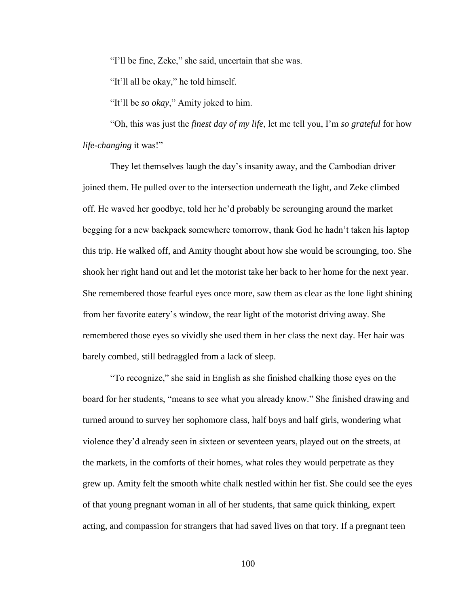"I'll be fine, Zeke," she said, uncertain that she was.

"It'll all be okay," he told himself.

"It'll be *so okay*," Amity joked to him.

"Oh, this was just the *finest day of my life*, let me tell you, I'm *so grateful* for how *life-changing* it was!"

They let themselves laugh the day's insanity away, and the Cambodian driver joined them. He pulled over to the intersection underneath the light, and Zeke climbed off. He waved her goodbye, told her he'd probably be scrounging around the market begging for a new backpack somewhere tomorrow, thank God he hadn't taken his laptop this trip. He walked off, and Amity thought about how she would be scrounging, too. She shook her right hand out and let the motorist take her back to her home for the next year. She remembered those fearful eyes once more, saw them as clear as the lone light shining from her favorite eatery's window, the rear light of the motorist driving away. She remembered those eyes so vividly she used them in her class the next day. Her hair was barely combed, still bedraggled from a lack of sleep.

"To recognize," she said in English as she finished chalking those eyes on the board for her students, "means to see what you already know." She finished drawing and turned around to survey her sophomore class, half boys and half girls, wondering what violence they'd already seen in sixteen or seventeen years, played out on the streets, at the markets, in the comforts of their homes, what roles they would perpetrate as they grew up. Amity felt the smooth white chalk nestled within her fist. She could see the eyes of that young pregnant woman in all of her students, that same quick thinking, expert acting, and compassion for strangers that had saved lives on that tory. If a pregnant teen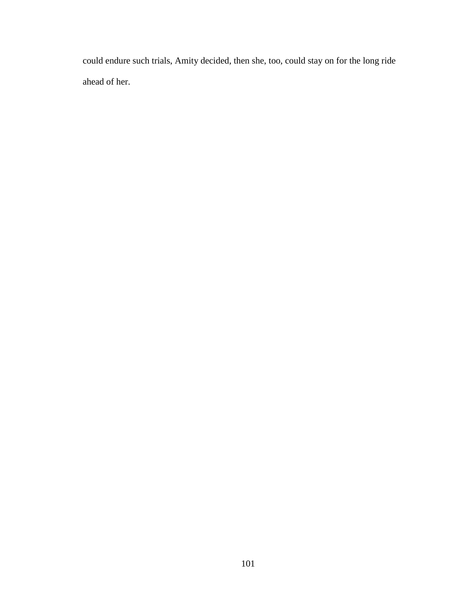could endure such trials, Amity decided, then she, too, could stay on for the long ride ahead of her.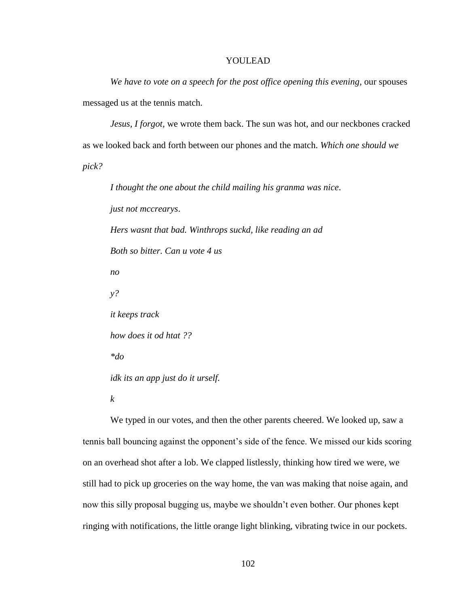## YOULEAD

*We have to vote on a speech for the post office opening this evening,* our spouses messaged us at the tennis match.

*Jesus, I forgot,* we wrote them back. The sun was hot, and our neckbones cracked as we looked back and forth between our phones and the match. *Which one should we pick?*

*I thought the one about the child mailing his granma was nice*. *just not mccrearys*. *Hers wasnt that bad. Winthrops suckd, like reading an ad Both so bitter. Can u vote 4 us no y? it keeps track how does it od htat ?? \*do idk its an app just do it urself.*

*k*

We typed in our votes, and then the other parents cheered. We looked up, saw a tennis ball bouncing against the opponent's side of the fence. We missed our kids scoring on an overhead shot after a lob. We clapped listlessly, thinking how tired we were, we still had to pick up groceries on the way home, the van was making that noise again, and now this silly proposal bugging us, maybe we shouldn't even bother. Our phones kept ringing with notifications, the little orange light blinking, vibrating twice in our pockets.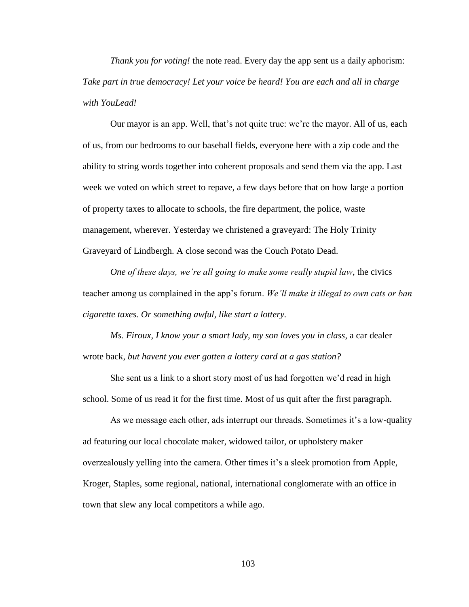*Thank you for voting!* the note read. Every day the app sent us a daily aphorism: *Take part in true democracy! Let your voice be heard! You are each and all in charge with YouLead!*

Our mayor is an app. Well, that's not quite true: we're the mayor. All of us, each of us, from our bedrooms to our baseball fields, everyone here with a zip code and the ability to string words together into coherent proposals and send them via the app. Last week we voted on which street to repave, a few days before that on how large a portion of property taxes to allocate to schools, the fire department, the police, waste management, wherever. Yesterday we christened a graveyard: The Holy Trinity Graveyard of Lindbergh. A close second was the Couch Potato Dead.

*One of these days, we're all going to make some really stupid law*, the civics teacher among us complained in the app's forum. *We'll make it illegal to own cats or ban cigarette taxes. Or something awful, like start a lottery.*

*Ms. Firoux, I know your a smart lady, my son loves you in class*, a car dealer wrote back, *but havent you ever gotten a lottery card at a gas station?*

She sent us a link to a short story most of us had forgotten we'd read in high school. Some of us read it for the first time. Most of us quit after the first paragraph.

As we message each other, ads interrupt our threads. Sometimes it's a low-quality ad featuring our local chocolate maker, widowed tailor, or upholstery maker overzealously yelling into the camera. Other times it's a sleek promotion from Apple, Kroger, Staples, some regional, national, international conglomerate with an office in town that slew any local competitors a while ago.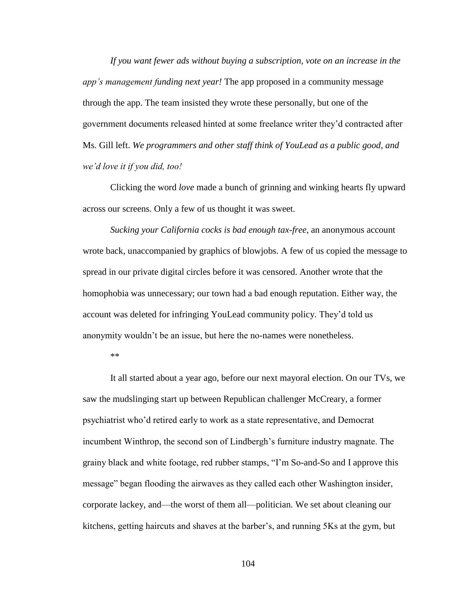*If you want fewer ads without buying a subscription, vote on an increase in the app's management funding next year!* The app proposed in a community message through the app. The team insisted they wrote these personally, but one of the government documents released hinted at some freelance writer they'd contracted after Ms. Gill left. *We programmers and other staff think of YouLead as a public good, and we'd love it if you did, too!*

Clicking the word *love* made a bunch of grinning and winking hearts fly upward across our screens. Only a few of us thought it was sweet.

*Sucking your California cocks is bad enough tax-free*, an anonymous account wrote back, unaccompanied by graphics of blowjobs. A few of us copied the message to spread in our private digital circles before it was censored. Another wrote that the homophobia was unnecessary; our town had a bad enough reputation. Either way, the account was deleted for infringing YouLead community policy. They'd told us anonymity wouldn't be an issue, but here the no-names were nonetheless.

\*\*

It all started about a year ago, before our next mayoral election. On our TVs, we saw the mudslinging start up between Republican challenger McCreary, a former psychiatrist who'd retired early to work as a state representative, and Democrat incumbent Winthrop, the second son of Lindbergh's furniture industry magnate. The grainy black and white footage, red rubber stamps, "I'm So-and-So and I approve this message" began flooding the airwaves as they called each other Washington insider, corporate lackey, and—the worst of them all—politician. We set about cleaning our kitchens, getting haircuts and shaves at the barber's, and running 5Ks at the gym, but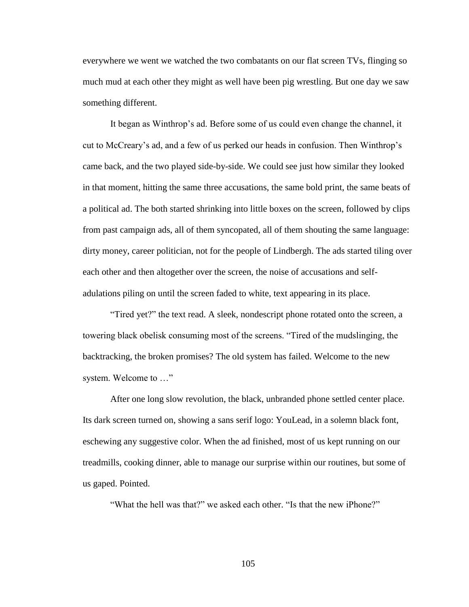everywhere we went we watched the two combatants on our flat screen TVs, flinging so much mud at each other they might as well have been pig wrestling. But one day we saw something different.

It began as Winthrop's ad. Before some of us could even change the channel, it cut to McCreary's ad, and a few of us perked our heads in confusion. Then Winthrop's came back, and the two played side-by-side. We could see just how similar they looked in that moment, hitting the same three accusations, the same bold print, the same beats of a political ad. The both started shrinking into little boxes on the screen, followed by clips from past campaign ads, all of them syncopated, all of them shouting the same language: dirty money, career politician, not for the people of Lindbergh. The ads started tiling over each other and then altogether over the screen, the noise of accusations and selfadulations piling on until the screen faded to white, text appearing in its place.

"Tired yet?" the text read. A sleek, nondescript phone rotated onto the screen, a towering black obelisk consuming most of the screens. "Tired of the mudslinging, the backtracking, the broken promises? The old system has failed. Welcome to the new system. Welcome to …"

After one long slow revolution, the black, unbranded phone settled center place. Its dark screen turned on, showing a sans serif logo: YouLead, in a solemn black font, eschewing any suggestive color. When the ad finished, most of us kept running on our treadmills, cooking dinner, able to manage our surprise within our routines, but some of us gaped. Pointed.

"What the hell was that?" we asked each other. "Is that the new iPhone?"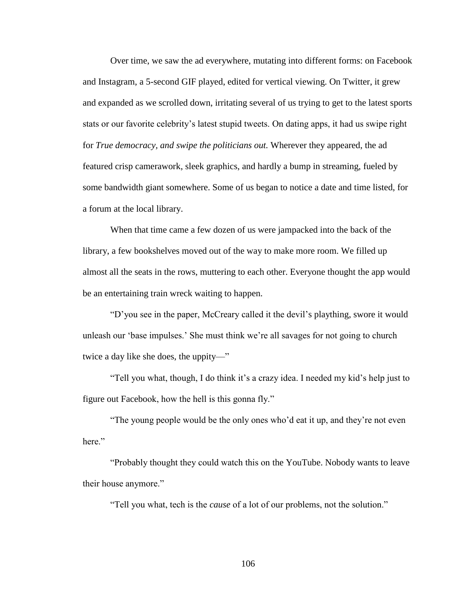Over time, we saw the ad everywhere, mutating into different forms: on Facebook and Instagram, a 5-second GIF played, edited for vertical viewing. On Twitter, it grew and expanded as we scrolled down, irritating several of us trying to get to the latest sports stats or our favorite celebrity's latest stupid tweets. On dating apps, it had us swipe right for *True democracy, and swipe the politicians out.* Wherever they appeared, the ad featured crisp camerawork, sleek graphics, and hardly a bump in streaming, fueled by some bandwidth giant somewhere. Some of us began to notice a date and time listed, for a forum at the local library.

When that time came a few dozen of us were jampacked into the back of the library, a few bookshelves moved out of the way to make more room. We filled up almost all the seats in the rows, muttering to each other. Everyone thought the app would be an entertaining train wreck waiting to happen.

"D'you see in the paper, McCreary called it the devil's plaything, swore it would unleash our 'base impulses.' She must think we're all savages for not going to church twice a day like she does, the uppity—"

"Tell you what, though, I do think it's a crazy idea. I needed my kid's help just to figure out Facebook, how the hell is this gonna fly."

"The young people would be the only ones who'd eat it up, and they're not even here."

"Probably thought they could watch this on the YouTube. Nobody wants to leave their house anymore."

"Tell you what, tech is the *cause* of a lot of our problems, not the solution."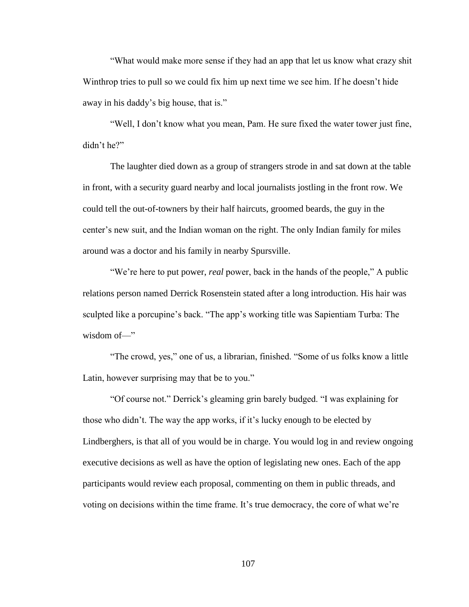"What would make more sense if they had an app that let us know what crazy shit Winthrop tries to pull so we could fix him up next time we see him. If he doesn't hide away in his daddy's big house, that is."

"Well, I don't know what you mean, Pam. He sure fixed the water tower just fine, didn't he?"

The laughter died down as a group of strangers strode in and sat down at the table in front, with a security guard nearby and local journalists jostling in the front row. We could tell the out-of-towners by their half haircuts, groomed beards, the guy in the center's new suit, and the Indian woman on the right. The only Indian family for miles around was a doctor and his family in nearby Spursville.

"We're here to put power, *real* power, back in the hands of the people," A public relations person named Derrick Rosenstein stated after a long introduction. His hair was sculpted like a porcupine's back. "The app's working title was Sapientiam Turba: The wisdom of—"

"The crowd, yes," one of us, a librarian, finished. "Some of us folks know a little Latin, however surprising may that be to you."

"Of course not." Derrick's gleaming grin barely budged. "I was explaining for those who didn't. The way the app works, if it's lucky enough to be elected by Lindberghers, is that all of you would be in charge. You would log in and review ongoing executive decisions as well as have the option of legislating new ones. Each of the app participants would review each proposal, commenting on them in public threads, and voting on decisions within the time frame. It's true democracy, the core of what we're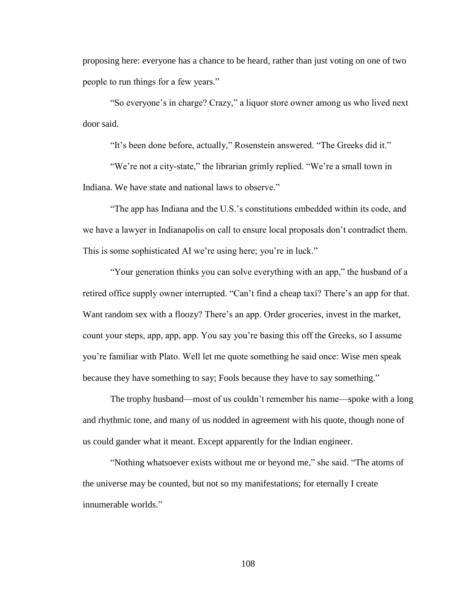proposing here: everyone has a chance to be heard, rather than just voting on one of two people to run things for a few years."

"So everyone's in charge? Crazy," a liquor store owner among us who lived next door said.

"It's been done before, actually," Rosenstein answered. "The Greeks did it."

"We're not a city-state," the librarian grimly replied. "We're a small town in Indiana. We have state and national laws to observe."

"The app has Indiana and the U.S.'s constitutions embedded within its code, and we have a lawyer in Indianapolis on call to ensure local proposals don't contradict them. This is some sophisticated AI we're using here; you're in luck."

"Your generation thinks you can solve everything with an app," the husband of a retired office supply owner interrupted. "Can't find a cheap taxi? There's an app for that. Want random sex with a floozy? There's an app. Order groceries, invest in the market, count your steps, app, app, app. You say you're basing this off the Greeks, so I assume you're familiar with Plato. Well let me quote something he said once: Wise men speak because they have something to say; Fools because they have to say something."

The trophy husband—most of us couldn't remember his name—spoke with a long and rhythmic tone, and many of us nodded in agreement with his quote, though none of us could gander what it meant. Except apparently for the Indian engineer.

"Nothing whatsoever exists without me or beyond me," she said. "The atoms of the universe may be counted, but not so my manifestations; for eternally I create innumerable worlds."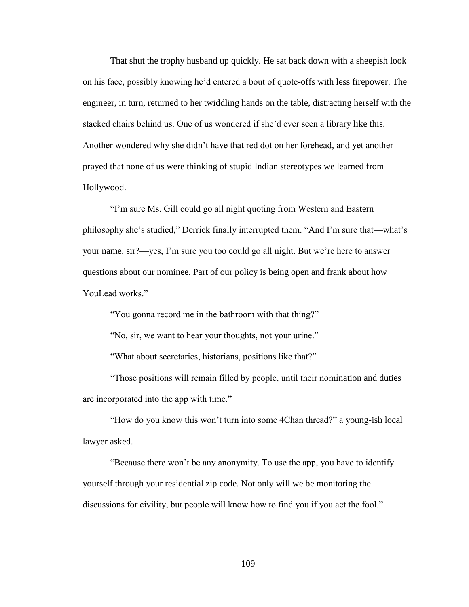That shut the trophy husband up quickly. He sat back down with a sheepish look on his face, possibly knowing he'd entered a bout of quote-offs with less firepower. The engineer, in turn, returned to her twiddling hands on the table, distracting herself with the stacked chairs behind us. One of us wondered if she'd ever seen a library like this. Another wondered why she didn't have that red dot on her forehead, and yet another prayed that none of us were thinking of stupid Indian stereotypes we learned from Hollywood.

"I'm sure Ms. Gill could go all night quoting from Western and Eastern philosophy she's studied," Derrick finally interrupted them. "And I'm sure that—what's your name, sir?—yes, I'm sure you too could go all night. But we're here to answer questions about our nominee. Part of our policy is being open and frank about how YouLead works."

"You gonna record me in the bathroom with that thing?"

"No, sir, we want to hear your thoughts, not your urine."

"What about secretaries, historians, positions like that?"

"Those positions will remain filled by people, until their nomination and duties are incorporated into the app with time."

"How do you know this won't turn into some 4Chan thread?" a young-ish local lawyer asked.

"Because there won't be any anonymity. To use the app, you have to identify yourself through your residential zip code. Not only will we be monitoring the discussions for civility, but people will know how to find you if you act the fool."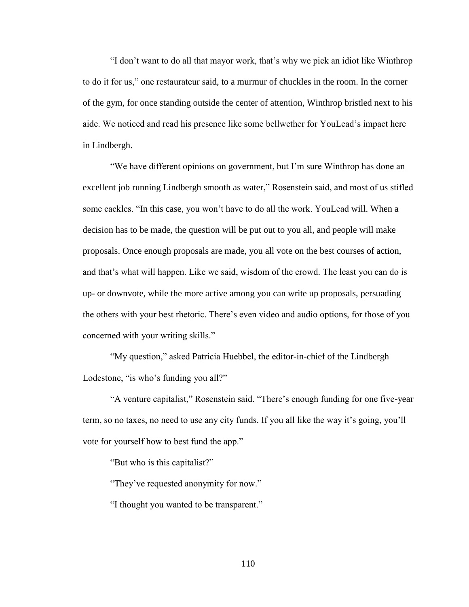"I don't want to do all that mayor work, that's why we pick an idiot like Winthrop to do it for us," one restaurateur said, to a murmur of chuckles in the room. In the corner of the gym, for once standing outside the center of attention, Winthrop bristled next to his aide. We noticed and read his presence like some bellwether for YouLead's impact here in Lindbergh.

"We have different opinions on government, but I'm sure Winthrop has done an excellent job running Lindbergh smooth as water," Rosenstein said, and most of us stifled some cackles. "In this case, you won't have to do all the work. YouLead will. When a decision has to be made, the question will be put out to you all, and people will make proposals. Once enough proposals are made, you all vote on the best courses of action, and that's what will happen. Like we said, wisdom of the crowd. The least you can do is up- or downvote, while the more active among you can write up proposals, persuading the others with your best rhetoric. There's even video and audio options, for those of you concerned with your writing skills."

"My question," asked Patricia Huebbel, the editor-in-chief of the Lindbergh Lodestone, "is who's funding you all?"

"A venture capitalist," Rosenstein said. "There's enough funding for one five-year term, so no taxes, no need to use any city funds. If you all like the way it's going, you'll vote for yourself how to best fund the app."

"But who is this capitalist?"

"They've requested anonymity for now."

"I thought you wanted to be transparent."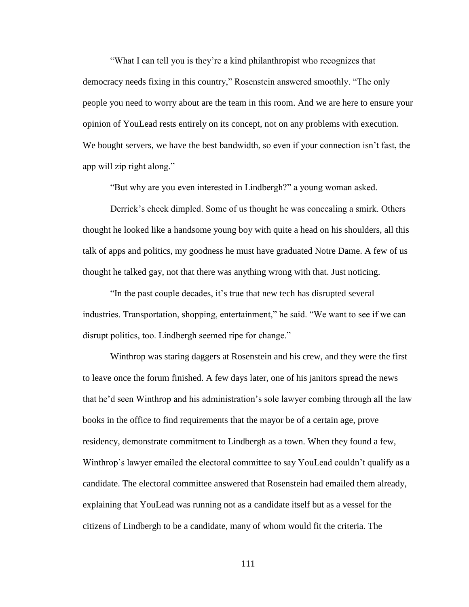"What I can tell you is they're a kind philanthropist who recognizes that democracy needs fixing in this country," Rosenstein answered smoothly. "The only people you need to worry about are the team in this room. And we are here to ensure your opinion of YouLead rests entirely on its concept, not on any problems with execution. We bought servers, we have the best bandwidth, so even if your connection isn't fast, the app will zip right along."

"But why are you even interested in Lindbergh?" a young woman asked.

Derrick's cheek dimpled. Some of us thought he was concealing a smirk. Others thought he looked like a handsome young boy with quite a head on his shoulders, all this talk of apps and politics, my goodness he must have graduated Notre Dame. A few of us thought he talked gay, not that there was anything wrong with that. Just noticing.

"In the past couple decades, it's true that new tech has disrupted several industries. Transportation, shopping, entertainment," he said. "We want to see if we can disrupt politics, too. Lindbergh seemed ripe for change."

Winthrop was staring daggers at Rosenstein and his crew, and they were the first to leave once the forum finished. A few days later, one of his janitors spread the news that he'd seen Winthrop and his administration's sole lawyer combing through all the law books in the office to find requirements that the mayor be of a certain age, prove residency, demonstrate commitment to Lindbergh as a town. When they found a few, Winthrop's lawyer emailed the electoral committee to say YouLead couldn't qualify as a candidate. The electoral committee answered that Rosenstein had emailed them already, explaining that YouLead was running not as a candidate itself but as a vessel for the citizens of Lindbergh to be a candidate, many of whom would fit the criteria. The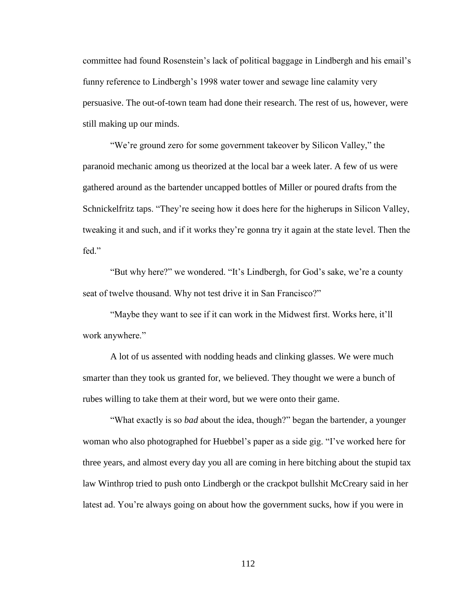committee had found Rosenstein's lack of political baggage in Lindbergh and his email's funny reference to Lindbergh's 1998 water tower and sewage line calamity very persuasive. The out-of-town team had done their research. The rest of us, however, were still making up our minds.

"We're ground zero for some government takeover by Silicon Valley," the paranoid mechanic among us theorized at the local bar a week later. A few of us were gathered around as the bartender uncapped bottles of Miller or poured drafts from the Schnickelfritz taps. "They're seeing how it does here for the higherups in Silicon Valley, tweaking it and such, and if it works they're gonna try it again at the state level. Then the fed."

"But why here?" we wondered. "It's Lindbergh, for God's sake, we're a county seat of twelve thousand. Why not test drive it in San Francisco?"

"Maybe they want to see if it can work in the Midwest first. Works here, it'll work anywhere."

A lot of us assented with nodding heads and clinking glasses. We were much smarter than they took us granted for, we believed. They thought we were a bunch of rubes willing to take them at their word, but we were onto their game.

"What exactly is so *bad* about the idea, though?" began the bartender, a younger woman who also photographed for Huebbel's paper as a side gig. "I've worked here for three years, and almost every day you all are coming in here bitching about the stupid tax law Winthrop tried to push onto Lindbergh or the crackpot bullshit McCreary said in her latest ad. You're always going on about how the government sucks, how if you were in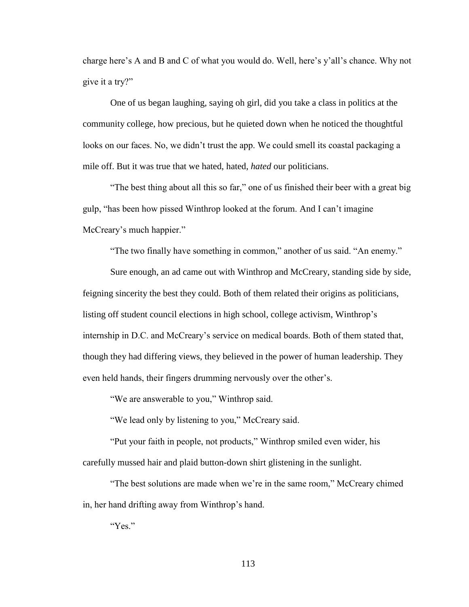charge here's A and B and C of what you would do. Well, here's y'all's chance. Why not give it a try?"

One of us began laughing, saying oh girl, did you take a class in politics at the community college, how precious, but he quieted down when he noticed the thoughtful looks on our faces. No, we didn't trust the app. We could smell its coastal packaging a mile off. But it was true that we hated, hated, *hated* our politicians.

"The best thing about all this so far," one of us finished their beer with a great big gulp, "has been how pissed Winthrop looked at the forum. And I can't imagine McCreary's much happier."

"The two finally have something in common," another of us said. "An enemy."

Sure enough, an ad came out with Winthrop and McCreary, standing side by side, feigning sincerity the best they could. Both of them related their origins as politicians, listing off student council elections in high school, college activism, Winthrop's internship in D.C. and McCreary's service on medical boards. Both of them stated that, though they had differing views, they believed in the power of human leadership. They even held hands, their fingers drumming nervously over the other's.

"We are answerable to you," Winthrop said.

"We lead only by listening to you," McCreary said.

"Put your faith in people, not products," Winthrop smiled even wider, his carefully mussed hair and plaid button-down shirt glistening in the sunlight.

"The best solutions are made when we're in the same room," McCreary chimed in, her hand drifting away from Winthrop's hand.

"Yes."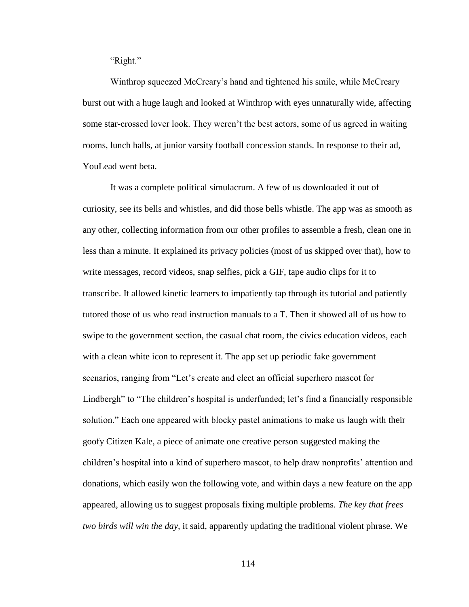"Right."

Winthrop squeezed McCreary's hand and tightened his smile, while McCreary burst out with a huge laugh and looked at Winthrop with eyes unnaturally wide, affecting some star-crossed lover look. They weren't the best actors, some of us agreed in waiting rooms, lunch halls, at junior varsity football concession stands. In response to their ad, YouLead went beta.

It was a complete political simulacrum. A few of us downloaded it out of curiosity, see its bells and whistles, and did those bells whistle. The app was as smooth as any other, collecting information from our other profiles to assemble a fresh, clean one in less than a minute. It explained its privacy policies (most of us skipped over that), how to write messages, record videos, snap selfies, pick a GIF, tape audio clips for it to transcribe. It allowed kinetic learners to impatiently tap through its tutorial and patiently tutored those of us who read instruction manuals to a T. Then it showed all of us how to swipe to the government section, the casual chat room, the civics education videos, each with a clean white icon to represent it. The app set up periodic fake government scenarios, ranging from "Let's create and elect an official superhero mascot for Lindbergh" to "The children's hospital is underfunded; let's find a financially responsible solution." Each one appeared with blocky pastel animations to make us laugh with their goofy Citizen Kale, a piece of animate one creative person suggested making the children's hospital into a kind of superhero mascot, to help draw nonprofits' attention and donations, which easily won the following vote, and within days a new feature on the app appeared, allowing us to suggest proposals fixing multiple problems. *The key that frees two birds will win the day,* it said, apparently updating the traditional violent phrase. We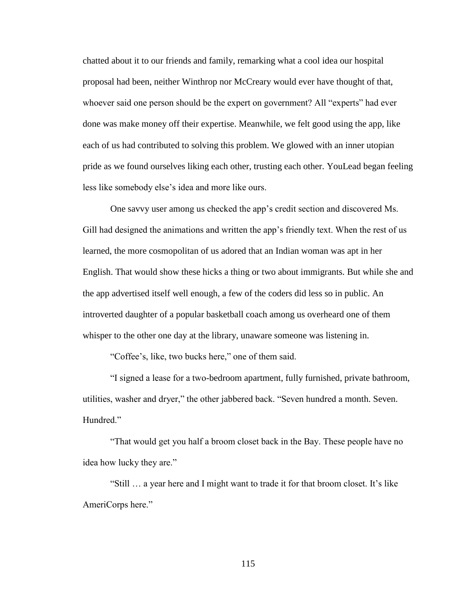chatted about it to our friends and family, remarking what a cool idea our hospital proposal had been, neither Winthrop nor McCreary would ever have thought of that, whoever said one person should be the expert on government? All "experts" had ever done was make money off their expertise. Meanwhile, we felt good using the app, like each of us had contributed to solving this problem. We glowed with an inner utopian pride as we found ourselves liking each other, trusting each other. YouLead began feeling less like somebody else's idea and more like ours.

One savvy user among us checked the app's credit section and discovered Ms. Gill had designed the animations and written the app's friendly text. When the rest of us learned, the more cosmopolitan of us adored that an Indian woman was apt in her English. That would show these hicks a thing or two about immigrants. But while she and the app advertised itself well enough, a few of the coders did less so in public. An introverted daughter of a popular basketball coach among us overheard one of them whisper to the other one day at the library, unaware someone was listening in.

"Coffee's, like, two bucks here," one of them said.

"I signed a lease for a two-bedroom apartment, fully furnished, private bathroom, utilities, washer and dryer," the other jabbered back. "Seven hundred a month. Seven. Hundred."

"That would get you half a broom closet back in the Bay. These people have no idea how lucky they are."

"Still … a year here and I might want to trade it for that broom closet. It's like AmeriCorps here."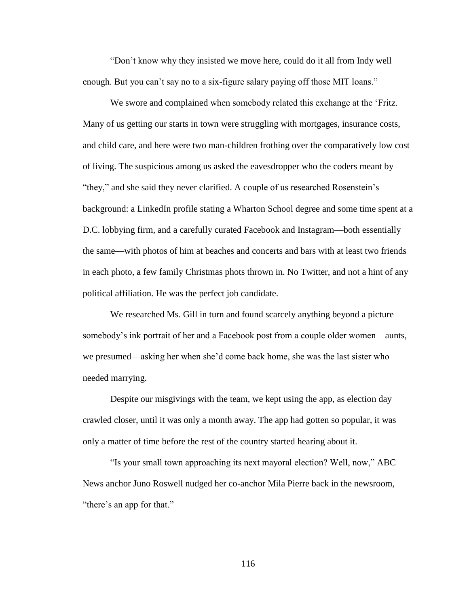"Don't know why they insisted we move here, could do it all from Indy well enough. But you can't say no to a six-figure salary paying off those MIT loans."

We swore and complained when somebody related this exchange at the 'Fritz. Many of us getting our starts in town were struggling with mortgages, insurance costs, and child care, and here were two man-children frothing over the comparatively low cost of living. The suspicious among us asked the eavesdropper who the coders meant by "they," and she said they never clarified. A couple of us researched Rosenstein's background: a LinkedIn profile stating a Wharton School degree and some time spent at a D.C. lobbying firm, and a carefully curated Facebook and Instagram—both essentially the same—with photos of him at beaches and concerts and bars with at least two friends in each photo, a few family Christmas phots thrown in. No Twitter, and not a hint of any political affiliation. He was the perfect job candidate.

We researched Ms. Gill in turn and found scarcely anything beyond a picture somebody's ink portrait of her and a Facebook post from a couple older women—aunts, we presumed—asking her when she'd come back home, she was the last sister who needed marrying.

Despite our misgivings with the team, we kept using the app, as election day crawled closer, until it was only a month away. The app had gotten so popular, it was only a matter of time before the rest of the country started hearing about it.

"Is your small town approaching its next mayoral election? Well, now," ABC News anchor Juno Roswell nudged her co-anchor Mila Pierre back in the newsroom, "there's an app for that."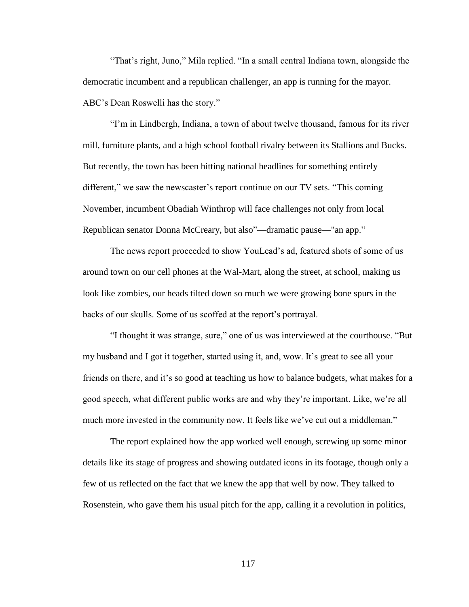"That's right, Juno," Mila replied. "In a small central Indiana town, alongside the democratic incumbent and a republican challenger, an app is running for the mayor. ABC's Dean Roswelli has the story."

"I'm in Lindbergh, Indiana, a town of about twelve thousand, famous for its river mill, furniture plants, and a high school football rivalry between its Stallions and Bucks. But recently, the town has been hitting national headlines for something entirely different," we saw the newscaster's report continue on our TV sets. "This coming November, incumbent Obadiah Winthrop will face challenges not only from local Republican senator Donna McCreary, but also"—dramatic pause—"an app."

The news report proceeded to show YouLead's ad, featured shots of some of us around town on our cell phones at the Wal-Mart, along the street, at school, making us look like zombies, our heads tilted down so much we were growing bone spurs in the backs of our skulls. Some of us scoffed at the report's portrayal.

"I thought it was strange, sure," one of us was interviewed at the courthouse. "But my husband and I got it together, started using it, and, wow. It's great to see all your friends on there, and it's so good at teaching us how to balance budgets, what makes for a good speech, what different public works are and why they're important. Like, we're all much more invested in the community now. It feels like we've cut out a middleman."

The report explained how the app worked well enough, screwing up some minor details like its stage of progress and showing outdated icons in its footage, though only a few of us reflected on the fact that we knew the app that well by now. They talked to Rosenstein, who gave them his usual pitch for the app, calling it a revolution in politics,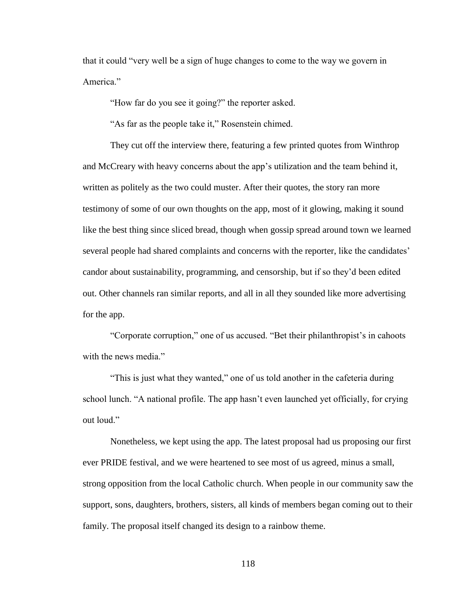that it could "very well be a sign of huge changes to come to the way we govern in America."

"How far do you see it going?" the reporter asked.

"As far as the people take it," Rosenstein chimed.

They cut off the interview there, featuring a few printed quotes from Winthrop and McCreary with heavy concerns about the app's utilization and the team behind it, written as politely as the two could muster. After their quotes, the story ran more testimony of some of our own thoughts on the app, most of it glowing, making it sound like the best thing since sliced bread, though when gossip spread around town we learned several people had shared complaints and concerns with the reporter, like the candidates' candor about sustainability, programming, and censorship, but if so they'd been edited out. Other channels ran similar reports, and all in all they sounded like more advertising for the app.

"Corporate corruption," one of us accused. "Bet their philanthropist's in cahoots with the news media."

"This is just what they wanted," one of us told another in the cafeteria during school lunch. "A national profile. The app hasn't even launched yet officially, for crying out loud."

Nonetheless, we kept using the app. The latest proposal had us proposing our first ever PRIDE festival, and we were heartened to see most of us agreed, minus a small, strong opposition from the local Catholic church. When people in our community saw the support, sons, daughters, brothers, sisters, all kinds of members began coming out to their family. The proposal itself changed its design to a rainbow theme.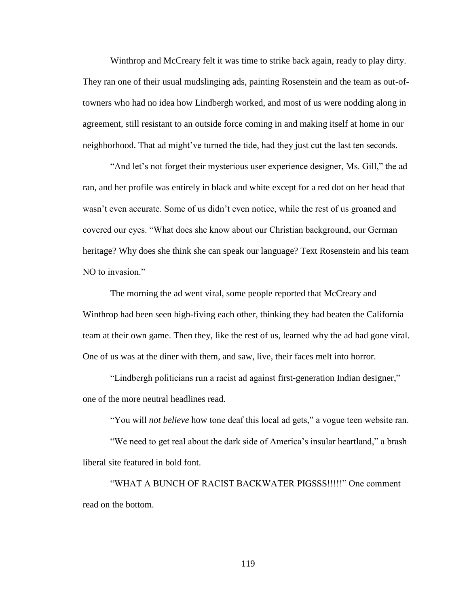Winthrop and McCreary felt it was time to strike back again, ready to play dirty. They ran one of their usual mudslinging ads, painting Rosenstein and the team as out-oftowners who had no idea how Lindbergh worked, and most of us were nodding along in agreement, still resistant to an outside force coming in and making itself at home in our neighborhood. That ad might've turned the tide, had they just cut the last ten seconds.

"And let's not forget their mysterious user experience designer, Ms. Gill," the ad ran, and her profile was entirely in black and white except for a red dot on her head that wasn't even accurate. Some of us didn't even notice, while the rest of us groaned and covered our eyes. "What does she know about our Christian background, our German heritage? Why does she think she can speak our language? Text Rosenstein and his team NO to invasion."

The morning the ad went viral, some people reported that McCreary and Winthrop had been seen high-fiving each other, thinking they had beaten the California team at their own game. Then they, like the rest of us, learned why the ad had gone viral. One of us was at the diner with them, and saw, live, their faces melt into horror.

"Lindbergh politicians run a racist ad against first-generation Indian designer," one of the more neutral headlines read.

"You will *not believe* how tone deaf this local ad gets," a vogue teen website ran.

"We need to get real about the dark side of America's insular heartland," a brash liberal site featured in bold font.

"WHAT A BUNCH OF RACIST BACKWATER PIGSSS!!!!!" One comment read on the bottom.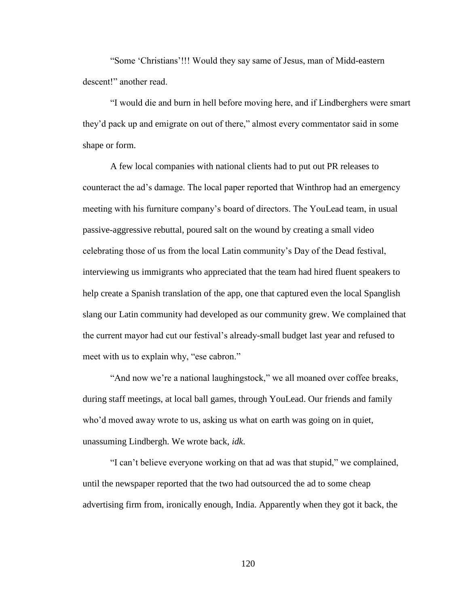"Some 'Christians'!!! Would they say same of Jesus, man of Midd-eastern descent!" another read.

"I would die and burn in hell before moving here, and if Lindberghers were smart they'd pack up and emigrate on out of there," almost every commentator said in some shape or form.

A few local companies with national clients had to put out PR releases to counteract the ad's damage. The local paper reported that Winthrop had an emergency meeting with his furniture company's board of directors. The YouLead team, in usual passive-aggressive rebuttal, poured salt on the wound by creating a small video celebrating those of us from the local Latin community's Day of the Dead festival, interviewing us immigrants who appreciated that the team had hired fluent speakers to help create a Spanish translation of the app, one that captured even the local Spanglish slang our Latin community had developed as our community grew. We complained that the current mayor had cut our festival's already-small budget last year and refused to meet with us to explain why, "ese cabron."

"And now we're a national laughingstock," we all moaned over coffee breaks, during staff meetings, at local ball games, through YouLead. Our friends and family who'd moved away wrote to us, asking us what on earth was going on in quiet, unassuming Lindbergh. We wrote back, *idk*.

"I can't believe everyone working on that ad was that stupid," we complained, until the newspaper reported that the two had outsourced the ad to some cheap advertising firm from, ironically enough, India. Apparently when they got it back, the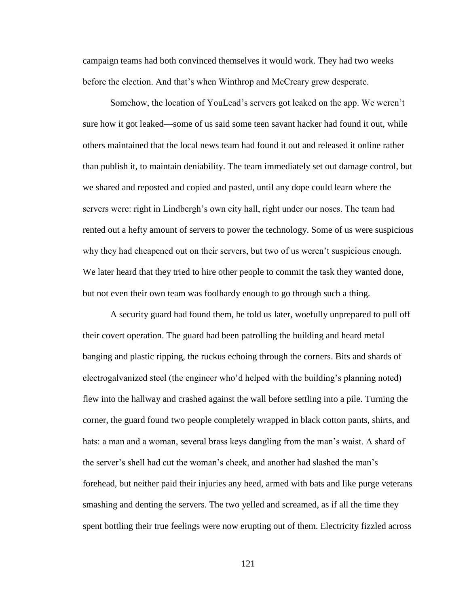campaign teams had both convinced themselves it would work. They had two weeks before the election. And that's when Winthrop and McCreary grew desperate.

Somehow, the location of YouLead's servers got leaked on the app. We weren't sure how it got leaked—some of us said some teen savant hacker had found it out, while others maintained that the local news team had found it out and released it online rather than publish it, to maintain deniability. The team immediately set out damage control, but we shared and reposted and copied and pasted, until any dope could learn where the servers were: right in Lindbergh's own city hall, right under our noses. The team had rented out a hefty amount of servers to power the technology. Some of us were suspicious why they had cheapened out on their servers, but two of us weren't suspicious enough. We later heard that they tried to hire other people to commit the task they wanted done, but not even their own team was foolhardy enough to go through such a thing.

A security guard had found them, he told us later, woefully unprepared to pull off their covert operation. The guard had been patrolling the building and heard metal banging and plastic ripping, the ruckus echoing through the corners. Bits and shards of electrogalvanized steel (the engineer who'd helped with the building's planning noted) flew into the hallway and crashed against the wall before settling into a pile. Turning the corner, the guard found two people completely wrapped in black cotton pants, shirts, and hats: a man and a woman, several brass keys dangling from the man's waist. A shard of the server's shell had cut the woman's cheek, and another had slashed the man's forehead, but neither paid their injuries any heed, armed with bats and like purge veterans smashing and denting the servers. The two yelled and screamed, as if all the time they spent bottling their true feelings were now erupting out of them. Electricity fizzled across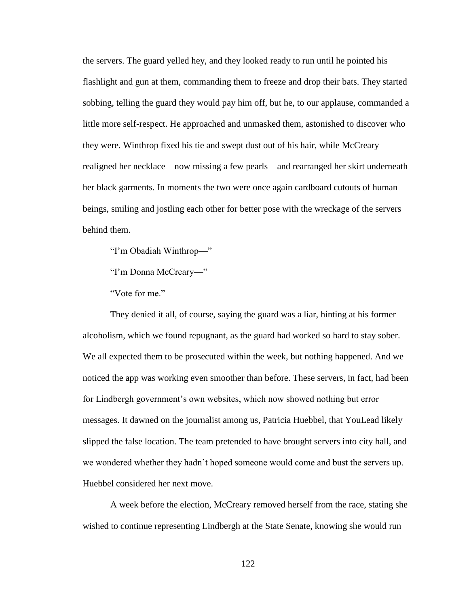the servers. The guard yelled hey, and they looked ready to run until he pointed his flashlight and gun at them, commanding them to freeze and drop their bats. They started sobbing, telling the guard they would pay him off, but he, to our applause, commanded a little more self-respect. He approached and unmasked them, astonished to discover who they were. Winthrop fixed his tie and swept dust out of his hair, while McCreary realigned her necklace—now missing a few pearls—and rearranged her skirt underneath her black garments. In moments the two were once again cardboard cutouts of human beings, smiling and jostling each other for better pose with the wreckage of the servers behind them.

"I'm Obadiah Winthrop—"

"I'm Donna McCreary—"

"Vote for me."

They denied it all, of course, saying the guard was a liar, hinting at his former alcoholism, which we found repugnant, as the guard had worked so hard to stay sober. We all expected them to be prosecuted within the week, but nothing happened. And we noticed the app was working even smoother than before. These servers, in fact, had been for Lindbergh government's own websites, which now showed nothing but error messages. It dawned on the journalist among us, Patricia Huebbel, that YouLead likely slipped the false location. The team pretended to have brought servers into city hall, and we wondered whether they hadn't hoped someone would come and bust the servers up. Huebbel considered her next move.

A week before the election, McCreary removed herself from the race, stating she wished to continue representing Lindbergh at the State Senate, knowing she would run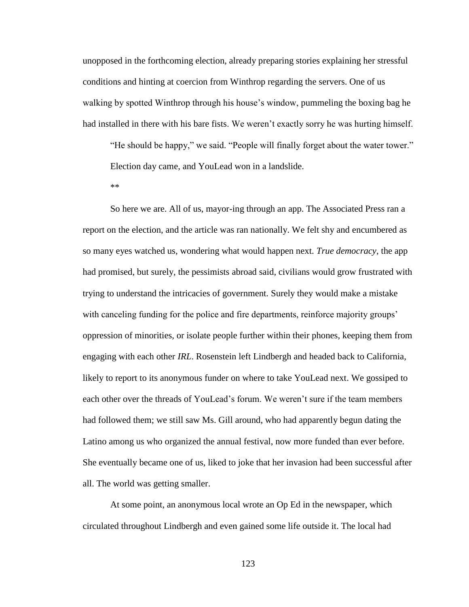unopposed in the forthcoming election, already preparing stories explaining her stressful conditions and hinting at coercion from Winthrop regarding the servers. One of us walking by spotted Winthrop through his house's window, pummeling the boxing bag he had installed in there with his bare fists. We weren't exactly sorry he was hurting himself.

"He should be happy," we said. "People will finally forget about the water tower." Election day came, and YouLead won in a landslide.

\*\*

So here we are. All of us, mayor-ing through an app. The Associated Press ran a report on the election, and the article was ran nationally. We felt shy and encumbered as so many eyes watched us, wondering what would happen next. *True democracy*, the app had promised, but surely, the pessimists abroad said, civilians would grow frustrated with trying to understand the intricacies of government. Surely they would make a mistake with canceling funding for the police and fire departments, reinforce majority groups' oppression of minorities, or isolate people further within their phones, keeping them from engaging with each other *IRL*. Rosenstein left Lindbergh and headed back to California, likely to report to its anonymous funder on where to take YouLead next. We gossiped to each other over the threads of YouLead's forum. We weren't sure if the team members had followed them; we still saw Ms. Gill around, who had apparently begun dating the Latino among us who organized the annual festival, now more funded than ever before. She eventually became one of us, liked to joke that her invasion had been successful after all. The world was getting smaller.

At some point, an anonymous local wrote an Op Ed in the newspaper, which circulated throughout Lindbergh and even gained some life outside it. The local had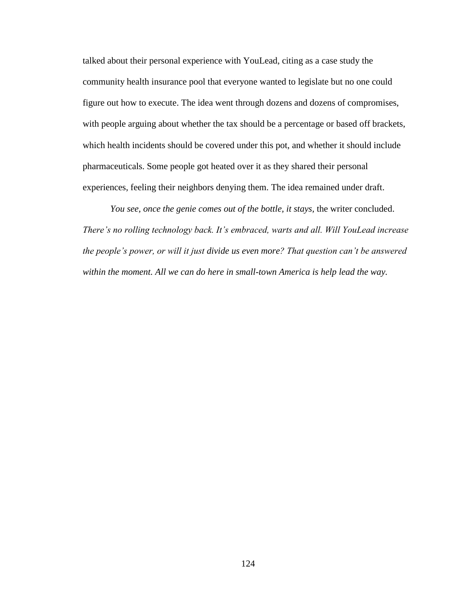talked about their personal experience with YouLead, citing as a case study the community health insurance pool that everyone wanted to legislate but no one could figure out how to execute. The idea went through dozens and dozens of compromises, with people arguing about whether the tax should be a percentage or based off brackets, which health incidents should be covered under this pot, and whether it should include pharmaceuticals. Some people got heated over it as they shared their personal experiences, feeling their neighbors denying them. The idea remained under draft.

*You see, once the genie comes out of the bottle, it stays,* the writer concluded. *There's no rolling technology back. It's embraced, warts and all. Will YouLead increase the people's power, or will it just divide us even more? That question can't be answered within the moment. All we can do here in small-town America is help lead the way.*